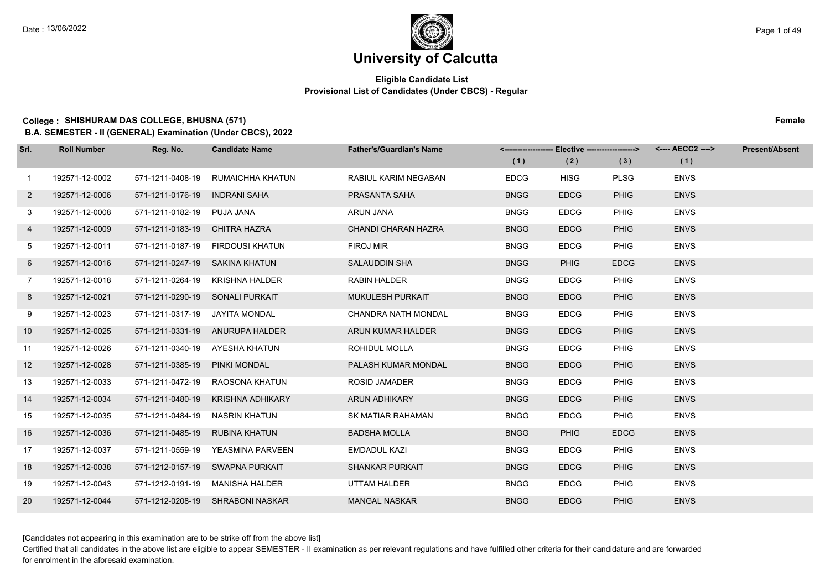### **Eligible Candidate List Provisional List of Candidates (Under CBCS) - Regular**

### **College : SHISHURAM DAS COLLEGE, BHUSNA (571) Female**

**B.A. SEMESTER - II (GENERAL) Examination (Under CBCS), 2022**

| Srl.           | <b>Roll Number</b> | Reg. No.                        | <b>Candidate Name</b>            | <b>Father's/Guardian's Name</b> | (1)         | <-------------------- Elective -------------------><br>(2) | (3)         | (1)         | <b>Present/Absent</b> |
|----------------|--------------------|---------------------------------|----------------------------------|---------------------------------|-------------|------------------------------------------------------------|-------------|-------------|-----------------------|
| $\mathbf{1}$   | 192571-12-0002     | 571-1211-0408-19                | RUMAICHHA KHATUN                 | RABIUL KARIM NEGABAN            | <b>EDCG</b> | <b>HISG</b>                                                | <b>PLSG</b> | <b>ENVS</b> |                       |
| $\mathbf{2}$   | 192571-12-0006     | 571-1211-0176-19                | <b>INDRANI SAHA</b>              | PRASANTA SAHA                   | <b>BNGG</b> | <b>EDCG</b>                                                | <b>PHIG</b> | <b>ENVS</b> |                       |
| 3              | 192571-12-0008     | 571-1211-0182-19 PUJA JANA      |                                  | <b>ARUN JANA</b>                | <b>BNGG</b> | <b>EDCG</b>                                                | PHIG        | <b>ENVS</b> |                       |
| 4              | 192571-12-0009     | 571-1211-0183-19 CHITRA HAZRA   |                                  | <b>CHANDI CHARAN HAZRA</b>      | <b>BNGG</b> | <b>EDCG</b>                                                | <b>PHIG</b> | <b>ENVS</b> |                       |
| 5              | 192571-12-0011     | 571-1211-0187-19                | FIRDOUSI KHATUN                  | FIROJ MIR                       | <b>BNGG</b> | <b>EDCG</b>                                                | PHIG        | <b>ENVS</b> |                       |
| 6              | 192571-12-0016     | 571-1211-0247-19 SAKINA KHATUN  |                                  | <b>SALAUDDIN SHA</b>            | <b>BNGG</b> | <b>PHIG</b>                                                | <b>EDCG</b> | <b>ENVS</b> |                       |
| $\overline{7}$ | 192571-12-0018     |                                 | 571-1211-0264-19 KRISHNA HALDER  | RABIN HALDER                    | <b>BNGG</b> | <b>EDCG</b>                                                | PHIG        | <b>ENVS</b> |                       |
| 8              | 192571-12-0021     | 571-1211-0290-19 SONALI PURKAIT |                                  | <b>MUKULESH PURKAIT</b>         | <b>BNGG</b> | <b>EDCG</b>                                                | <b>PHIG</b> | <b>ENVS</b> |                       |
| 9              | 192571-12-0023     | 571-1211-0317-19                | JAYITA MONDAL                    | CHANDRA NATH MONDAL             | <b>BNGG</b> | <b>EDCG</b>                                                | <b>PHIG</b> | <b>ENVS</b> |                       |
| 10             | 192571-12-0025     |                                 | 571-1211-0331-19 ANURUPA HALDER  | ARUN KUMAR HALDER               | <b>BNGG</b> | <b>EDCG</b>                                                | <b>PHIG</b> | <b>ENVS</b> |                       |
| 11             | 192571-12-0026     |                                 | 571-1211-0340-19 AYESHA KHATUN   | ROHIDUL MOLLA                   | <b>BNGG</b> | <b>EDCG</b>                                                | PHIG        | <b>ENVS</b> |                       |
| 12             | 192571-12-0028     | 571-1211-0385-19 PINKI MONDAL   |                                  | PALASH KUMAR MONDAL             | <b>BNGG</b> | <b>EDCG</b>                                                | <b>PHIG</b> | <b>ENVS</b> |                       |
| 13             | 192571-12-0033     |                                 | 571-1211-0472-19 RAOSONA KHATUN  | <b>ROSID JAMADER</b>            | <b>BNGG</b> | <b>EDCG</b>                                                | <b>PHIG</b> | <b>ENVS</b> |                       |
| 14             | 192571-12-0034     | 571-1211-0480-19                | KRISHNA ADHIKARY                 | <b>ARUN ADHIKARY</b>            | <b>BNGG</b> | <b>EDCG</b>                                                | <b>PHIG</b> | <b>ENVS</b> |                       |
| 15             | 192571-12-0035     | 571-1211-0484-19 NASRIN KHATUN  |                                  | SK MATIAR RAHAMAN               | <b>BNGG</b> | <b>EDCG</b>                                                | PHIG        | <b>ENVS</b> |                       |
| 16             | 192571-12-0036     | 571-1211-0485-19 RUBINA KHATUN  |                                  | <b>BADSHA MOLLA</b>             | <b>BNGG</b> | <b>PHIG</b>                                                | <b>EDCG</b> | <b>ENVS</b> |                       |
| 17             | 192571-12-0037     | 571-1211-0559-19                | YEASMINA PARVEEN                 | EMDADUL KAZI                    | <b>BNGG</b> | <b>EDCG</b>                                                | PHIG        | <b>ENVS</b> |                       |
| 18             | 192571-12-0038     |                                 | 571-1212-0157-19 SWAPNA PURKAIT  | <b>SHANKAR PURKAIT</b>          | <b>BNGG</b> | <b>EDCG</b>                                                | <b>PHIG</b> | <b>ENVS</b> |                       |
| 19             | 192571-12-0043     |                                 | 571-1212-0191-19 MANISHA HALDER  | UTTAM HALDER                    | <b>BNGG</b> | <b>EDCG</b>                                                | PHIG        | <b>ENVS</b> |                       |
| 20             | 192571-12-0044     |                                 | 571-1212-0208-19 SHRABONI NASKAR | <b>MANGAL NASKAR</b>            | <b>BNGG</b> | <b>EDCG</b>                                                | <b>PHIG</b> | <b>ENVS</b> |                       |

[Candidates not appearing in this examination are to be strike off from the above list]

Certified that all candidates in the above list are eligible to appear SEMESTER - II examination as per relevant regulations and have fulfilled other criteria for their candidature and are forwarded for enrolment in the aforesaid examination.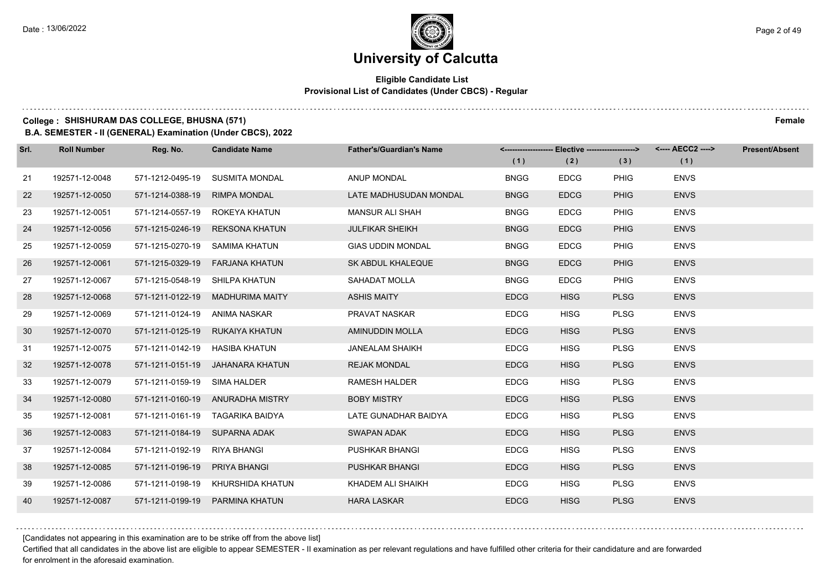### **Eligible Candidate List Provisional List of Candidates (Under CBCS) - Regular**

### **College : SHISHURAM DAS COLLEGE, BHUSNA (571) Female**

**B.A. SEMESTER - II (GENERAL) Examination (Under CBCS), 2022**

| Srl. | <b>Roll Number</b> | Reg. No.                       | <b>Candidate Name</b>             | <b>Father's/Guardian's Name</b> | (1)         | <-------------------- Elective -------------------><br>(2) | (3)         | (1)         | <b>Present/Absent</b> |
|------|--------------------|--------------------------------|-----------------------------------|---------------------------------|-------------|------------------------------------------------------------|-------------|-------------|-----------------------|
| 21   | 192571-12-0048     | 571-1212-0495-19               | SUSMITA MONDAL                    | ANUP MONDAL                     | <b>BNGG</b> | <b>EDCG</b>                                                | <b>PHIG</b> | <b>ENVS</b> |                       |
| 22   | 192571-12-0050     | 571-1214-0388-19               | <b>RIMPA MONDAL</b>               | LATE MADHUSUDAN MONDAL          | <b>BNGG</b> | <b>EDCG</b>                                                | <b>PHIG</b> | <b>ENVS</b> |                       |
| 23   | 192571-12-0051     |                                | 571-1214-0557-19 ROKEYA KHATUN    | <b>MANSUR ALI SHAH</b>          | <b>BNGG</b> | <b>EDCG</b>                                                | PHIG        | <b>ENVS</b> |                       |
| 24   | 192571-12-0056     |                                | 571-1215-0246-19 REKSONA KHATUN   | <b>JULFIKAR SHEIKH</b>          | <b>BNGG</b> | <b>EDCG</b>                                                | <b>PHIG</b> | <b>ENVS</b> |                       |
| 25   | 192571-12-0059     | 571-1215-0270-19               | SAMIMA KHATUN                     | <b>GIAS UDDIN MONDAL</b>        | <b>BNGG</b> | <b>EDCG</b>                                                | <b>PHIG</b> | <b>ENVS</b> |                       |
| 26   | 192571-12-0061     | 571-1215-0329-19               | <b>FARJANA KHATUN</b>             | <b>SK ABDUL KHALEQUE</b>        | <b>BNGG</b> | <b>EDCG</b>                                                | <b>PHIG</b> | <b>ENVS</b> |                       |
| 27   | 192571-12-0067     | 571-1215-0548-19 SHILPA KHATUN |                                   | SAHADAT MOLLA                   | <b>BNGG</b> | <b>EDCG</b>                                                | <b>PHIG</b> | <b>ENVS</b> |                       |
| 28   | 192571-12-0068     |                                | 571-1211-0122-19 MADHURIMA MAITY  | <b>ASHIS MAITY</b>              | <b>EDCG</b> | <b>HISG</b>                                                | <b>PLSG</b> | <b>ENVS</b> |                       |
| 29   | 192571-12-0069     | 571-1211-0124-19 ANIMA NASKAR  |                                   | PRAVAT NASKAR                   | <b>EDCG</b> | <b>HISG</b>                                                | <b>PLSG</b> | <b>ENVS</b> |                       |
| 30   | 192571-12-0070     |                                | 571-1211-0125-19 RUKAIYA KHATUN   | <b>AMINUDDIN MOLLA</b>          | <b>EDCG</b> | <b>HISG</b>                                                | <b>PLSG</b> | <b>ENVS</b> |                       |
| 31   | 192571-12-0075     | 571-1211-0142-19 HASIBA KHATUN |                                   | <b>JANEALAM SHAIKH</b>          | <b>EDCG</b> | <b>HISG</b>                                                | <b>PLSG</b> | <b>ENVS</b> |                       |
| 32   | 192571-12-0078     |                                | 571-1211-0151-19 JAHANARA KHATUN  | <b>REJAK MONDAL</b>             | <b>EDCG</b> | <b>HISG</b>                                                | <b>PLSG</b> | <b>ENVS</b> |                       |
| 33   | 192571-12-0079     | 571-1211-0159-19 SIMA HALDER   |                                   | <b>RAMESH HALDER</b>            | <b>EDCG</b> | <b>HISG</b>                                                | <b>PLSG</b> | <b>ENVS</b> |                       |
| 34   | 192571-12-0080     |                                | 571-1211-0160-19 ANURADHA MISTRY  | <b>BOBY MISTRY</b>              | <b>EDCG</b> | <b>HISG</b>                                                | <b>PLSG</b> | <b>ENVS</b> |                       |
| 35   | 192571-12-0081     |                                | 571-1211-0161-19 TAGARIKA BAIDYA  | LATE GUNADHAR BAIDYA            | <b>EDCG</b> | <b>HISG</b>                                                | <b>PLSG</b> | <b>ENVS</b> |                       |
| 36   | 192571-12-0083     | 571-1211-0184-19 SUPARNA ADAK  |                                   | <b>SWAPAN ADAK</b>              | <b>EDCG</b> | <b>HISG</b>                                                | <b>PLSG</b> | <b>ENVS</b> |                       |
| 37   | 192571-12-0084     | 571-1211-0192-19               | RIYA BHANGI                       | <b>PUSHKAR BHANGI</b>           | <b>EDCG</b> | <b>HISG</b>                                                | <b>PLSG</b> | <b>ENVS</b> |                       |
| 38   | 192571-12-0085     | 571-1211-0196-19 PRIYA BHANGI  |                                   | <b>PUSHKAR BHANGI</b>           | <b>EDCG</b> | <b>HISG</b>                                                | <b>PLSG</b> | <b>ENVS</b> |                       |
| 39   | 192571-12-0086     |                                | 571-1211-0198-19 KHURSHIDA KHATUN | KHADEM ALI SHAIKH               | <b>EDCG</b> | <b>HISG</b>                                                | <b>PLSG</b> | <b>ENVS</b> |                       |
| 40   | 192571-12-0087     |                                | 571-1211-0199-19 PARMINA KHATUN   | <b>HARA LASKAR</b>              | <b>EDCG</b> | <b>HISG</b>                                                | <b>PLSG</b> | <b>ENVS</b> |                       |

[Candidates not appearing in this examination are to be strike off from the above list]

Certified that all candidates in the above list are eligible to appear SEMESTER - II examination as per relevant regulations and have fulfilled other criteria for their candidature and are forwarded for enrolment in the aforesaid examination.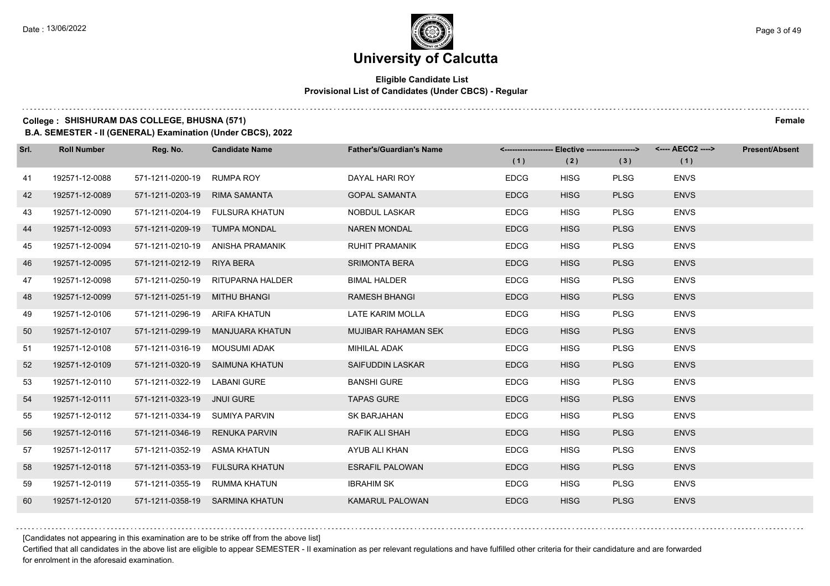### **Eligible Candidate List Provisional List of Candidates (Under CBCS) - Regular**

### **College : SHISHURAM DAS COLLEGE, BHUSNA (571) Female**

**B.A. SEMESTER - II (GENERAL) Examination (Under CBCS), 2022**

| Srl. | <b>Roll Number</b> | Reg. No.                       | <b>Candidate Name</b>             | <b>Father's/Guardian's Name</b> | (1)         | <------------------- Elective ------------------><br>(2) | (3)         | (1)         | <b>Present/Absent</b> |
|------|--------------------|--------------------------------|-----------------------------------|---------------------------------|-------------|----------------------------------------------------------|-------------|-------------|-----------------------|
| 41   | 192571-12-0088     | 571-1211-0200-19 RUMPA ROY     |                                   | DAYAL HARI ROY                  | <b>EDCG</b> | <b>HISG</b>                                              | <b>PLSG</b> | <b>ENVS</b> |                       |
| 42   | 192571-12-0089     | 571-1211-0203-19               | <b>RIMA SAMANTA</b>               | <b>GOPAL SAMANTA</b>            | <b>EDCG</b> | <b>HISG</b>                                              | <b>PLSG</b> | <b>ENVS</b> |                       |
| 43   | 192571-12-0090     |                                | 571-1211-0204-19 FULSURA KHATUN   | NOBDUL LASKAR                   | <b>EDCG</b> | <b>HISG</b>                                              | <b>PLSG</b> | <b>ENVS</b> |                       |
| 44   | 192571-12-0093     | 571-1211-0209-19 TUMPA MONDAL  |                                   | <b>NAREN MONDAL</b>             | <b>EDCG</b> | <b>HISG</b>                                              | <b>PLSG</b> | <b>ENVS</b> |                       |
| 45   | 192571-12-0094     |                                | 571-1211-0210-19 ANISHA PRAMANIK  | <b>RUHIT PRAMANIK</b>           | <b>EDCG</b> | <b>HISG</b>                                              | <b>PLSG</b> | <b>ENVS</b> |                       |
| 46   | 192571-12-0095     | 571-1211-0212-19 RIYA BERA     |                                   | <b>SRIMONTA BERA</b>            | <b>EDCG</b> | <b>HISG</b>                                              | <b>PLSG</b> | <b>ENVS</b> |                       |
| 47   | 192571-12-0098     |                                | 571-1211-0250-19 RITUPARNA HALDER | <b>BIMAL HALDER</b>             | <b>EDCG</b> | <b>HISG</b>                                              | <b>PLSG</b> | <b>ENVS</b> |                       |
| 48   | 192571-12-0099     | 571-1211-0251-19 MITHU BHANGI  |                                   | <b>RAMESH BHANGI</b>            | <b>EDCG</b> | <b>HISG</b>                                              | <b>PLSG</b> | <b>ENVS</b> |                       |
| 49   | 192571-12-0106     | 571-1211-0296-19 ARIFA KHATUN  |                                   | LATE KARIM MOLLA                | <b>EDCG</b> | <b>HISG</b>                                              | <b>PLSG</b> | <b>ENVS</b> |                       |
| 50   | 192571-12-0107     |                                | 571-1211-0299-19 MANJUARA KHATUN  | MUJIBAR RAHAMAN SEK             | <b>EDCG</b> | <b>HISG</b>                                              | <b>PLSG</b> | <b>ENVS</b> |                       |
| 51   | 192571-12-0108     | 571-1211-0316-19 MOUSUMI ADAK  |                                   | MIHILAL ADAK                    | <b>EDCG</b> | <b>HISG</b>                                              | <b>PLSG</b> | <b>ENVS</b> |                       |
| 52   | 192571-12-0109     |                                | 571-1211-0320-19 SAIMUNA KHATUN   | SAIFUDDIN LASKAR                | <b>EDCG</b> | <b>HISG</b>                                              | <b>PLSG</b> | <b>ENVS</b> |                       |
| 53   | 192571-12-0110     | 571-1211-0322-19 LABANI GURE   |                                   | <b>BANSHI GURE</b>              | <b>EDCG</b> | <b>HISG</b>                                              | <b>PLSG</b> | <b>ENVS</b> |                       |
| 54   | 192571-12-0111     | 571-1211-0323-19 JNUI GURE     |                                   | <b>TAPAS GURE</b>               | <b>EDCG</b> | <b>HISG</b>                                              | <b>PLSG</b> | <b>ENVS</b> |                       |
| 55   | 192571-12-0112     | 571-1211-0334-19 SUMIYA PARVIN |                                   | SK BARJAHAN                     | <b>EDCG</b> | <b>HISG</b>                                              | <b>PLSG</b> | <b>ENVS</b> |                       |
| 56   | 192571-12-0116     |                                | 571-1211-0346-19 RENUKA PARVIN    | <b>RAFIK ALI SHAH</b>           | <b>EDCG</b> | <b>HISG</b>                                              | <b>PLSG</b> | <b>ENVS</b> |                       |
| 57   | 192571-12-0117     | 571-1211-0352-19               | ASMA KHATUN                       | AYUB ALI KHAN                   | <b>EDCG</b> | <b>HISG</b>                                              | <b>PLSG</b> | <b>ENVS</b> |                       |
| 58   | 192571-12-0118     |                                | 571-1211-0353-19 FULSURA KHATUN   | <b>ESRAFIL PALOWAN</b>          | <b>EDCG</b> | <b>HISG</b>                                              | <b>PLSG</b> | <b>ENVS</b> |                       |
| 59   | 192571-12-0119     |                                | 571-1211-0355-19 RUMMA KHATUN     | <b>IBRAHIM SK</b>               | <b>EDCG</b> | <b>HISG</b>                                              | <b>PLSG</b> | <b>ENVS</b> |                       |
| 60   | 192571-12-0120     |                                | 571-1211-0358-19 SARMINA KHATUN   | <b>KAMARUL PALOWAN</b>          | <b>EDCG</b> | <b>HISG</b>                                              | <b>PLSG</b> | <b>ENVS</b> |                       |

[Candidates not appearing in this examination are to be strike off from the above list]

Certified that all candidates in the above list are eligible to appear SEMESTER - II examination as per relevant regulations and have fulfilled other criteria for their candidature and are forwarded for enrolment in the aforesaid examination.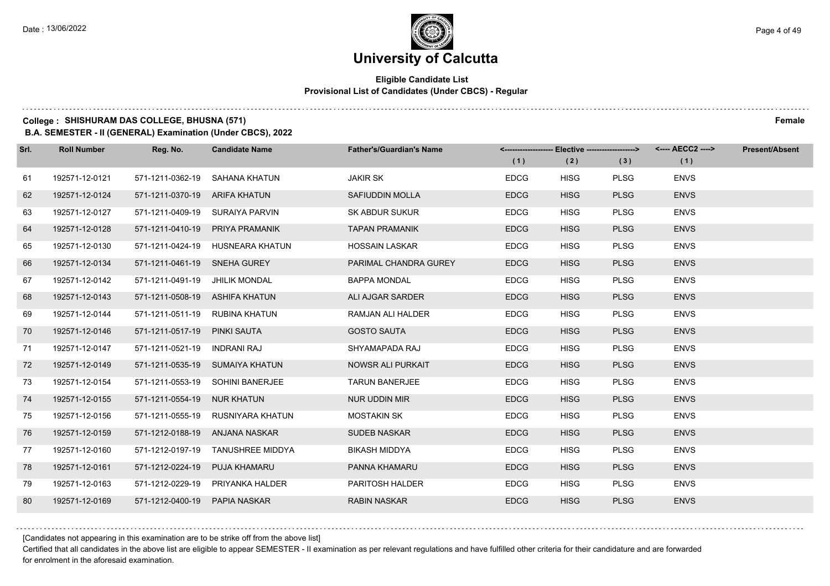### **Eligible Candidate List Provisional List of Candidates (Under CBCS) - Regular**

### **College : SHISHURAM DAS COLLEGE, BHUSNA (571) Female**

**B.A. SEMESTER - II (GENERAL) Examination (Under CBCS), 2022**

| Srl. | <b>Roll Number</b> | Reg. No.                       | <b>Candidate Name</b>             | <b>Father's/Guardian's Name</b> |             | <-------------------- Elective ------------------> |             | <---- AECC2 ----> | <b>Present/Absent</b> |
|------|--------------------|--------------------------------|-----------------------------------|---------------------------------|-------------|----------------------------------------------------|-------------|-------------------|-----------------------|
|      |                    |                                |                                   |                                 | (1)         | (2)                                                | (3)         | (1)               |                       |
| 61   | 192571-12-0121     | 571-1211-0362-19               | SAHANA KHATUN                     | <b>JAKIR SK</b>                 | <b>EDCG</b> | <b>HISG</b>                                        | <b>PLSG</b> | <b>ENVS</b>       |                       |
| 62   | 192571-12-0124     | 571-1211-0370-19 ARIFA KHATUN  |                                   | SAFIUDDIN MOLLA                 | <b>EDCG</b> | <b>HISG</b>                                        | <b>PLSG</b> | <b>ENVS</b>       |                       |
| 63   | 192571-12-0127     |                                | 571-1211-0409-19 SURAIYA PARVIN   | <b>SK ABDUR SUKUR</b>           | <b>EDCG</b> | <b>HISG</b>                                        | <b>PLSG</b> | <b>ENVS</b>       |                       |
| 64   | 192571-12-0128     |                                | 571-1211-0410-19 PRIYA PRAMANIK   | <b>TAPAN PRAMANIK</b>           | <b>EDCG</b> | <b>HISG</b>                                        | <b>PLSG</b> | <b>ENVS</b>       |                       |
| 65   | 192571-12-0130     |                                | 571-1211-0424-19 HUSNEARA KHATUN  | <b>HOSSAIN LASKAR</b>           | <b>EDCG</b> | <b>HISG</b>                                        | <b>PLSG</b> | <b>ENVS</b>       |                       |
| 66   | 192571-12-0134     | 571-1211-0461-19 SNEHA GUREY   |                                   | PARIMAL CHANDRA GUREY           | <b>EDCG</b> | <b>HISG</b>                                        | <b>PLSG</b> | <b>ENVS</b>       |                       |
| 67   | 192571-12-0142     | 571-1211-0491-19 JHILIK MONDAL |                                   | <b>BAPPA MONDAL</b>             | <b>EDCG</b> | <b>HISG</b>                                        | <b>PLSG</b> | <b>ENVS</b>       |                       |
| 68   | 192571-12-0143     | 571-1211-0508-19 ASHIFA KHATUN |                                   | ALI AJGAR SARDER                | <b>EDCG</b> | <b>HISG</b>                                        | <b>PLSG</b> | <b>ENVS</b>       |                       |
| 69   | 192571-12-0144     | 571-1211-0511-19 RUBINA KHATUN |                                   | RAMJAN ALI HALDER               | <b>EDCG</b> | <b>HISG</b>                                        | <b>PLSG</b> | <b>ENVS</b>       |                       |
| 70   | 192571-12-0146     | 571-1211-0517-19 PINKI SAUTA   |                                   | <b>GOSTO SAUTA</b>              | <b>EDCG</b> | <b>HISG</b>                                        | <b>PLSG</b> | <b>ENVS</b>       |                       |
| 71   | 192571-12-0147     | 571-1211-0521-19 INDRANI RAJ   |                                   | SHYAMAPADA RAJ                  | <b>EDCG</b> | <b>HISG</b>                                        | <b>PLSG</b> | <b>ENVS</b>       |                       |
| 72   | 192571-12-0149     |                                | 571-1211-0535-19 SUMAIYA KHATUN   | <b>NOWSR ALI PURKAIT</b>        | <b>EDCG</b> | <b>HISG</b>                                        | <b>PLSG</b> | <b>ENVS</b>       |                       |
| 73   | 192571-12-0154     |                                | 571-1211-0553-19 SOHINI BANERJEE  | <b>TARUN BANERJEE</b>           | <b>EDCG</b> | <b>HISG</b>                                        | <b>PLSG</b> | <b>ENVS</b>       |                       |
| 74   | 192571-12-0155     | 571-1211-0554-19 NUR KHATUN    |                                   | <b>NUR UDDIN MIR</b>            | <b>EDCG</b> | <b>HISG</b>                                        | <b>PLSG</b> | <b>ENVS</b>       |                       |
| 75   | 192571-12-0156     |                                | 571-1211-0555-19 RUSNIYARA KHATUN | <b>MOSTAKIN SK</b>              | <b>EDCG</b> | <b>HISG</b>                                        | <b>PLSG</b> | <b>ENVS</b>       |                       |
| 76   | 192571-12-0159     | 571-1212-0188-19 ANJANA NASKAR |                                   | <b>SUDEB NASKAR</b>             | <b>EDCG</b> | <b>HISG</b>                                        | <b>PLSG</b> | <b>ENVS</b>       |                       |
| 77   | 192571-12-0160     | 571-1212-0197-19               | TANUSHREE MIDDYA                  | <b>BIKASH MIDDYA</b>            | <b>EDCG</b> | <b>HISG</b>                                        | <b>PLSG</b> | <b>ENVS</b>       |                       |
| 78   | 192571-12-0161     | 571-1212-0224-19               | PUJA KHAMARU                      | PANNA KHAMARU                   | <b>EDCG</b> | <b>HISG</b>                                        | <b>PLSG</b> | <b>ENVS</b>       |                       |
| 79   | 192571-12-0163     |                                | 571-1212-0229-19 PRIYANKA HALDER  | PARITOSH HALDER                 | <b>EDCG</b> | <b>HISG</b>                                        | <b>PLSG</b> | <b>ENVS</b>       |                       |
| 80   | 192571-12-0169     | 571-1212-0400-19 PAPIA NASKAR  |                                   | <b>RABIN NASKAR</b>             | <b>EDCG</b> | <b>HISG</b>                                        | <b>PLSG</b> | <b>ENVS</b>       |                       |

[Candidates not appearing in this examination are to be strike off from the above list]

Certified that all candidates in the above list are eligible to appear SEMESTER - II examination as per relevant regulations and have fulfilled other criteria for their candidature and are forwarded for enrolment in the aforesaid examination.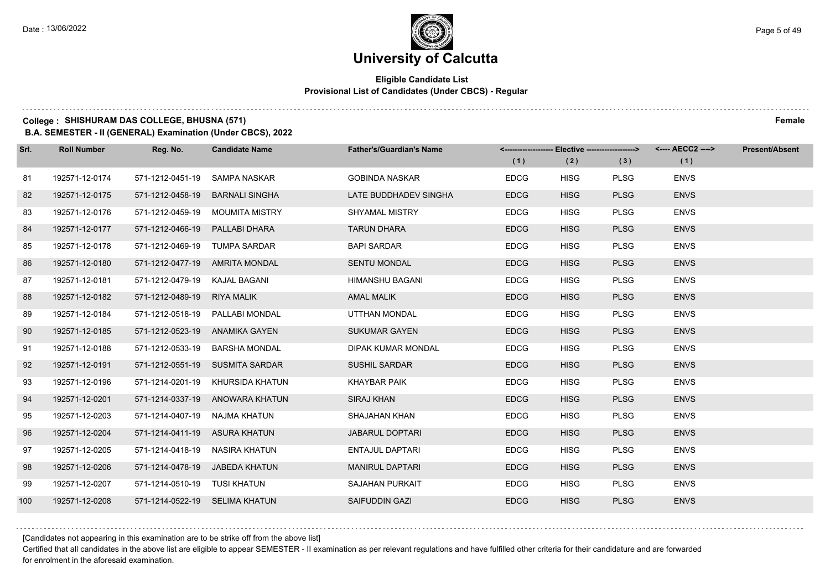### **Eligible Candidate List Provisional List of Candidates (Under CBCS) - Regular**

### **College : SHISHURAM DAS COLLEGE, BHUSNA (571) Female**

**B.A. SEMESTER - II (GENERAL) Examination (Under CBCS), 2022**

| Srl. | <b>Roll Number</b> | Reg. No.                       | <b>Candidate Name</b>            | <b>Father's/Guardian's Name</b> |             | <-------------------- Elective -------------------> |             |             | <b>Present/Absent</b> |
|------|--------------------|--------------------------------|----------------------------------|---------------------------------|-------------|-----------------------------------------------------|-------------|-------------|-----------------------|
|      |                    |                                |                                  |                                 | (1)         | (2)                                                 | (3)         | (1)         |                       |
| 81   | 192571-12-0174     | 571-1212-0451-19               | SAMPA NASKAR                     | <b>GOBINDA NASKAR</b>           | <b>EDCG</b> | <b>HISG</b>                                         | <b>PLSG</b> | <b>ENVS</b> |                       |
| 82   | 192571-12-0175     | 571-1212-0458-19               | <b>BARNALI SINGHA</b>            | LATE BUDDHADEV SINGHA           | <b>EDCG</b> | <b>HISG</b>                                         | <b>PLSG</b> | <b>ENVS</b> |                       |
| 83   | 192571-12-0176     |                                | 571-1212-0459-19 MOUMITA MISTRY  | SHYAMAL MISTRY                  | <b>EDCG</b> | <b>HISG</b>                                         | <b>PLSG</b> | <b>ENVS</b> |                       |
| 84   | 192571-12-0177     | 571-1212-0466-19 PALLABI DHARA |                                  | <b>TARUN DHARA</b>              | <b>EDCG</b> | <b>HISG</b>                                         | <b>PLSG</b> | <b>ENVS</b> |                       |
| 85   | 192571-12-0178     | 571-1212-0469-19               | TUMPA SARDAR                     | <b>BAPI SARDAR</b>              | <b>EDCG</b> | <b>HISG</b>                                         | <b>PLSG</b> | <b>ENVS</b> |                       |
| 86   | 192571-12-0180     |                                | 571-1212-0477-19 AMRITA MONDAL   | <b>SENTU MONDAL</b>             | <b>EDCG</b> | <b>HISG</b>                                         | <b>PLSG</b> | <b>ENVS</b> |                       |
| 87   | 192571-12-0181     | 571-1212-0479-19 KAJAL BAGANI  |                                  | HIMANSHU BAGANI                 | <b>EDCG</b> | <b>HISG</b>                                         | <b>PLSG</b> | <b>ENVS</b> |                       |
| 88   | 192571-12-0182     | 571-1212-0489-19 RIYA MALIK    |                                  | <b>AMAL MALIK</b>               | <b>EDCG</b> | <b>HISG</b>                                         | <b>PLSG</b> | <b>ENVS</b> |                       |
| 89   | 192571-12-0184     |                                | 571-1212-0518-19 PALLABI MONDAL  | UTTHAN MONDAL                   | <b>EDCG</b> | <b>HISG</b>                                         | <b>PLSG</b> | <b>ENVS</b> |                       |
| 90   | 192571-12-0185     | 571-1212-0523-19 ANAMIKA GAYEN |                                  | <b>SUKUMAR GAYEN</b>            | <b>EDCG</b> | <b>HISG</b>                                         | <b>PLSG</b> | <b>ENVS</b> |                       |
| 91   | 192571-12-0188     |                                | 571-1212-0533-19 BARSHA MONDAL   | DIPAK KUMAR MONDAL              | <b>EDCG</b> | <b>HISG</b>                                         | <b>PLSG</b> | <b>ENVS</b> |                       |
| 92   | 192571-12-0191     |                                | 571-1212-0551-19 SUSMITA SARDAR  | <b>SUSHIL SARDAR</b>            | <b>EDCG</b> | <b>HISG</b>                                         | <b>PLSG</b> | <b>ENVS</b> |                       |
| 93   | 192571-12-0196     |                                | 571-1214-0201-19 KHURSIDA KHATUN | KHAYBAR PAIK                    | <b>EDCG</b> | <b>HISG</b>                                         | <b>PLSG</b> | <b>ENVS</b> |                       |
| 94   | 192571-12-0201     |                                | 571-1214-0337-19 ANOWARA KHATUN  | <b>SIRAJ KHAN</b>               | <b>EDCG</b> | <b>HISG</b>                                         | <b>PLSG</b> | <b>ENVS</b> |                       |
| 95   | 192571-12-0203     | 571-1214-0407-19 NAJMA KHATUN  |                                  | SHAJAHAN KHAN                   | <b>EDCG</b> | <b>HISG</b>                                         | <b>PLSG</b> | <b>ENVS</b> |                       |
| 96   | 192571-12-0204     | 571-1214-0411-19 ASURA KHATUN  |                                  | <b>JABARUL DOPTARI</b>          | <b>EDCG</b> | <b>HISG</b>                                         | <b>PLSG</b> | <b>ENVS</b> |                       |
| 97   | 192571-12-0205     | 571-1214-0418-19               | NASIRA KHATUN                    | <b>ENTAJUL DAPTARI</b>          | <b>EDCG</b> | <b>HISG</b>                                         | <b>PLSG</b> | <b>ENVS</b> |                       |
| 98   | 192571-12-0206     |                                | 571-1214-0478-19 JABEDA KHATUN   | <b>MANIRUL DAPTARI</b>          | <b>EDCG</b> | <b>HISG</b>                                         | <b>PLSG</b> | <b>ENVS</b> |                       |
| 99   | 192571-12-0207     | 571-1214-0510-19 TUSI KHATUN   |                                  | SAJAHAN PURKAIT                 | <b>EDCG</b> | <b>HISG</b>                                         | <b>PLSG</b> | <b>ENVS</b> |                       |
| 100  | 192571-12-0208     | 571-1214-0522-19 SELIMA KHATUN |                                  | <b>SAIFUDDIN GAZI</b>           | <b>EDCG</b> | <b>HISG</b>                                         | <b>PLSG</b> | <b>ENVS</b> |                       |

[Candidates not appearing in this examination are to be strike off from the above list]

Certified that all candidates in the above list are eligible to appear SEMESTER - II examination as per relevant regulations and have fulfilled other criteria for their candidature and are forwarded for enrolment in the aforesaid examination.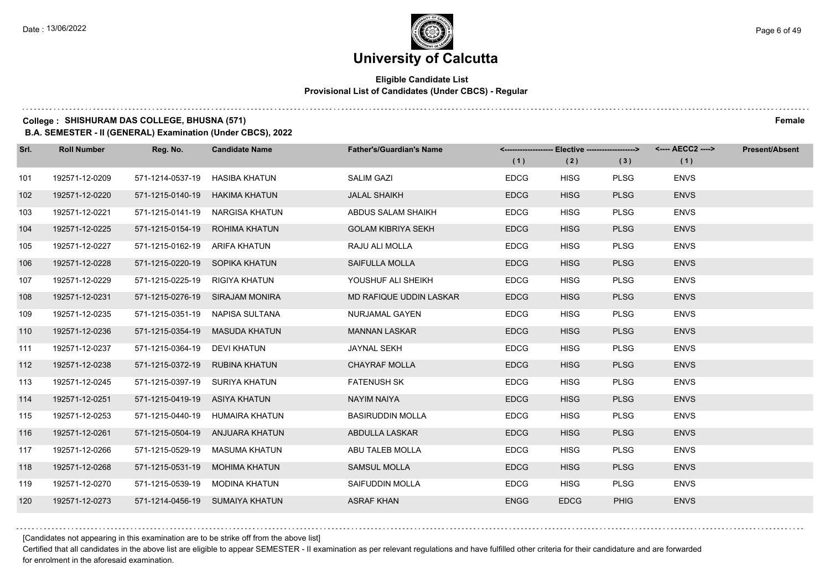### **Eligible Candidate List Provisional List of Candidates (Under CBCS) - Regular**

### **College : SHISHURAM DAS COLLEGE, BHUSNA (571) Female**

**B.A. SEMESTER - II (GENERAL) Examination (Under CBCS), 2022**

| Srl. | <b>Roll Number</b> | Reg. No.                       | <b>Candidate Name</b>           | <b>Father's/Guardian's Name</b> |             | <-------------------- Elective -------------------> |             | <---- AECC2 ----> | <b>Present/Absent</b> |
|------|--------------------|--------------------------------|---------------------------------|---------------------------------|-------------|-----------------------------------------------------|-------------|-------------------|-----------------------|
|      |                    |                                |                                 |                                 | (1)         | (2)                                                 | (3)         | (1)               |                       |
| 101  | 192571-12-0209     | 571-1214-0537-19               | HASIBA KHATUN                   | <b>SALIM GAZI</b>               | <b>EDCG</b> | <b>HISG</b>                                         | <b>PLSG</b> | <b>ENVS</b>       |                       |
| 102  | 192571-12-0220     | 571-1215-0140-19 HAKIMA KHATUN |                                 | <b>JALAL SHAIKH</b>             | <b>EDCG</b> | <b>HISG</b>                                         | <b>PLSG</b> | <b>ENVS</b>       |                       |
| 103  | 192571-12-0221     |                                | 571-1215-0141-19 NARGISA KHATUN | ABDUS SALAM SHAIKH              | <b>EDCG</b> | <b>HISG</b>                                         | <b>PLSG</b> | <b>ENVS</b>       |                       |
| 104  | 192571-12-0225     |                                | 571-1215-0154-19 ROHIMA KHATUN  | <b>GOLAM KIBRIYA SEKH</b>       | <b>EDCG</b> | <b>HISG</b>                                         | <b>PLSG</b> | <b>ENVS</b>       |                       |
| 105  | 192571-12-0227     | 571-1215-0162-19               | ARIFA KHATUN                    | RAJU ALI MOLLA                  | <b>EDCG</b> | <b>HISG</b>                                         | <b>PLSG</b> | <b>ENVS</b>       |                       |
| 106  | 192571-12-0228     | 571-1215-0220-19 SOPIKA KHATUN |                                 | SAIFULLA MOLLA                  | <b>EDCG</b> | <b>HISG</b>                                         | <b>PLSG</b> | <b>ENVS</b>       |                       |
| 107  | 192571-12-0229     | 571-1215-0225-19 RIGIYA KHATUN |                                 | YOUSHUF ALI SHEIKH              | <b>EDCG</b> | <b>HISG</b>                                         | <b>PLSG</b> | <b>ENVS</b>       |                       |
| 108  | 192571-12-0231     |                                | 571-1215-0276-19 SIRAJAM MONIRA | MD RAFIQUE UDDIN LASKAR         | <b>EDCG</b> | <b>HISG</b>                                         | <b>PLSG</b> | <b>ENVS</b>       |                       |
| 109  | 192571-12-0235     |                                | 571-1215-0351-19 NAPISA SULTANA | NURJAMAL GAYEN                  | <b>EDCG</b> | <b>HISG</b>                                         | <b>PLSG</b> | <b>ENVS</b>       |                       |
| 110  | 192571-12-0236     |                                | 571-1215-0354-19 MASUDA KHATUN  | <b>MANNAN LASKAR</b>            | <b>EDCG</b> | <b>HISG</b>                                         | <b>PLSG</b> | <b>ENVS</b>       |                       |
| 111  | 192571-12-0237     | 571-1215-0364-19 DEVI KHATUN   |                                 | <b>JAYNAL SEKH</b>              | <b>EDCG</b> | <b>HISG</b>                                         | <b>PLSG</b> | <b>ENVS</b>       |                       |
| 112  | 192571-12-0238     | 571-1215-0372-19 RUBINA KHATUN |                                 | <b>CHAYRAF MOLLA</b>            | <b>EDCG</b> | <b>HISG</b>                                         | <b>PLSG</b> | <b>ENVS</b>       |                       |
| 113  | 192571-12-0245     | 571-1215-0397-19 SURIYA KHATUN |                                 | <b>FATENUSH SK</b>              | <b>EDCG</b> | <b>HISG</b>                                         | <b>PLSG</b> | <b>ENVS</b>       |                       |
| 114  | 192571-12-0251     | 571-1215-0419-19 ASIYA KHATUN  |                                 | <b>NAYIM NAIYA</b>              | <b>EDCG</b> | <b>HISG</b>                                         | <b>PLSG</b> | <b>ENVS</b>       |                       |
| 115  | 192571-12-0253     |                                | 571-1215-0440-19 HUMAIRA KHATUN | <b>BASIRUDDIN MOLLA</b>         | <b>EDCG</b> | <b>HISG</b>                                         | <b>PLSG</b> | <b>ENVS</b>       |                       |
| 116  | 192571-12-0261     |                                | 571-1215-0504-19 ANJUARA KHATUN | ABDULLA LASKAR                  | <b>EDCG</b> | <b>HISG</b>                                         | <b>PLSG</b> | <b>ENVS</b>       |                       |
| 117  | 192571-12-0266     | 571-1215-0529-19               | MASUMA KHATUN                   | ABU TALEB MOLLA                 | <b>EDCG</b> | <b>HISG</b>                                         | <b>PLSG</b> | <b>ENVS</b>       |                       |
| 118  | 192571-12-0268     |                                | 571-1215-0531-19 MOHIMA KHATUN  | <b>SAMSUL MOLLA</b>             | <b>EDCG</b> | <b>HISG</b>                                         | <b>PLSG</b> | <b>ENVS</b>       |                       |
| 119  | 192571-12-0270     |                                | 571-1215-0539-19 MODINA KHATUN  | SAIFUDDIN MOLLA                 | <b>EDCG</b> | <b>HISG</b>                                         | <b>PLSG</b> | <b>ENVS</b>       |                       |
| 120  | 192571-12-0273     |                                | 571-1214-0456-19 SUMAIYA KHATUN | <b>ASRAF KHAN</b>               | <b>ENGG</b> | <b>EDCG</b>                                         | <b>PHIG</b> | <b>ENVS</b>       |                       |

[Candidates not appearing in this examination are to be strike off from the above list]

Certified that all candidates in the above list are eligible to appear SEMESTER - II examination as per relevant regulations and have fulfilled other criteria for their candidature and are forwarded for enrolment in the aforesaid examination.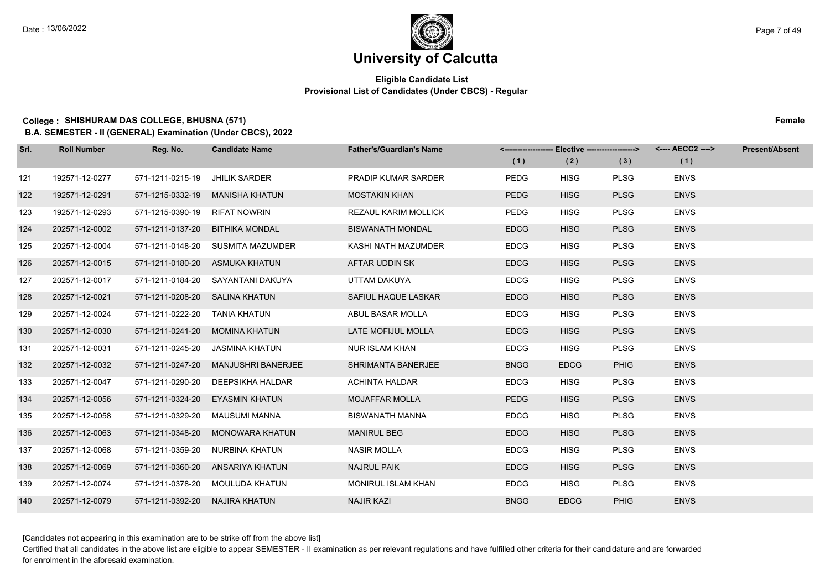### **Eligible Candidate List Provisional List of Candidates (Under CBCS) - Regular**

### **College : SHISHURAM DAS COLLEGE, BHUSNA (571) Female**

**B.A. SEMESTER - II (GENERAL) Examination (Under CBCS), 2022**

| Srl. | <b>Roll Number</b> | Reg. No.                       | <b>Candidate Name</b>               | <b>Father's/Guardian's Name</b> | (1)         | <-------------------- Elective ------------------><br>(2) | (3)         | (1)         | <b>Present/Absent</b> |
|------|--------------------|--------------------------------|-------------------------------------|---------------------------------|-------------|-----------------------------------------------------------|-------------|-------------|-----------------------|
| 121  | 192571-12-0277     | 571-1211-0215-19               | <b>JHILIK SARDER</b>                | PRADIP KUMAR SARDER             | <b>PEDG</b> | <b>HISG</b>                                               | <b>PLSG</b> | <b>ENVS</b> |                       |
| 122  | 192571-12-0291     | 571-1215-0332-19               | MANISHA KHATUN                      | <b>MOSTAKIN KHAN</b>            | <b>PEDG</b> | <b>HISG</b>                                               | <b>PLSG</b> | <b>ENVS</b> |                       |
| 123  | 192571-12-0293     | 571-1215-0390-19 RIFAT NOWRIN  |                                     | REZAUL KARIM MOLLICK            | <b>PEDG</b> | <b>HISG</b>                                               | <b>PLSG</b> | <b>ENVS</b> |                       |
| 124  | 202571-12-0002     |                                | 571-1211-0137-20 BITHIKA MONDAL     | <b>BISWANATH MONDAL</b>         | <b>EDCG</b> | <b>HISG</b>                                               | <b>PLSG</b> | <b>ENVS</b> |                       |
| 125  | 202571-12-0004     |                                | 571-1211-0148-20 SUSMITA MAZUMDER   | KASHI NATH MAZUMDER             | <b>EDCG</b> | <b>HISG</b>                                               | <b>PLSG</b> | <b>ENVS</b> |                       |
| 126  | 202571-12-0015     |                                | 571-1211-0180-20 ASMUKA KHATUN      | AFTAR UDDIN SK                  | <b>EDCG</b> | <b>HISG</b>                                               | <b>PLSG</b> | <b>ENVS</b> |                       |
| 127  | 202571-12-0017     |                                | 571-1211-0184-20 SAYANTANI DAKUYA   | UTTAM DAKUYA                    | <b>EDCG</b> | <b>HISG</b>                                               | <b>PLSG</b> | <b>ENVS</b> |                       |
| 128  | 202571-12-0021     | 571-1211-0208-20 SALINA KHATUN |                                     | SAFIUL HAQUE LASKAR             | <b>EDCG</b> | <b>HISG</b>                                               | <b>PLSG</b> | <b>ENVS</b> |                       |
| 129  | 202571-12-0024     | 571-1211-0222-20 TANIA KHATUN  |                                     | ABUL BASAR MOLLA                | <b>EDCG</b> | <b>HISG</b>                                               | <b>PLSG</b> | <b>ENVS</b> |                       |
| 130  | 202571-12-0030     |                                | 571-1211-0241-20 MOMINA KHATUN      | LATE MOFIJUL MOLLA              | <b>EDCG</b> | <b>HISG</b>                                               | <b>PLSG</b> | <b>ENVS</b> |                       |
| 131  | 202571-12-0031     |                                | 571-1211-0245-20 JASMINA KHATUN     | <b>NUR ISLAM KHAN</b>           | <b>EDCG</b> | <b>HISG</b>                                               | <b>PLSG</b> | <b>ENVS</b> |                       |
| 132  | 202571-12-0032     |                                | 571-1211-0247-20 MANJUSHRI BANERJEE | SHRIMANTA BANERJEE              | <b>BNGG</b> | <b>EDCG</b>                                               | <b>PHIG</b> | <b>ENVS</b> |                       |
| 133  | 202571-12-0047     | 571-1211-0290-20               | DEEPSIKHA HALDAR                    | <b>ACHINTA HALDAR</b>           | <b>EDCG</b> | <b>HISG</b>                                               | <b>PLSG</b> | <b>ENVS</b> |                       |
| 134  | 202571-12-0056     |                                | 571-1211-0324-20 EYASMIN KHATUN     | <b>MOJAFFAR MOLLA</b>           | PEDG        | <b>HISG</b>                                               | <b>PLSG</b> | <b>ENVS</b> |                       |
| 135  | 202571-12-0058     |                                | 571-1211-0329-20 MAUSUMI MANNA      | <b>BISWANATH MANNA</b>          | <b>EDCG</b> | <b>HISG</b>                                               | <b>PLSG</b> | <b>ENVS</b> |                       |
| 136  | 202571-12-0063     |                                | 571-1211-0348-20 MONOWARA KHATUN    | <b>MANIRUL BEG</b>              | <b>EDCG</b> | <b>HISG</b>                                               | <b>PLSG</b> | <b>ENVS</b> |                       |
| 137  | 202571-12-0068     | 571-1211-0359-20               | NURBINA KHATUN                      | <b>NASIR MOLLA</b>              | <b>EDCG</b> | <b>HISG</b>                                               | <b>PLSG</b> | <b>ENVS</b> |                       |
| 138  | 202571-12-0069     |                                | 571-1211-0360-20 ANSARIYA KHATUN    | <b>NAJRUL PAIK</b>              | <b>EDCG</b> | <b>HISG</b>                                               | <b>PLSG</b> | <b>ENVS</b> |                       |
| 139  | 202571-12-0074     |                                | 571-1211-0378-20 MOULUDA KHATUN     | <b>MONIRUL ISLAM KHAN</b>       | <b>EDCG</b> | <b>HISG</b>                                               | <b>PLSG</b> | <b>ENVS</b> |                       |
| 140  | 202571-12-0079     | 571-1211-0392-20 NAJIRA KHATUN |                                     | <b>NAJIR KAZI</b>               | <b>BNGG</b> | <b>EDCG</b>                                               | <b>PHIG</b> | <b>ENVS</b> |                       |

[Candidates not appearing in this examination are to be strike off from the above list]

Certified that all candidates in the above list are eligible to appear SEMESTER - II examination as per relevant regulations and have fulfilled other criteria for their candidature and are forwarded for enrolment in the aforesaid examination.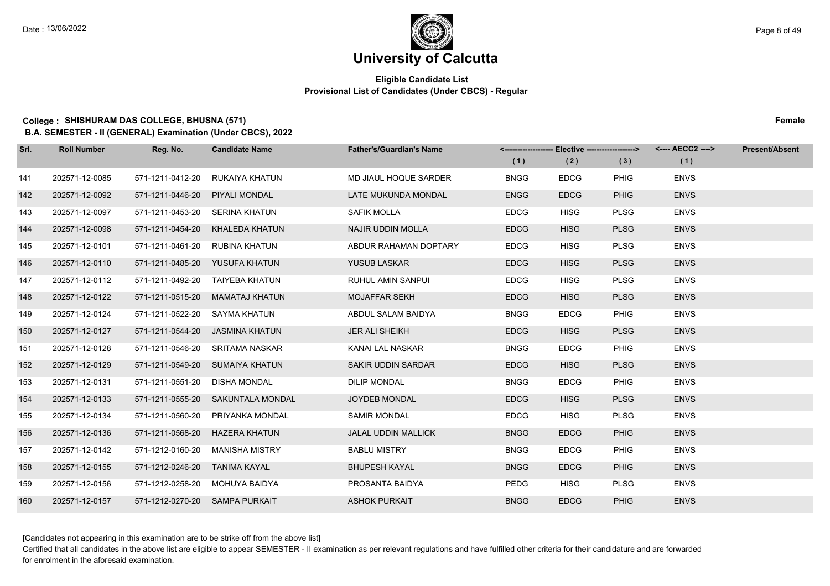### **Eligible Candidate List Provisional List of Candidates (Under CBCS) - Regular**

### **College : SHISHURAM DAS COLLEGE, BHUSNA (571) Female**

**B.A. SEMESTER - II (GENERAL) Examination (Under CBCS), 2022**

| Srl. | <b>Roll Number</b> | Reg. No.                       | <b>Candidate Name</b>             | <b>Father's/Guardian's Name</b> | (1)         | <-------------------- Elective ------------------><br>(2) | (3)         | <---- AECC2 ----><br>(1) | Present/Absent |
|------|--------------------|--------------------------------|-----------------------------------|---------------------------------|-------------|-----------------------------------------------------------|-------------|--------------------------|----------------|
| 141  | 202571-12-0085     | 571-1211-0412-20               | RUKAIYA KHATUN                    | MD JIAUL HOQUE SARDER           | <b>BNGG</b> | <b>EDCG</b>                                               | <b>PHIG</b> | <b>ENVS</b>              |                |
| 142  | 202571-12-0092     | 571-1211-0446-20 PIYALI MONDAL |                                   | LATE MUKUNDA MONDAL             | <b>ENGG</b> | <b>EDCG</b>                                               | <b>PHIG</b> | <b>ENVS</b>              |                |
| 143  | 202571-12-0097     | 571-1211-0453-20 SERINA KHATUN |                                   | <b>SAFIK MOLLA</b>              | <b>EDCG</b> | <b>HISG</b>                                               | <b>PLSG</b> | <b>ENVS</b>              |                |
| 144  | 202571-12-0098     |                                | 571-1211-0454-20 KHALEDA KHATUN   | NAJIR UDDIN MOLLA               | <b>EDCG</b> | <b>HISG</b>                                               | <b>PLSG</b> | <b>ENVS</b>              |                |
| 145  | 202571-12-0101     | 571-1211-0461-20               | RUBINA KHATUN                     | ABDUR RAHAMAN DOPTARY           | <b>EDCG</b> | <b>HISG</b>                                               | <b>PLSG</b> | <b>ENVS</b>              |                |
| 146  | 202571-12-0110     |                                | 571-1211-0485-20 YUSUFA KHATUN    | <b>YUSUB LASKAR</b>             | <b>EDCG</b> | <b>HISG</b>                                               | <b>PLSG</b> | <b>ENVS</b>              |                |
| 147  | 202571-12-0112     |                                | 571-1211-0492-20 TAIYEBA KHATUN   | <b>RUHUL AMIN SANPUL</b>        | <b>EDCG</b> | <b>HISG</b>                                               | <b>PLSG</b> | <b>ENVS</b>              |                |
| 148  | 202571-12-0122     |                                | 571-1211-0515-20 MAMATAJ KHATUN   | <b>MOJAFFAR SEKH</b>            | <b>EDCG</b> | <b>HISG</b>                                               | <b>PLSG</b> | <b>ENVS</b>              |                |
| 149  | 202571-12-0124     | 571-1211-0522-20 SAYMA KHATUN  |                                   | ABDUL SALAM BAIDYA              | <b>BNGG</b> | <b>EDCG</b>                                               | PHIG        | <b>ENVS</b>              |                |
| 150  | 202571-12-0127     |                                | 571-1211-0544-20 JASMINA KHATUN   | <b>JER ALI SHEIKH</b>           | <b>EDCG</b> | <b>HISG</b>                                               | <b>PLSG</b> | <b>ENVS</b>              |                |
| 151  | 202571-12-0128     |                                | 571-1211-0546-20 SRITAMA NASKAR   | KANAI LAL NASKAR                | <b>BNGG</b> | <b>EDCG</b>                                               | PHIG        | <b>ENVS</b>              |                |
| 152  | 202571-12-0129     |                                | 571-1211-0549-20 SUMAIYA KHATUN   | SAKIR UDDIN SARDAR              | <b>EDCG</b> | <b>HISG</b>                                               | <b>PLSG</b> | <b>ENVS</b>              |                |
| 153  | 202571-12-0131     | 571-1211-0551-20 DISHA MONDAL  |                                   | <b>DILIP MONDAL</b>             | <b>BNGG</b> | <b>EDCG</b>                                               | PHIG        | <b>ENVS</b>              |                |
| 154  | 202571-12-0133     |                                | 571-1211-0555-20 SAKUNTALA MONDAL | <b>JOYDEB MONDAL</b>            | <b>EDCG</b> | <b>HISG</b>                                               | <b>PLSG</b> | <b>ENVS</b>              |                |
| 155  | 202571-12-0134     |                                | 571-1211-0560-20 PRIYANKA MONDAL  | <b>SAMIR MONDAL</b>             | <b>EDCG</b> | <b>HISG</b>                                               | <b>PLSG</b> | <b>ENVS</b>              |                |
| 156  | 202571-12-0136     |                                | 571-1211-0568-20 HAZERA KHATUN    | <b>JALAL UDDIN MALLICK</b>      | <b>BNGG</b> | <b>EDCG</b>                                               | <b>PHIG</b> | <b>ENVS</b>              |                |
| 157  | 202571-12-0142     | 571-1212-0160-20               | MANISHA MISTRY                    | <b>BABLU MISTRY</b>             | <b>BNGG</b> | <b>EDCG</b>                                               | <b>PHIG</b> | <b>ENVS</b>              |                |
| 158  | 202571-12-0155     | 571-1212-0246-20 TANIMA KAYAL  |                                   | <b>BHUPESH KAYAL</b>            | <b>BNGG</b> | <b>EDCG</b>                                               | <b>PHIG</b> | <b>ENVS</b>              |                |
| 159  | 202571-12-0156     |                                | 571-1212-0258-20 MOHUYA BAIDYA    | PROSANTA BAIDYA                 | PEDG        | <b>HISG</b>                                               | <b>PLSG</b> | <b>ENVS</b>              |                |
| 160  | 202571-12-0157     | 571-1212-0270-20 SAMPA PURKAIT |                                   | <b>ASHOK PURKAIT</b>            | <b>BNGG</b> | <b>EDCG</b>                                               | <b>PHIG</b> | <b>ENVS</b>              |                |

[Candidates not appearing in this examination are to be strike off from the above list]

Certified that all candidates in the above list are eligible to appear SEMESTER - II examination as per relevant regulations and have fulfilled other criteria for their candidature and are forwarded for enrolment in the aforesaid examination.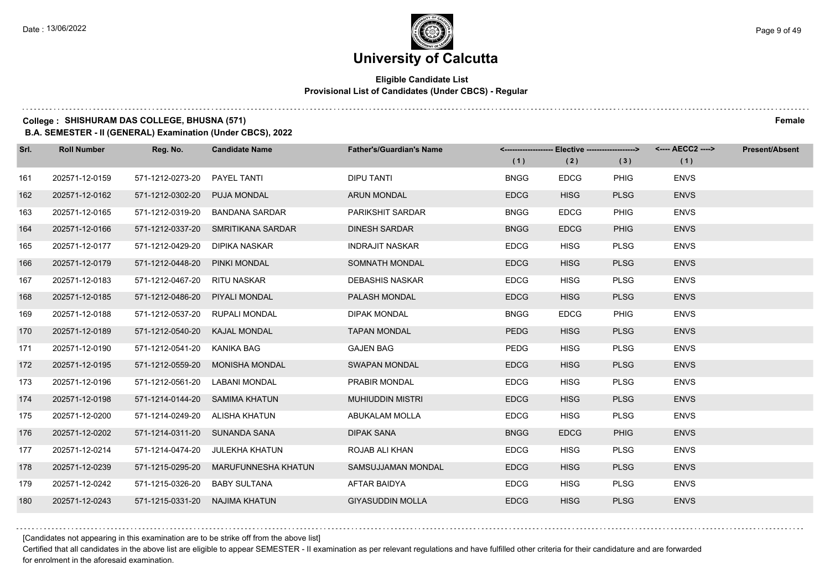### **Eligible Candidate List Provisional List of Candidates (Under CBCS) - Regular**

### **College : SHISHURAM DAS COLLEGE, BHUSNA (571) Female**

**B.A. SEMESTER - II (GENERAL) Examination (Under CBCS), 2022**

| Srl. | <b>Roll Number</b> | Reg. No.                       | <b>Candidate Name</b>              | <b>Father's/Guardian's Name</b> |             | <-------------------- Elective -------------------> |             | <---- AECC2 ----> | <b>Present/Absent</b> |
|------|--------------------|--------------------------------|------------------------------------|---------------------------------|-------------|-----------------------------------------------------|-------------|-------------------|-----------------------|
|      |                    |                                |                                    |                                 | (1)         | (2)                                                 | (3)         | (1)               |                       |
| 161  | 202571-12-0159     | 571-1212-0273-20               | <b>PAYEL TANTI</b>                 | <b>DIPU TANTI</b>               | <b>BNGG</b> | <b>EDCG</b>                                         | <b>PHIG</b> | <b>ENVS</b>       |                       |
| 162  | 202571-12-0162     | 571-1212-0302-20               | <b>PUJA MONDAL</b>                 | <b>ARUN MONDAL</b>              | <b>EDCG</b> | <b>HISG</b>                                         | <b>PLSG</b> | <b>ENVS</b>       |                       |
| 163  | 202571-12-0165     | 571-1212-0319-20               | BANDANA SARDAR                     | PARIKSHIT SARDAR                | <b>BNGG</b> | <b>EDCG</b>                                         | <b>PHIG</b> | <b>ENVS</b>       |                       |
| 164  | 202571-12-0166     |                                | 571-1212-0337-20 SMRITIKANA SARDAR | <b>DINESH SARDAR</b>            | <b>BNGG</b> | <b>EDCG</b>                                         | <b>PHIG</b> | <b>ENVS</b>       |                       |
| 165  | 202571-12-0177     | 571-1212-0429-20               | DIPIKA NASKAR                      | <b>INDRAJIT NASKAR</b>          | <b>EDCG</b> | <b>HISG</b>                                         | <b>PLSG</b> | <b>ENVS</b>       |                       |
| 166  | 202571-12-0179     | 571-1212-0448-20               | PINKI MONDAL                       | SOMNATH MONDAL                  | <b>EDCG</b> | <b>HISG</b>                                         | <b>PLSG</b> | <b>ENVS</b>       |                       |
| 167  | 202571-12-0183     | 571-1212-0467-20               | RITU NASKAR                        | <b>DEBASHIS NASKAR</b>          | <b>EDCG</b> | <b>HISG</b>                                         | <b>PLSG</b> | <b>ENVS</b>       |                       |
| 168  | 202571-12-0185     | 571-1212-0486-20               | PIYALI MONDAL                      | <b>PALASH MONDAL</b>            | <b>EDCG</b> | <b>HISG</b>                                         | <b>PLSG</b> | <b>ENVS</b>       |                       |
| 169  | 202571-12-0188     | 571-1212-0537-20               | <b>RUPALI MONDAL</b>               | <b>DIPAK MONDAL</b>             | <b>BNGG</b> | <b>EDCG</b>                                         | <b>PHIG</b> | <b>ENVS</b>       |                       |
| 170  | 202571-12-0189     | 571-1212-0540-20               | KAJAL MONDAL                       | <b>TAPAN MONDAL</b>             | <b>PEDG</b> | <b>HISG</b>                                         | <b>PLSG</b> | <b>ENVS</b>       |                       |
| 171  | 202571-12-0190     | 571-1212-0541-20               | KANIKA BAG                         | <b>GAJEN BAG</b>                | <b>PEDG</b> | <b>HISG</b>                                         | <b>PLSG</b> | <b>ENVS</b>       |                       |
| 172  | 202571-12-0195     |                                | 571-1212-0559-20 MONISHA MONDAL    | <b>SWAPAN MONDAL</b>            | <b>EDCG</b> | <b>HISG</b>                                         | <b>PLSG</b> | <b>ENVS</b>       |                       |
| 173  | 202571-12-0196     | 571-1212-0561-20               | LABANI MONDAL                      | PRABIR MONDAL                   | <b>EDCG</b> | <b>HISG</b>                                         | <b>PLSG</b> | <b>ENVS</b>       |                       |
| 174  | 202571-12-0198     |                                | 571-1214-0144-20 SAMIMA KHATUN     | <b>MUHIUDDIN MISTRI</b>         | <b>EDCG</b> | <b>HISG</b>                                         | <b>PLSG</b> | <b>ENVS</b>       |                       |
| 175  | 202571-12-0200     | 571-1214-0249-20 ALISHA KHATUN |                                    | ABUKALAM MOLLA                  | <b>EDCG</b> | <b>HISG</b>                                         | <b>PLSG</b> | <b>ENVS</b>       |                       |
| 176  | 202571-12-0202     | 571-1214-0311-20 SUNANDA SANA  |                                    | <b>DIPAK SANA</b>               | <b>BNGG</b> | <b>EDCG</b>                                         | <b>PHIG</b> | <b>ENVS</b>       |                       |
| 177  | 202571-12-0214     | 571-1214-0474-20               | <b>JULEKHA KHATUN</b>              | ROJAB ALI KHAN                  | <b>EDCG</b> | <b>HISG</b>                                         | <b>PLSG</b> | <b>ENVS</b>       |                       |
| 178  | 202571-12-0239     | 571-1215-0295-20               | MARUFUNNESHA KHATUN                | SAMSUJJAMAN MONDAL              | <b>EDCG</b> | <b>HISG</b>                                         | <b>PLSG</b> | <b>ENVS</b>       |                       |
| 179  | 202571-12-0242     | 571-1215-0326-20               | BABY SULTANA                       | AFTAR BAIDYA                    | <b>EDCG</b> | <b>HISG</b>                                         | <b>PLSG</b> | <b>ENVS</b>       |                       |
| 180  | 202571-12-0243     | 571-1215-0331-20 NAJIMA KHATUN |                                    | <b>GIYASUDDIN MOLLA</b>         | <b>EDCG</b> | <b>HISG</b>                                         | <b>PLSG</b> | <b>ENVS</b>       |                       |

[Candidates not appearing in this examination are to be strike off from the above list]

Certified that all candidates in the above list are eligible to appear SEMESTER - II examination as per relevant regulations and have fulfilled other criteria for their candidature and are forwarded for enrolment in the aforesaid examination.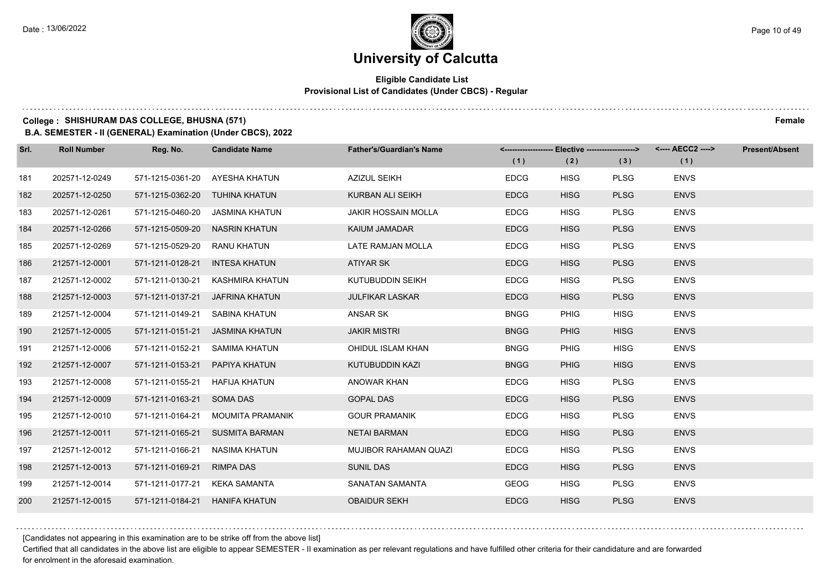### **Eligible Candidate List Provisional List of Candidates (Under CBCS) - Regular**

### **College : SHISHURAM DAS COLLEGE, BHUSNA (571) Female**

**B.A. SEMESTER - II (GENERAL) Examination (Under CBCS), 2022**

| Srl. | <b>Roll Number</b> | Reg. No.                       | <b>Candidate Name</b>           | <b>Father's/Guardian's Name</b> | (1)         | (2)         | <------------------- Elective ------------------> <---- AECC2 ----><br>(3) | (1)         | <b>Present/Absent</b> |
|------|--------------------|--------------------------------|---------------------------------|---------------------------------|-------------|-------------|----------------------------------------------------------------------------|-------------|-----------------------|
| 181  | 202571-12-0249     | 571-1215-0361-20               | AYESHA KHATUN                   | <b>AZIZUL SEIKH</b>             | <b>EDCG</b> | <b>HISG</b> | <b>PLSG</b>                                                                | <b>ENVS</b> |                       |
| 182  | 202571-12-0250     | 571-1215-0362-20 TUHINA KHATUN |                                 | <b>KURBAN ALI SEIKH</b>         | <b>EDCG</b> | <b>HISG</b> | <b>PLSG</b>                                                                | <b>ENVS</b> |                       |
| 183  | 202571-12-0261     | 571-1215-0460-20               | JASMINA KHATUN                  | <b>JAKIR HOSSAIN MOLLA</b>      | <b>EDCG</b> | <b>HISG</b> | <b>PLSG</b>                                                                | <b>ENVS</b> |                       |
| 184  | 202571-12-0266     | 571-1215-0509-20 NASRIN KHATUN |                                 | KAIUM JAMADAR                   | <b>EDCG</b> | <b>HISG</b> | <b>PLSG</b>                                                                | <b>ENVS</b> |                       |
| 185  | 202571-12-0269     | 571-1215-0529-20               | <b>RANU KHATUN</b>              | LATE RAMJAN MOLLA               | <b>EDCG</b> | <b>HISG</b> | <b>PLSG</b>                                                                | <b>ENVS</b> |                       |
| 186  | 212571-12-0001     | 571-1211-0128-21               | <b>INTESA KHATUN</b>            | ATIYAR SK                       | <b>EDCG</b> | <b>HISG</b> | <b>PLSG</b>                                                                | <b>ENVS</b> |                       |
| 187  | 212571-12-0002     | 571-1211-0130-21               | KASHMIRA KHATUN                 | KUTUBUDDIN SEIKH                | <b>EDCG</b> | <b>HISG</b> | <b>PLSG</b>                                                                | <b>ENVS</b> |                       |
| 188  | 212571-12-0003     |                                | 571-1211-0137-21 JAFRINA KHATUN | <b>JULFIKAR LASKAR</b>          | <b>EDCG</b> | <b>HISG</b> | <b>PLSG</b>                                                                | <b>ENVS</b> |                       |
| 189  | 212571-12-0004     | 571-1211-0149-21               | SABINA KHATUN                   | ANSAR SK                        | <b>BNGG</b> | <b>PHIG</b> | <b>HISG</b>                                                                | <b>ENVS</b> |                       |
| 190  | 212571-12-0005     |                                | 571-1211-0151-21 JASMINA KHATUN | <b>JAKIR MISTRI</b>             | <b>BNGG</b> | <b>PHIG</b> | <b>HISG</b>                                                                | <b>ENVS</b> |                       |
| 191  | 212571-12-0006     |                                | 571-1211-0152-21 SAMIMA KHATUN  | OHIDUL ISLAM KHAN               | <b>BNGG</b> | <b>PHIG</b> | <b>HISG</b>                                                                | <b>ENVS</b> |                       |
| 192  | 212571-12-0007     | 571-1211-0153-21 PAPIYA KHATUN |                                 | KUTUBUDDIN KAZI                 | <b>BNGG</b> | <b>PHIG</b> | <b>HISG</b>                                                                | <b>ENVS</b> |                       |
| 193  | 212571-12-0008     | 571-1211-0155-21               | HAFIJA KHATUN                   | <b>ANOWAR KHAN</b>              | <b>EDCG</b> | <b>HISG</b> | <b>PLSG</b>                                                                | <b>ENVS</b> |                       |
| 194  | 212571-12-0009     | 571-1211-0163-21 SOMA DAS      |                                 | <b>GOPAL DAS</b>                | <b>EDCG</b> | <b>HISG</b> | <b>PLSG</b>                                                                | <b>ENVS</b> |                       |
| 195  | 212571-12-0010     | 571-1211-0164-21               | MOUMITA PRAMANIK                | <b>GOUR PRAMANIK</b>            | <b>EDCG</b> | <b>HISG</b> | <b>PLSG</b>                                                                | <b>ENVS</b> |                       |
| 196  | 212571-12-0011     |                                | 571-1211-0165-21 SUSMITA BARMAN | <b>NETAI BARMAN</b>             | <b>EDCG</b> | <b>HISG</b> | <b>PLSG</b>                                                                | <b>ENVS</b> |                       |
| 197  | 212571-12-0012     | 571-1211-0166-21               | NASIMA KHATUN                   | MUJIBOR RAHAMAN QUAZI           | <b>EDCG</b> | <b>HISG</b> | <b>PLSG</b>                                                                | <b>ENVS</b> |                       |
| 198  | 212571-12-0013     | 571-1211-0169-21 RIMPA DAS     |                                 | <b>SUNIL DAS</b>                | <b>EDCG</b> | <b>HISG</b> | <b>PLSG</b>                                                                | <b>ENVS</b> |                       |
| 199  | 212571-12-0014     | 571-1211-0177-21 KEKA SAMANTA  |                                 | SANATAN SAMANTA                 | <b>GEOG</b> | <b>HISG</b> | <b>PLSG</b>                                                                | <b>ENVS</b> |                       |
| 200  | 212571-12-0015     | 571-1211-0184-21 HANIFA KHATUN |                                 | <b>OBAIDUR SEKH</b>             | <b>EDCG</b> | <b>HISG</b> | <b>PLSG</b>                                                                | <b>ENVS</b> |                       |

[Candidates not appearing in this examination are to be strike off from the above list]

Certified that all candidates in the above list are eligible to appear SEMESTER - II examination as per relevant regulations and have fulfilled other criteria for their candidature and are forwarded for enrolment in the aforesaid examination.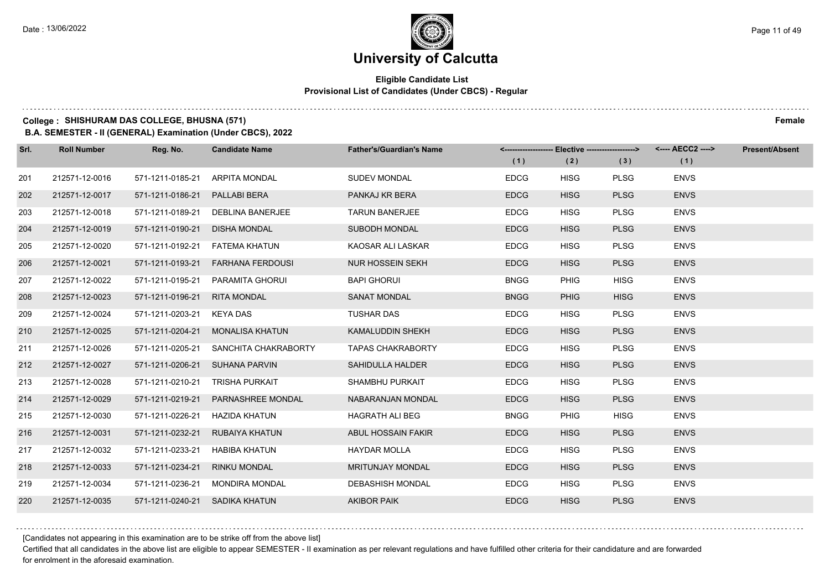### **Eligible Candidate List Provisional List of Candidates (Under CBCS) - Regular**

### **College : SHISHURAM DAS COLLEGE, BHUSNA (571) Female**

**B.A. SEMESTER - II (GENERAL) Examination (Under CBCS), 2022**

| Srl. | <b>Roll Number</b> | Reg. No.                       | <b>Candidate Name</b>                 | <b>Father's/Guardian's Name</b> | <-------------------- Elective -------------------><br>(1) | (2)         | (3)         | (1)         | Present/Absent |
|------|--------------------|--------------------------------|---------------------------------------|---------------------------------|------------------------------------------------------------|-------------|-------------|-------------|----------------|
| 201  | 212571-12-0016     | 571-1211-0185-21               | ARPITA MONDAL                         | <b>SUDEV MONDAL</b>             | <b>EDCG</b>                                                | <b>HISG</b> | <b>PLSG</b> | <b>ENVS</b> |                |
| 202  | 212571-12-0017     | 571-1211-0186-21               | PALLABI BERA                          | PANKAJ KR BERA                  | <b>EDCG</b>                                                | <b>HISG</b> | <b>PLSG</b> | <b>ENVS</b> |                |
| 203  | 212571-12-0018     | 571-1211-0189-21               | <b>DEBLINA BANERJEE</b>               | <b>TARUN BANERJEE</b>           | <b>EDCG</b>                                                | <b>HISG</b> | <b>PLSG</b> | <b>ENVS</b> |                |
| 204  | 212571-12-0019     | 571-1211-0190-21               | <b>DISHA MONDAL</b>                   | <b>SUBODH MONDAL</b>            | <b>EDCG</b>                                                | <b>HISG</b> | <b>PLSG</b> | <b>ENVS</b> |                |
| 205  | 212571-12-0020     | 571-1211-0192-21               | FATEMA KHATUN                         | KAOSAR ALI LASKAR               | <b>EDCG</b>                                                | <b>HISG</b> | <b>PLSG</b> | <b>ENVS</b> |                |
| 206  | 212571-12-0021     | 571-1211-0193-21               | <b>FARHANA FERDOUSI</b>               | NUR HOSSEIN SEKH                | <b>EDCG</b>                                                | <b>HISG</b> | <b>PLSG</b> | <b>ENVS</b> |                |
| 207  | 212571-12-0022     | 571-1211-0195-21               | PARAMITA GHORUI                       | <b>BAPI GHORUI</b>              | <b>BNGG</b>                                                | <b>PHIG</b> | <b>HISG</b> | <b>ENVS</b> |                |
| 208  | 212571-12-0023     | 571-1211-0196-21               | <b>RITA MONDAL</b>                    | <b>SANAT MONDAL</b>             | <b>BNGG</b>                                                | <b>PHIG</b> | <b>HISG</b> | <b>ENVS</b> |                |
| 209  | 212571-12-0024     | 571-1211-0203-21               | KEYA DAS                              | <b>TUSHAR DAS</b>               | <b>EDCG</b>                                                | <b>HISG</b> | <b>PLSG</b> | <b>ENVS</b> |                |
| 210  | 212571-12-0025     | 571-1211-0204-21               | <b>MONALISA KHATUN</b>                | KAMALUDDIN SHEKH                | <b>EDCG</b>                                                | <b>HISG</b> | <b>PLSG</b> | <b>ENVS</b> |                |
| 211  | 212571-12-0026     |                                | 571-1211-0205-21 SANCHITA CHAKRABORTY | <b>TAPAS CHAKRABORTY</b>        | <b>EDCG</b>                                                | <b>HISG</b> | <b>PLSG</b> | <b>ENVS</b> |                |
| 212  | 212571-12-0027     | 571-1211-0206-21 SUHANA PARVIN |                                       | SAHIDULLA HALDER                | <b>EDCG</b>                                                | <b>HISG</b> | <b>PLSG</b> | <b>ENVS</b> |                |
| 213  | 212571-12-0028     | 571-1211-0210-21               | <b>TRISHA PURKAIT</b>                 | SHAMBHU PURKAIT                 | <b>EDCG</b>                                                | <b>HISG</b> | <b>PLSG</b> | <b>ENVS</b> |                |
| 214  | 212571-12-0029     | 571-1211-0219-21               | <b>PARNASHREE MONDAL</b>              | NABARANJAN MONDAL               | <b>EDCG</b>                                                | <b>HISG</b> | <b>PLSG</b> | <b>ENVS</b> |                |
| 215  | 212571-12-0030     | 571-1211-0226-21               | HAZIDA KHATUN                         | <b>HAGRATH ALI BEG</b>          | <b>BNGG</b>                                                | <b>PHIG</b> | <b>HISG</b> | <b>ENVS</b> |                |
| 216  | 212571-12-0031     | 571-1211-0232-21               | RUBAIYA KHATUN                        | ABUL HOSSAIN FAKIR              | <b>EDCG</b>                                                | <b>HISG</b> | <b>PLSG</b> | <b>ENVS</b> |                |
| 217  | 212571-12-0032     | 571-1211-0233-21               | <b>HABIBA KHATUN</b>                  | <b>HAYDAR MOLLA</b>             | <b>EDCG</b>                                                | <b>HISG</b> | <b>PLSG</b> | <b>ENVS</b> |                |
| 218  | 212571-12-0033     | 571-1211-0234-21               | <b>RINKU MONDAL</b>                   | <b>MRITUNJAY MONDAL</b>         | <b>EDCG</b>                                                | <b>HISG</b> | <b>PLSG</b> | <b>ENVS</b> |                |
| 219  | 212571-12-0034     | 571-1211-0236-21               | MONDIRA MONDAL                        | <b>DEBASHISH MONDAL</b>         | <b>EDCG</b>                                                | <b>HISG</b> | <b>PLSG</b> | <b>ENVS</b> |                |
| 220  | 212571-12-0035     | 571-1211-0240-21 SADIKA KHATUN |                                       | <b>AKIBOR PAIK</b>              | <b>EDCG</b>                                                | <b>HISG</b> | <b>PLSG</b> | <b>ENVS</b> |                |

[Candidates not appearing in this examination are to be strike off from the above list]

Certified that all candidates in the above list are eligible to appear SEMESTER - II examination as per relevant regulations and have fulfilled other criteria for their candidature and are forwarded for enrolment in the aforesaid examination.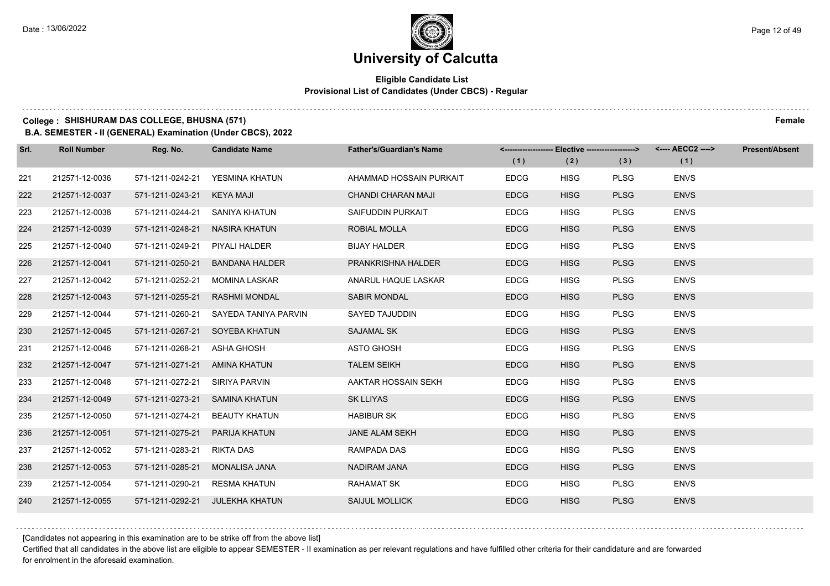### **Eligible Candidate List Provisional List of Candidates (Under CBCS) - Regular**

### **College : SHISHURAM DAS COLLEGE, BHUSNA (571) Female**

**B.A. SEMESTER - II (GENERAL) Examination (Under CBCS), 2022**

| Srl. | <b>Roll Number</b> | Reg. No.                       | <b>Candidate Name</b>                 | <b>Father's/Guardian's Name</b> | <------------------- Elective ------------------><br>(1) | (2)         | (3)         | <---- AECC2 ----><br>(1) | <b>Present/Absent</b> |
|------|--------------------|--------------------------------|---------------------------------------|---------------------------------|----------------------------------------------------------|-------------|-------------|--------------------------|-----------------------|
|      |                    |                                |                                       |                                 |                                                          |             |             |                          |                       |
| 221  | 212571-12-0036     |                                | 571-1211-0242-21 YESMINA KHATUN       | AHAMMAD HOSSAIN PURKAIT         | <b>EDCG</b>                                              | <b>HISG</b> | <b>PLSG</b> | <b>ENVS</b>              |                       |
| 222  | 212571-12-0037     | 571-1211-0243-21 KEYA MAJI     |                                       | CHANDI CHARAN MAJI              | <b>EDCG</b>                                              | <b>HISG</b> | <b>PLSG</b> | <b>ENVS</b>              |                       |
| 223  | 212571-12-0038     | 571-1211-0244-21 SANIYA KHATUN |                                       | SAIFUDDIN PURKAIT               | <b>EDCG</b>                                              | <b>HISG</b> | <b>PLSG</b> | <b>ENVS</b>              |                       |
| 224  | 212571-12-0039     | 571-1211-0248-21               | NASIRA KHATUN                         | ROBIAL MOLLA                    | <b>EDCG</b>                                              | <b>HISG</b> | <b>PLSG</b> | <b>ENVS</b>              |                       |
| 225  | 212571-12-0040     | 571-1211-0249-21               | PIYALI HALDER                         | <b>BIJAY HALDER</b>             | <b>EDCG</b>                                              | <b>HISG</b> | <b>PLSG</b> | <b>ENVS</b>              |                       |
| 226  | 212571-12-0041     | 571-1211-0250-21               | <b>BANDANA HALDER</b>                 | <b>PRANKRISHNA HALDER</b>       | <b>EDCG</b>                                              | <b>HISG</b> | <b>PLSG</b> | <b>ENVS</b>              |                       |
| 227  | 212571-12-0042     | 571-1211-0252-21               | MOMINA LASKAR                         | ANARUL HAQUE LASKAR             | <b>EDCG</b>                                              | <b>HISG</b> | <b>PLSG</b> | <b>ENVS</b>              |                       |
| 228  | 212571-12-0043     | 571-1211-0255-21               | <b>RASHMI MONDAL</b>                  | <b>SABIR MONDAL</b>             | <b>EDCG</b>                                              | <b>HISG</b> | <b>PLSG</b> | <b>ENVS</b>              |                       |
| 229  | 212571-12-0044     |                                | 571-1211-0260-21 SAYEDA TANIYA PARVIN | SAYED TAJUDDIN                  | <b>EDCG</b>                                              | <b>HISG</b> | <b>PLSG</b> | <b>ENVS</b>              |                       |
| 230  | 212571-12-0045     |                                | 571-1211-0267-21 SOYEBA KHATUN        | SAJAMAL SK                      | <b>EDCG</b>                                              | <b>HISG</b> | <b>PLSG</b> | <b>ENVS</b>              |                       |
| 231  | 212571-12-0046     | 571-1211-0268-21 ASHA GHOSH    |                                       | ASTO GHOSH                      | <b>EDCG</b>                                              | <b>HISG</b> | <b>PLSG</b> | <b>ENVS</b>              |                       |
| 232  | 212571-12-0047     | 571-1211-0271-21 AMINA KHATUN  |                                       | <b>TALEM SEIKH</b>              | <b>EDCG</b>                                              | <b>HISG</b> | <b>PLSG</b> | <b>ENVS</b>              |                       |
| 233  | 212571-12-0048     | 571-1211-0272-21 SIRIYA PARVIN |                                       | AAKTAR HOSSAIN SEKH             | <b>EDCG</b>                                              | <b>HISG</b> | <b>PLSG</b> | <b>ENVS</b>              |                       |
| 234  | 212571-12-0049     | 571-1211-0273-21 SAMINA KHATUN |                                       | <b>SK LLIYAS</b>                | <b>EDCG</b>                                              | <b>HISG</b> | <b>PLSG</b> | <b>ENVS</b>              |                       |
| 235  | 212571-12-0050     | 571-1211-0274-21               | <b>BEAUTY KHATUN</b>                  | <b>HABIBUR SK</b>               | <b>EDCG</b>                                              | <b>HISG</b> | <b>PLSG</b> | <b>ENVS</b>              |                       |
| 236  | 212571-12-0051     | 571-1211-0275-21 PARIJA KHATUN |                                       | <b>JANE ALAM SEKH</b>           | <b>EDCG</b>                                              | <b>HISG</b> | <b>PLSG</b> | <b>ENVS</b>              |                       |
| 237  | 212571-12-0052     | 571-1211-0283-21               | RIKTA DAS                             | RAMPADA DAS                     | <b>EDCG</b>                                              | <b>HISG</b> | <b>PLSG</b> | <b>ENVS</b>              |                       |
| 238  | 212571-12-0053     | 571-1211-0285-21 MONALISA JANA |                                       | <b>NADIRAM JANA</b>             | <b>EDCG</b>                                              | <b>HISG</b> | <b>PLSG</b> | <b>ENVS</b>              |                       |
| 239  | 212571-12-0054     | 571-1211-0290-21 RESMA KHATUN  |                                       | RAHAMAT SK                      | EDCG                                                     | <b>HISG</b> | <b>PLSG</b> | <b>ENVS</b>              |                       |
| 240  | 212571-12-0055     |                                | 571-1211-0292-21 JULEKHA KHATUN       | <b>SAIJUL MOLLICK</b>           | <b>EDCG</b>                                              | <b>HISG</b> | <b>PLSG</b> | <b>ENVS</b>              |                       |

[Candidates not appearing in this examination are to be strike off from the above list]

Certified that all candidates in the above list are eligible to appear SEMESTER - II examination as per relevant regulations and have fulfilled other criteria for their candidature and are forwarded for enrolment in the aforesaid examination.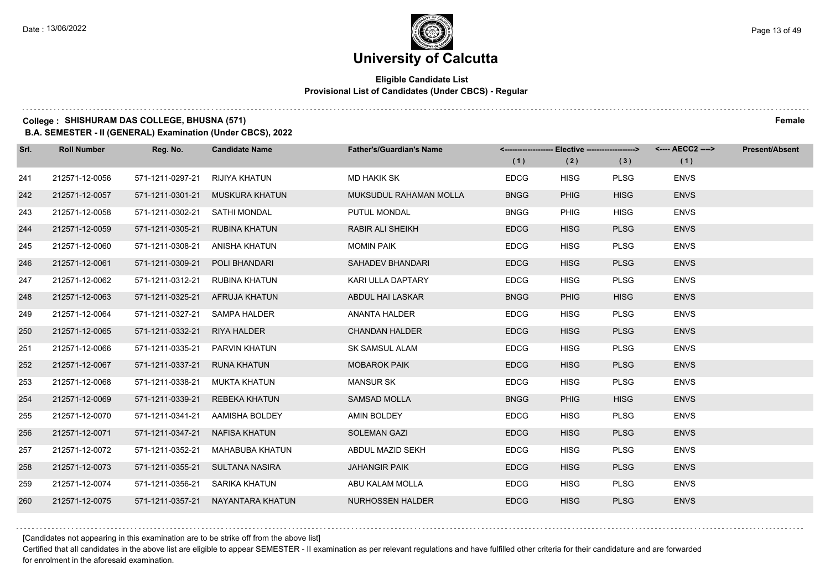### **Eligible Candidate List Provisional List of Candidates (Under CBCS) - Regular**

### **College : SHISHURAM DAS COLLEGE, BHUSNA (571) Female**

**B.A. SEMESTER - II (GENERAL) Examination (Under CBCS), 2022**

| Srl. | <b>Roll Number</b> | Reg. No.                        | <b>Candidate Name</b>             | <b>Father's/Guardian's Name</b> | <-------------------- Elective ------------------> |             |             | <---- AECC2 ----> | <b>Present/Absent</b> |
|------|--------------------|---------------------------------|-----------------------------------|---------------------------------|----------------------------------------------------|-------------|-------------|-------------------|-----------------------|
|      |                    |                                 |                                   |                                 | (1)                                                | (2)         | (3)         | (1)               |                       |
| 241  | 212571-12-0056     | 571-1211-0297-21 RIJIYA KHATUN  |                                   | <b>MD HAKIK SK</b>              | <b>EDCG</b>                                        | <b>HISG</b> | <b>PLSG</b> | <b>ENVS</b>       |                       |
| 242  | 212571-12-0057     |                                 | 571-1211-0301-21 MUSKURA KHATUN   | MUKSUDUL RAHAMAN MOLLA          | <b>BNGG</b>                                        | <b>PHIG</b> | <b>HISG</b> | <b>ENVS</b>       |                       |
| 243  | 212571-12-0058     | 571-1211-0302-21 SATHI MONDAL   |                                   | PUTUL MONDAL                    | <b>BNGG</b>                                        | <b>PHIG</b> | <b>HISG</b> | <b>ENVS</b>       |                       |
| 244  | 212571-12-0059     | 571-1211-0305-21 RUBINA KHATUN  |                                   | RABIR ALI SHEIKH                | <b>EDCG</b>                                        | <b>HISG</b> | <b>PLSG</b> | <b>ENVS</b>       |                       |
| 245  | 212571-12-0060     | 571-1211-0308-21 ANISHA KHATUN  |                                   | <b>MOMIN PAIK</b>               | <b>EDCG</b>                                        | <b>HISG</b> | <b>PLSG</b> | <b>ENVS</b>       |                       |
| 246  | 212571-12-0061     | 571-1211-0309-21 POLI BHANDARI  |                                   | SAHADEV BHANDARI                | <b>EDCG</b>                                        | <b>HISG</b> | <b>PLSG</b> | <b>ENVS</b>       |                       |
| 247  | 212571-12-0062     | 571-1211-0312-21 RUBINA KHATUN  |                                   | KARI ULLA DAPTARY               | <b>EDCG</b>                                        | <b>HISG</b> | <b>PLSG</b> | <b>ENVS</b>       |                       |
| 248  | 212571-12-0063     | 571-1211-0325-21 AFRUJA KHATUN  |                                   | ABDUL HAI LASKAR                | <b>BNGG</b>                                        | <b>PHIG</b> | <b>HISG</b> | <b>ENVS</b>       |                       |
| 249  | 212571-12-0064     | 571-1211-0327-21 SAMPA HALDER   |                                   | <b>ANANTA HALDER</b>            | <b>EDCG</b>                                        | <b>HISG</b> | <b>PLSG</b> | <b>ENVS</b>       |                       |
| 250  | 212571-12-0065     | 571-1211-0332-21 RIYA HALDER    |                                   | <b>CHANDAN HALDER</b>           | <b>EDCG</b>                                        | <b>HISG</b> | <b>PLSG</b> | <b>ENVS</b>       |                       |
| 251  | 212571-12-0066     | 571-1211-0335-21  PARVIN KHATUN |                                   | <b>SK SAMSUL ALAM</b>           | <b>EDCG</b>                                        | <b>HISG</b> | <b>PLSG</b> | <b>ENVS</b>       |                       |
| 252  | 212571-12-0067     | 571-1211-0337-21 RUNA KHATUN    |                                   | <b>MOBAROK PAIK</b>             | <b>EDCG</b>                                        | <b>HISG</b> | <b>PLSG</b> | <b>ENVS</b>       |                       |
| 253  | 212571-12-0068     | 571-1211-0338-21 MUKTA KHATUN   |                                   | <b>MANSUR SK</b>                | <b>EDCG</b>                                        | <b>HISG</b> | <b>PLSG</b> | <b>ENVS</b>       |                       |
| 254  | 212571-12-0069     |                                 | 571-1211-0339-21 REBEKA KHATUN    | <b>SAMSAD MOLLA</b>             | <b>BNGG</b>                                        | <b>PHIG</b> | <b>HISG</b> | <b>ENVS</b>       |                       |
| 255  | 212571-12-0070     |                                 | 571-1211-0341-21 AAMISHA BOLDEY   | AMIN BOLDEY                     | <b>EDCG</b>                                        | <b>HISG</b> | <b>PLSG</b> | <b>ENVS</b>       |                       |
| 256  | 212571-12-0071     | 571-1211-0347-21 NAFISA KHATUN  |                                   | <b>SOLEMAN GAZI</b>             | <b>EDCG</b>                                        | <b>HISG</b> | <b>PLSG</b> | <b>ENVS</b>       |                       |
| 257  | 212571-12-0072     | 571-1211-0352-21                | MAHABUBA KHATUN                   | ABDUL MAZID SEKH                | <b>EDCG</b>                                        | <b>HISG</b> | <b>PLSG</b> | <b>ENVS</b>       |                       |
| 258  | 212571-12-0073     |                                 | 571-1211-0355-21 SULTANA NASIRA   | <b>JAHANGIR PAIK</b>            | <b>EDCG</b>                                        | <b>HISG</b> | <b>PLSG</b> | <b>ENVS</b>       |                       |
| 259  | 212571-12-0074     | 571-1211-0356-21 SARIKA KHATUN  |                                   | ABU KALAM MOLLA                 | <b>EDCG</b>                                        | <b>HISG</b> | <b>PLSG</b> | <b>ENVS</b>       |                       |
| 260  | 212571-12-0075     |                                 | 571-1211-0357-21 NAYANTARA KHATUN | <b>NURHOSSEN HALDER</b>         | <b>EDCG</b>                                        | <b>HISG</b> | <b>PLSG</b> | <b>ENVS</b>       |                       |

[Candidates not appearing in this examination are to be strike off from the above list]

Certified that all candidates in the above list are eligible to appear SEMESTER - II examination as per relevant regulations and have fulfilled other criteria for their candidature and are forwarded for enrolment in the aforesaid examination.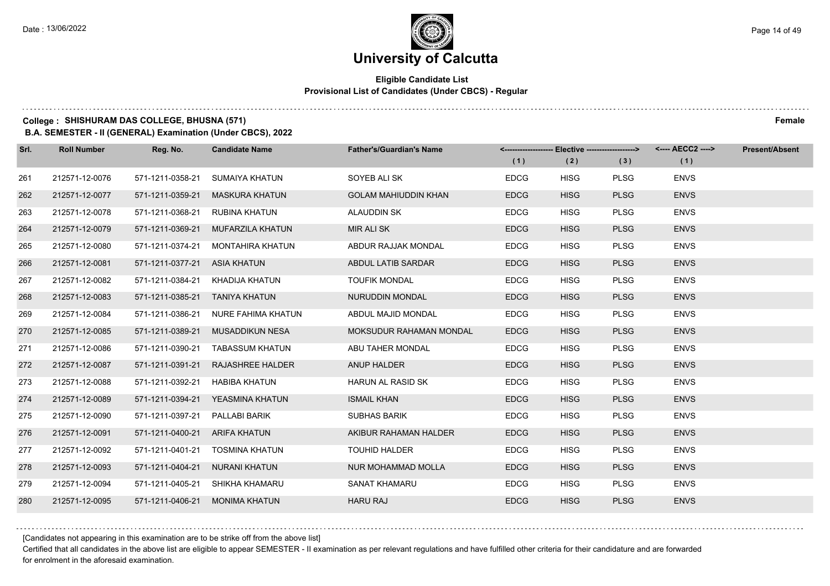### **Eligible Candidate List Provisional List of Candidates (Under CBCS) - Regular**

### **College : SHISHURAM DAS COLLEGE, BHUSNA (571) Female**

**B.A. SEMESTER - II (GENERAL) Examination (Under CBCS), 2022**

| Srl. | <b>Roll Number</b> | Reg. No.         | <b>Candidate Name</b>   | <b>Father's/Guardian's Name</b> |             | <------------------- Elective ------------------> |             | <---- AECC2 ----> | <b>Present/Absent</b> |
|------|--------------------|------------------|-------------------------|---------------------------------|-------------|---------------------------------------------------|-------------|-------------------|-----------------------|
|      |                    |                  |                         |                                 | (1)         | (2)                                               | (3)         | (1)               |                       |
| 261  | 212571-12-0076     | 571-1211-0358-21 | SUMAIYA KHATUN          | SOYEB ALI SK                    | <b>EDCG</b> | <b>HISG</b>                                       | <b>PLSG</b> | <b>ENVS</b>       |                       |
| 262  | 212571-12-0077     | 571-1211-0359-21 | <b>MASKURA KHATUN</b>   | <b>GOLAM MAHIUDDIN KHAN</b>     | <b>EDCG</b> | <b>HISG</b>                                       | <b>PLSG</b> | <b>ENVS</b>       |                       |
| 263  | 212571-12-0078     | 571-1211-0368-21 | RUBINA KHATUN           | <b>ALAUDDIN SK</b>              | <b>EDCG</b> | <b>HISG</b>                                       | <b>PLSG</b> | <b>ENVS</b>       |                       |
| 264  | 212571-12-0079     | 571-1211-0369-21 | MUFARZILA KHATUN        | <b>MIR ALI SK</b>               | <b>EDCG</b> | <b>HISG</b>                                       | <b>PLSG</b> | <b>ENVS</b>       |                       |
| 265  | 212571-12-0080     | 571-1211-0374-21 | <b>MONTAHIRA KHATUN</b> | ABDUR RAJJAK MONDAL             | <b>EDCG</b> | <b>HISG</b>                                       | <b>PLSG</b> | <b>ENVS</b>       |                       |
| 266  | 212571-12-0081     | 571-1211-0377-21 | ASIA KHATUN             | ABDUL LATIB SARDAR              | <b>EDCG</b> | <b>HISG</b>                                       | <b>PLSG</b> | <b>ENVS</b>       |                       |
| 267  | 212571-12-0082     | 571-1211-0384-21 | KHADIJA KHATUN          | <b>TOUFIK MONDAL</b>            | <b>EDCG</b> | <b>HISG</b>                                       | <b>PLSG</b> | <b>ENVS</b>       |                       |
| 268  | 212571-12-0083     | 571-1211-0385-21 | TANIYA KHATUN           | NURUDDIN MONDAL                 | <b>EDCG</b> | <b>HISG</b>                                       | <b>PLSG</b> | <b>ENVS</b>       |                       |
| 269  | 212571-12-0084     | 571-1211-0386-21 | NURE FAHIMA KHATUN      | ABDUL MAJID MONDAL              | <b>EDCG</b> | <b>HISG</b>                                       | <b>PLSG</b> | <b>ENVS</b>       |                       |
| 270  | 212571-12-0085     | 571-1211-0389-21 | MUSADDIKUN NESA         | MOKSUDUR RAHAMAN MONDAL         | <b>EDCG</b> | <b>HISG</b>                                       | <b>PLSG</b> | <b>ENVS</b>       |                       |
| 271  | 212571-12-0086     | 571-1211-0390-21 | TABASSUM KHATUN         | ABU TAHER MONDAL                | <b>EDCG</b> | <b>HISG</b>                                       | <b>PLSG</b> | <b>ENVS</b>       |                       |
| 272  | 212571-12-0087     | 571-1211-0391-21 | RAJASHREE HALDER        | ANUP HALDER                     | <b>EDCG</b> | <b>HISG</b>                                       | <b>PLSG</b> | <b>ENVS</b>       |                       |
| 273  | 212571-12-0088     | 571-1211-0392-21 | <b>HABIBA KHATUN</b>    | <b>HARUN AL RASID SK</b>        | <b>EDCG</b> | <b>HISG</b>                                       | <b>PLSG</b> | <b>ENVS</b>       |                       |
| 274  | 212571-12-0089     | 571-1211-0394-21 | YEASMINA KHATUN         | <b>ISMAIL KHAN</b>              | <b>EDCG</b> | <b>HISG</b>                                       | <b>PLSG</b> | <b>ENVS</b>       |                       |
| 275  | 212571-12-0090     | 571-1211-0397-21 | PALLABI BARIK           | <b>SUBHAS BARIK</b>             | <b>EDCG</b> | <b>HISG</b>                                       | <b>PLSG</b> | <b>ENVS</b>       |                       |
| 276  | 212571-12-0091     | 571-1211-0400-21 | ARIFA KHATUN            | AKIBUR RAHAMAN HALDER           | <b>EDCG</b> | <b>HISG</b>                                       | <b>PLSG</b> | <b>ENVS</b>       |                       |
| 277  | 212571-12-0092     | 571-1211-0401-21 | <b>TOSMINA KHATUN</b>   | <b>TOUHID HALDER</b>            | <b>EDCG</b> | <b>HISG</b>                                       | <b>PLSG</b> | <b>ENVS</b>       |                       |
| 278  | 212571-12-0093     | 571-1211-0404-21 | <b>NURANI KHATUN</b>    | NUR MOHAMMAD MOLLA              | <b>EDCG</b> | <b>HISG</b>                                       | <b>PLSG</b> | <b>ENVS</b>       |                       |
| 279  | 212571-12-0094     | 571-1211-0405-21 | SHIKHA KHAMARU          | <b>SANAT KHAMARU</b>            | <b>EDCG</b> | <b>HISG</b>                                       | <b>PLSG</b> | <b>ENVS</b>       |                       |
| 280  | 212571-12-0095     | 571-1211-0406-21 | <b>MONIMA KHATUN</b>    | <b>HARU RAJ</b>                 | <b>EDCG</b> | <b>HISG</b>                                       | <b>PLSG</b> | <b>ENVS</b>       |                       |

[Candidates not appearing in this examination are to be strike off from the above list]

Certified that all candidates in the above list are eligible to appear SEMESTER - II examination as per relevant regulations and have fulfilled other criteria for their candidature and are forwarded for enrolment in the aforesaid examination.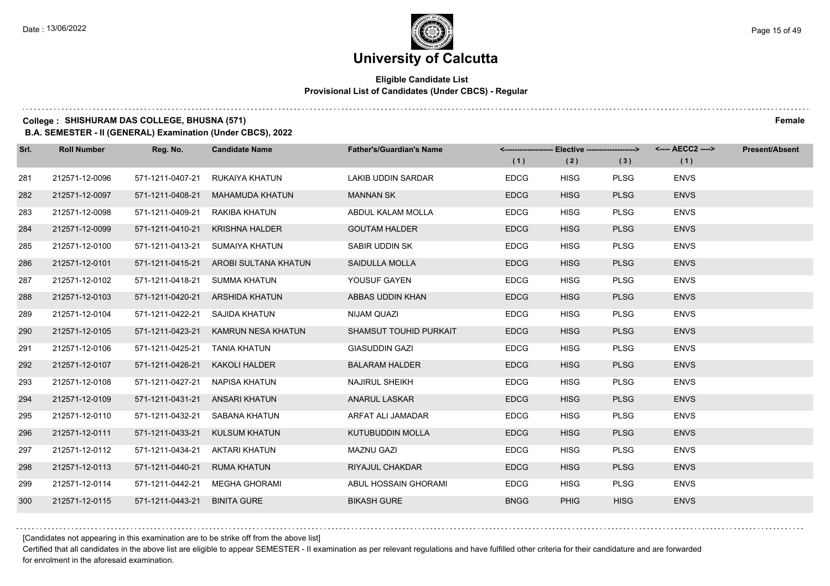### **Eligible Candidate List Provisional List of Candidates (Under CBCS) - Regular**

### **College : SHISHURAM DAS COLLEGE, BHUSNA (571) Female**

**B.A. SEMESTER - II (GENERAL) Examination (Under CBCS), 2022**

| Srl. | <b>Roll Number</b> | Reg. No.                       | <b>Candidate Name</b>           | <b>Father's/Guardian's Name</b> | (1)         | (2)         | <-------------------- Elective -------------------> <---- AECC2 ----><br>(3) | (1)         | <b>Present/Absent</b> |
|------|--------------------|--------------------------------|---------------------------------|---------------------------------|-------------|-------------|------------------------------------------------------------------------------|-------------|-----------------------|
| 281  | 212571-12-0096     | 571-1211-0407-21               | RUKAIYA KHATUN                  | LAKIB UDDIN SARDAR              | <b>EDCG</b> | <b>HISG</b> | <b>PLSG</b>                                                                  | <b>ENVS</b> |                       |
| 282  | 212571-12-0097     | 571-1211-0408-21               | <b>MAHAMUDA KHATUN</b>          | <b>MANNAN SK</b>                | <b>EDCG</b> | <b>HISG</b> | <b>PLSG</b>                                                                  | <b>ENVS</b> |                       |
| 283  | 212571-12-0098     | 571-1211-0409-21               | RAKIBA KHATUN                   | ABDUL KALAM MOLLA               | <b>EDCG</b> | <b>HISG</b> | <b>PLSG</b>                                                                  | <b>ENVS</b> |                       |
| 284  | 212571-12-0099     | 571-1211-0410-21               | <b>KRISHNA HALDER</b>           | <b>GOUTAM HALDER</b>            | <b>EDCG</b> | <b>HISG</b> | <b>PLSG</b>                                                                  | <b>ENVS</b> |                       |
| 285  | 212571-12-0100     | 571-1211-0413-21               | SUMAIYA KHATUN                  | SABIR UDDIN SK                  | <b>EDCG</b> | <b>HISG</b> | <b>PLSG</b>                                                                  | <b>ENVS</b> |                       |
| 286  | 212571-12-0101     | 571-1211-0415-21               | AROBI SULTANA KHATUN            | <b>SAIDULLA MOLLA</b>           | <b>EDCG</b> | <b>HISG</b> | <b>PLSG</b>                                                                  | <b>ENVS</b> |                       |
| 287  | 212571-12-0102     | 571-1211-0418-21 SUMMA KHATUN  |                                 | YOUSUF GAYEN                    | <b>EDCG</b> | <b>HISG</b> | <b>PLSG</b>                                                                  | <b>ENVS</b> |                       |
| 288  | 212571-12-0103     |                                | 571-1211-0420-21 ARSHIDA KHATUN | ABBAS UDDIN KHAN                | <b>EDCG</b> | <b>HISG</b> | <b>PLSG</b>                                                                  | <b>ENVS</b> |                       |
| 289  | 212571-12-0104     | 571-1211-0422-21               | SAJIDA KHATUN                   | NIJAM QUAZI                     | <b>EDCG</b> | <b>HISG</b> | <b>PLSG</b>                                                                  | <b>ENVS</b> |                       |
| 290  | 212571-12-0105     | 571-1211-0423-21               | KAMRUN NESA KHATUN              | SHAMSUT TOUHID PURKAIT          | <b>EDCG</b> | <b>HISG</b> | <b>PLSG</b>                                                                  | <b>ENVS</b> |                       |
| 291  | 212571-12-0106     | 571-1211-0425-21 TANIA KHATUN  |                                 | <b>GIASUDDIN GAZI</b>           | <b>EDCG</b> | <b>HISG</b> | <b>PLSG</b>                                                                  | <b>ENVS</b> |                       |
| 292  | 212571-12-0107     | 571-1211-0426-21 KAKOLI HALDER |                                 | <b>BALARAM HALDER</b>           | <b>EDCG</b> | <b>HISG</b> | <b>PLSG</b>                                                                  | <b>ENVS</b> |                       |
| 293  | 212571-12-0108     | 571-1211-0427-21               | NAPISA KHATUN                   | <b>NAJIRUL SHEIKH</b>           | <b>EDCG</b> | <b>HISG</b> | <b>PLSG</b>                                                                  | <b>ENVS</b> |                       |
| 294  | 212571-12-0109     | 571-1211-0431-21 ANSARI KHATUN |                                 | <b>ANARUL LASKAR</b>            | <b>EDCG</b> | <b>HISG</b> | <b>PLSG</b>                                                                  | <b>ENVS</b> |                       |
| 295  | 212571-12-0110     | 571-1211-0432-21               | SABANA KHATUN                   | ARFAT ALI JAMADAR               | <b>EDCG</b> | <b>HISG</b> | <b>PLSG</b>                                                                  | <b>ENVS</b> |                       |
| 296  | 212571-12-0111     | 571-1211-0433-21               | KULSUM KHATUN                   | <b>KUTUBUDDIN MOLLA</b>         | <b>EDCG</b> | <b>HISG</b> | <b>PLSG</b>                                                                  | <b>ENVS</b> |                       |
| 297  | 212571-12-0112     | 571-1211-0434-21               | <b>AKTARI KHATUN</b>            | <b>MAZNU GAZI</b>               | <b>EDCG</b> | <b>HISG</b> | <b>PLSG</b>                                                                  | <b>ENVS</b> |                       |
| 298  | 212571-12-0113     | 571-1211-0440-21               | <b>RUMA KHATUN</b>              | RIYAJUL CHAKDAR                 | <b>EDCG</b> | <b>HISG</b> | <b>PLSG</b>                                                                  | <b>ENVS</b> |                       |
| 299  | 212571-12-0114     | 571-1211-0442-21               | MEGHA GHORAMI                   | ABUL HOSSAIN GHORAMI            | <b>EDCG</b> | <b>HISG</b> | <b>PLSG</b>                                                                  | <b>ENVS</b> |                       |
| 300  | 212571-12-0115     | 571-1211-0443-21               | <b>BINITA GURE</b>              | <b>BIKASH GURE</b>              | <b>BNGG</b> | <b>PHIG</b> | <b>HISG</b>                                                                  | <b>ENVS</b> |                       |

[Candidates not appearing in this examination are to be strike off from the above list]

Certified that all candidates in the above list are eligible to appear SEMESTER - II examination as per relevant regulations and have fulfilled other criteria for their candidature and are forwarded for enrolment in the aforesaid examination.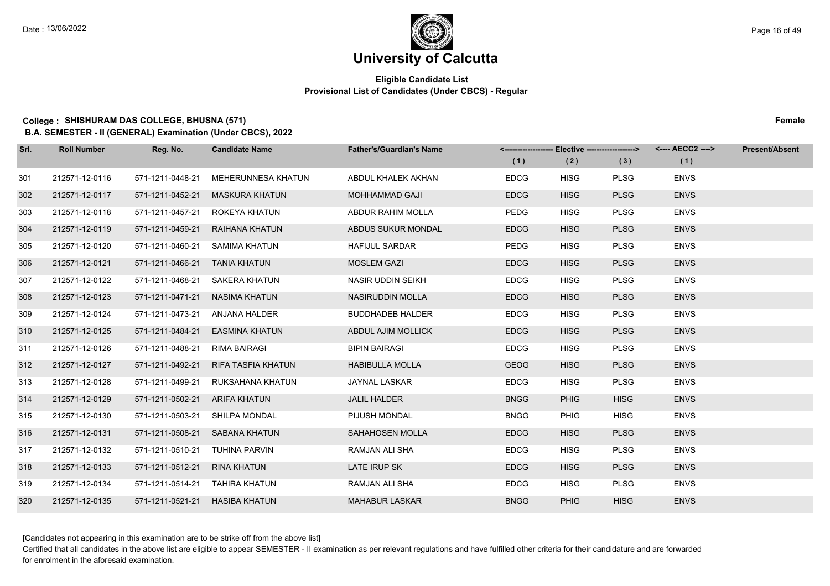### **Eligible Candidate List Provisional List of Candidates (Under CBCS) - Regular**

**College : SHISHURAM DAS COLLEGE, BHUSNA (571) Female**

**B.A. SEMESTER - II (GENERAL) Examination (Under CBCS), 2022**

| Srl. | <b>Roll Number</b> | Reg. No.                       | <b>Candidate Name</b>          | <b>Father's/Guardian's Name</b> |             |             | <-------------------- Elective -------------------> <---- AECC2 ----> |             | <b>Present/Absent</b> |
|------|--------------------|--------------------------------|--------------------------------|---------------------------------|-------------|-------------|-----------------------------------------------------------------------|-------------|-----------------------|
|      |                    |                                |                                |                                 | (1)         | (2)         | (3)                                                                   | (1)         |                       |
| 301  | 212571-12-0116     | 571-1211-0448-21               | <b>MEHERUNNESA KHATUN</b>      | ABDUL KHALEK AKHAN              | <b>EDCG</b> | <b>HISG</b> | <b>PLSG</b>                                                           | <b>ENVS</b> |                       |
| 302  | 212571-12-0117     | 571-1211-0452-21               | <b>MASKURA KHATUN</b>          | <b>MOHHAMMAD GAJI</b>           | <b>EDCG</b> | <b>HISG</b> | <b>PLSG</b>                                                           | <b>ENVS</b> |                       |
| 303  | 212571-12-0118     | 571-1211-0457-21               | ROKEYA KHATUN                  | ABDUR RAHIM MOLLA               | <b>PEDG</b> | <b>HISG</b> | <b>PLSG</b>                                                           | <b>ENVS</b> |                       |
| 304  | 212571-12-0119     | 571-1211-0459-21               | RAIHANA KHATUN                 | ABDUS SUKUR MONDAL              | <b>EDCG</b> | <b>HISG</b> | <b>PLSG</b>                                                           | <b>ENVS</b> |                       |
| 305  | 212571-12-0120     | 571-1211-0460-21               | SAMIMA KHATUN                  | <b>HAFIJUL SARDAR</b>           | <b>PEDG</b> | <b>HISG</b> | <b>PLSG</b>                                                           | <b>ENVS</b> |                       |
| 306  | 212571-12-0121     | 571-1211-0466-21               | <b>TANIA KHATUN</b>            | <b>MOSLEM GAZI</b>              | <b>EDCG</b> | <b>HISG</b> | <b>PLSG</b>                                                           | <b>ENVS</b> |                       |
| 307  | 212571-12-0122     |                                | 571-1211-0468-21 SAKERA KHATUN | NASIR UDDIN SEIKH               | <b>EDCG</b> | <b>HISG</b> | <b>PLSG</b>                                                           | <b>ENVS</b> |                       |
| 308  | 212571-12-0123     | 571-1211-0471-21 NASIMA KHATUN |                                | NASIRUDDIN MOLLA                | <b>EDCG</b> | <b>HISG</b> | <b>PLSG</b>                                                           | <b>ENVS</b> |                       |
| 309  | 212571-12-0124     | 571-1211-0473-21               | ANJANA HALDER                  | <b>BUDDHADEB HALDER</b>         | <b>EDCG</b> | <b>HISG</b> | <b>PLSG</b>                                                           | <b>ENVS</b> |                       |
| 310  | 212571-12-0125     | 571-1211-0484-21               | <b>EASMINA KHATUN</b>          | ABDUL AJIM MOLLICK              | <b>EDCG</b> | <b>HISG</b> | <b>PLSG</b>                                                           | <b>ENVS</b> |                       |
| 311  | 212571-12-0126     | 571-1211-0488-21               | RIMA BAIRAGI                   | <b>BIPIN BAIRAGI</b>            | <b>EDCG</b> | <b>HISG</b> | <b>PLSG</b>                                                           | <b>ENVS</b> |                       |
| 312  | 212571-12-0127     | 571-1211-0492-21               | RIFA TASFIA KHATUN             | <b>HABIBULLA MOLLA</b>          | <b>GEOG</b> | <b>HISG</b> | <b>PLSG</b>                                                           | <b>ENVS</b> |                       |
| 313  | 212571-12-0128     | 571-1211-0499-21               | RUKSAHANA KHATUN               | JAYNAL LASKAR                   | <b>EDCG</b> | <b>HISG</b> | <b>PLSG</b>                                                           | <b>ENVS</b> |                       |
| 314  | 212571-12-0129     | 571-1211-0502-21               | <b>ARIFA KHATUN</b>            | <b>JALIL HALDER</b>             | <b>BNGG</b> | <b>PHIG</b> | <b>HISG</b>                                                           | <b>ENVS</b> |                       |
| 315  | 212571-12-0130     | 571-1211-0503-21 SHILPA MONDAL |                                | PIJUSH MONDAL                   | <b>BNGG</b> | <b>PHIG</b> | <b>HISG</b>                                                           | <b>ENVS</b> |                       |
| 316  | 212571-12-0131     |                                | 571-1211-0508-21 SABANA KHATUN | SAHAHOSEN MOLLA                 | <b>EDCG</b> | <b>HISG</b> | <b>PLSG</b>                                                           | <b>ENVS</b> |                       |
| 317  | 212571-12-0132     | 571-1211-0510-21               | TUHINA PARVIN                  | RAMJAN ALI SHA                  | <b>EDCG</b> | <b>HISG</b> | <b>PLSG</b>                                                           | <b>ENVS</b> |                       |
| 318  | 212571-12-0133     | 571-1211-0512-21               | <b>RINA KHATUN</b>             | LATE IRUP SK                    | <b>EDCG</b> | <b>HISG</b> | <b>PLSG</b>                                                           | <b>ENVS</b> |                       |
| 319  | 212571-12-0134     | 571-1211-0514-21 TAHIRA KHATUN |                                | RAMJAN ALI SHA                  | <b>EDCG</b> | <b>HISG</b> | <b>PLSG</b>                                                           | <b>ENVS</b> |                       |
| 320  | 212571-12-0135     | 571-1211-0521-21 HASIBA KHATUN |                                | <b>MAHABUR LASKAR</b>           | <b>BNGG</b> | <b>PHIG</b> | <b>HISG</b>                                                           | <b>ENVS</b> |                       |

[Candidates not appearing in this examination are to be strike off from the above list]

Certified that all candidates in the above list are eligible to appear SEMESTER - II examination as per relevant regulations and have fulfilled other criteria for their candidature and are forwarded for enrolment in the aforesaid examination.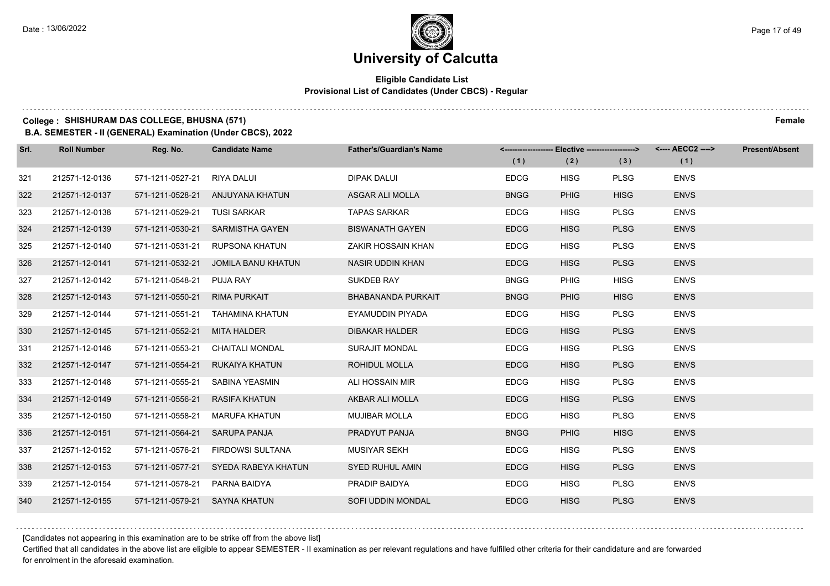### **Eligible Candidate List Provisional List of Candidates (Under CBCS) - Regular**

### **College : SHISHURAM DAS COLLEGE, BHUSNA (571) Female**

**B.A. SEMESTER - II (GENERAL) Examination (Under CBCS), 2022**

| Srl. | <b>Roll Number</b> | Reg. No.                      | <b>Candidate Name</b>                | <b>Father's/Guardian's Name</b> | <-------------------- Elective ------------------> |             |             | <---- AECC2 ----> | Present/Absent |
|------|--------------------|-------------------------------|--------------------------------------|---------------------------------|----------------------------------------------------|-------------|-------------|-------------------|----------------|
|      |                    |                               |                                      |                                 | (1)                                                | (2)         | (3)         | (1)               |                |
| 321  | 212571-12-0136     | 571-1211-0527-21              | RIYA DALUI                           | DIPAK DALUI                     | <b>EDCG</b>                                        | <b>HISG</b> | <b>PLSG</b> | <b>ENVS</b>       |                |
| 322  | 212571-12-0137     |                               | 571-1211-0528-21 ANJUYANA KHATUN     | ASGAR ALI MOLLA                 | <b>BNGG</b>                                        | <b>PHIG</b> | <b>HISG</b> | <b>ENVS</b>       |                |
| 323  | 212571-12-0138     | 571-1211-0529-21 TUSI SARKAR  |                                      | <b>TAPAS SARKAR</b>             | <b>EDCG</b>                                        | <b>HISG</b> | <b>PLSG</b> | <b>ENVS</b>       |                |
| 324  | 212571-12-0139     |                               | 571-1211-0530-21 SARMISTHA GAYEN     | <b>BISWANATH GAYEN</b>          | <b>EDCG</b>                                        | <b>HISG</b> | <b>PLSG</b> | <b>ENVS</b>       |                |
| 325  | 212571-12-0140     | 571-1211-0531-21              | RUPSONA KHATUN                       | ZAKIR HOSSAIN KHAN              | <b>EDCG</b>                                        | <b>HISG</b> | <b>PLSG</b> | <b>ENVS</b>       |                |
| 326  | 212571-12-0141     | 571-1211-0532-21              | JOMILA BANU KHATUN                   | NASIR UDDIN KHAN                | <b>EDCG</b>                                        | <b>HISG</b> | <b>PLSG</b> | <b>ENVS</b>       |                |
| 327  | 212571-12-0142     | 571-1211-0548-21 PUJA RAY     |                                      | SUKDEB RAY                      | <b>BNGG</b>                                        | <b>PHIG</b> | <b>HISG</b> | <b>ENVS</b>       |                |
| 328  | 212571-12-0143     | 571-1211-0550-21 RIMA PURKAIT |                                      | <b>BHABANANDA PURKAIT</b>       | <b>BNGG</b>                                        | <b>PHIG</b> | <b>HISG</b> | <b>ENVS</b>       |                |
| 329  | 212571-12-0144     | 571-1211-0551-21              | TAHAMINA KHATUN                      | EYAMUDDIN PIYADA                | <b>EDCG</b>                                        | <b>HISG</b> | <b>PLSG</b> | <b>ENVS</b>       |                |
| 330  | 212571-12-0145     | 571-1211-0552-21 MITA HALDER  |                                      | <b>DIBAKAR HALDER</b>           | <b>EDCG</b>                                        | <b>HISG</b> | <b>PLSG</b> | <b>ENVS</b>       |                |
| 331  | 212571-12-0146     |                               | 571-1211-0553-21 CHAITALI MONDAL     | <b>SURAJIT MONDAL</b>           | <b>EDCG</b>                                        | <b>HISG</b> | <b>PLSG</b> | <b>ENVS</b>       |                |
| 332  | 212571-12-0147     | 571-1211-0554-21              | RUKAIYA KHATUN                       | <b>ROHIDUL MOLLA</b>            | <b>EDCG</b>                                        | <b>HISG</b> | <b>PLSG</b> | <b>ENVS</b>       |                |
| 333  | 212571-12-0148     | 571-1211-0555-21              | SABINA YEASMIN                       | ALI HOSSAIN MIR                 | <b>EDCG</b>                                        | <b>HISG</b> | <b>PLSG</b> | <b>ENVS</b>       |                |
| 334  | 212571-12-0149     | 571-1211-0556-21              | RASIFA KHATUN                        | AKBAR ALI MOLLA                 | <b>EDCG</b>                                        | <b>HISG</b> | <b>PLSG</b> | <b>ENVS</b>       |                |
| 335  | 212571-12-0150     | 571-1211-0558-21              | <b>MARUFA KHATUN</b>                 | <b>MUJIBAR MOLLA</b>            | <b>EDCG</b>                                        | <b>HISG</b> | <b>PLSG</b> | <b>ENVS</b>       |                |
| 336  | 212571-12-0151     | 571-1211-0564-21              | SARUPA PANJA                         | PRADYUT PANJA                   | <b>BNGG</b>                                        | <b>PHIG</b> | <b>HISG</b> | <b>ENVS</b>       |                |
| 337  | 212571-12-0152     | 571-1211-0576-21              | FIRDOWSI SULTANA                     | <b>MUSIYAR SEKH</b>             | <b>EDCG</b>                                        | <b>HISG</b> | <b>PLSG</b> | <b>ENVS</b>       |                |
| 338  | 212571-12-0153     |                               | 571-1211-0577-21 SYEDA RABEYA KHATUN | SYED RUHUL AMIN                 | <b>EDCG</b>                                        | <b>HISG</b> | <b>PLSG</b> | <b>ENVS</b>       |                |
| 339  | 212571-12-0154     | 571-1211-0578-21              | PARNA BAIDYA                         | PRADIP BAIDYA                   | <b>EDCG</b>                                        | <b>HISG</b> | <b>PLSG</b> | <b>ENVS</b>       |                |
| 340  | 212571-12-0155     | 571-1211-0579-21 SAYNA KHATUN |                                      | SOFI UDDIN MONDAL               | <b>EDCG</b>                                        | <b>HISG</b> | <b>PLSG</b> | <b>ENVS</b>       |                |

[Candidates not appearing in this examination are to be strike off from the above list]

Certified that all candidates in the above list are eligible to appear SEMESTER - II examination as per relevant regulations and have fulfilled other criteria for their candidature and are forwarded for enrolment in the aforesaid examination.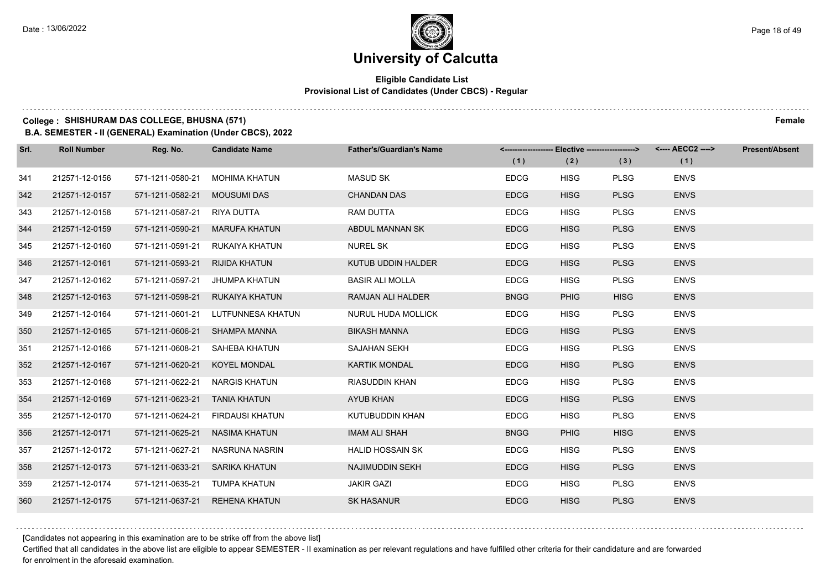### **Eligible Candidate List Provisional List of Candidates (Under CBCS) - Regular**

### **College : SHISHURAM DAS COLLEGE, BHUSNA (571) Female**

**B.A. SEMESTER - II (GENERAL) Examination (Under CBCS), 2022**

| Srl. | <b>Roll Number</b> | Reg. No.                       | <b>Candidate Name</b>           | <b>Father's/Guardian's Name</b> |             | <-------------------- Elective -------------------> |             |             | <b>Present/Absent</b> |
|------|--------------------|--------------------------------|---------------------------------|---------------------------------|-------------|-----------------------------------------------------|-------------|-------------|-----------------------|
|      |                    |                                |                                 |                                 | (1)         | (2)                                                 | (3)         | (1)         |                       |
| 341  | 212571-12-0156     | 571-1211-0580-21               | <b>MOHIMA KHATUN</b>            | <b>MASUD SK</b>                 | <b>EDCG</b> | <b>HISG</b>                                         | <b>PLSG</b> | <b>ENVS</b> |                       |
| 342  | 212571-12-0157     | 571-1211-0582-21               | MOUSUMI DAS                     | <b>CHANDAN DAS</b>              | <b>EDCG</b> | <b>HISG</b>                                         | <b>PLSG</b> | <b>ENVS</b> |                       |
| 343  | 212571-12-0158     | 571-1211-0587-21 RIYA DUTTA    |                                 | RAM DUTTA                       | <b>EDCG</b> | <b>HISG</b>                                         | <b>PLSG</b> | <b>ENVS</b> |                       |
| 344  | 212571-12-0159     |                                | 571-1211-0590-21 MARUFA KHATUN  | ABDUL MANNAN SK                 | <b>EDCG</b> | <b>HISG</b>                                         | <b>PLSG</b> | <b>ENVS</b> |                       |
| 345  | 212571-12-0160     | 571-1211-0591-21               | RUKAIYA KHATUN                  | <b>NUREL SK</b>                 | <b>EDCG</b> | <b>HISG</b>                                         | <b>PLSG</b> | <b>ENVS</b> |                       |
| 346  | 212571-12-0161     | 571-1211-0593-21 RIJIDA KHATUN |                                 | KUTUB UDDIN HALDER              | <b>EDCG</b> | <b>HISG</b>                                         | <b>PLSG</b> | <b>ENVS</b> |                       |
| 347  | 212571-12-0162     | 571-1211-0597-21               | JHUMPA KHATUN                   | <b>BASIR ALI MOLLA</b>          | <b>EDCG</b> | <b>HISG</b>                                         | <b>PLSG</b> | <b>ENVS</b> |                       |
| 348  | 212571-12-0163     |                                | 571-1211-0598-21 RUKAIYA KHATUN | RAMJAN ALI HALDER               | <b>BNGG</b> | <b>PHIG</b>                                         | <b>HISG</b> | <b>ENVS</b> |                       |
| 349  | 212571-12-0164     | 571-1211-0601-21               | LUTFUNNESA KHATUN               | NURUL HUDA MOLLICK              | <b>EDCG</b> | <b>HISG</b>                                         | <b>PLSG</b> | <b>ENVS</b> |                       |
| 350  | 212571-12-0165     | 571-1211-0606-21 SHAMPA MANNA  |                                 | <b>BIKASH MANNA</b>             | <b>EDCG</b> | <b>HISG</b>                                         | <b>PLSG</b> | <b>ENVS</b> |                       |
| 351  | 212571-12-0166     | 571-1211-0608-21               | SAHEBA KHATUN                   | <b>SAJAHAN SEKH</b>             | <b>EDCG</b> | <b>HISG</b>                                         | <b>PLSG</b> | <b>ENVS</b> |                       |
| 352  | 212571-12-0167     | 571-1211-0620-21               | <b>KOYEL MONDAL</b>             | <b>KARTIK MONDAL</b>            | <b>EDCG</b> | <b>HISG</b>                                         | <b>PLSG</b> | <b>ENVS</b> |                       |
| 353  | 212571-12-0168     | 571-1211-0622-21               | <b>NARGIS KHATUN</b>            | <b>RIASUDDIN KHAN</b>           | <b>EDCG</b> | <b>HISG</b>                                         | <b>PLSG</b> | <b>ENVS</b> |                       |
| 354  | 212571-12-0169     | 571-1211-0623-21 TANIA KHATUN  |                                 | <b>AYUB KHAN</b>                | <b>EDCG</b> | <b>HISG</b>                                         | <b>PLSG</b> | <b>ENVS</b> |                       |
| 355  | 212571-12-0170     | 571-1211-0624-21               | FIRDAUSI KHATUN                 | KUTUBUDDIN KHAN                 | <b>EDCG</b> | <b>HISG</b>                                         | <b>PLSG</b> | <b>ENVS</b> |                       |
| 356  | 212571-12-0171     | 571-1211-0625-21               | NASIMA KHATUN                   | IMAM ALI SHAH                   | <b>BNGG</b> | <b>PHIG</b>                                         | <b>HISG</b> | <b>ENVS</b> |                       |
| 357  | 212571-12-0172     | 571-1211-0627-21               | <b>NASRUNA NASRIN</b>           | <b>HALID HOSSAIN SK</b>         | <b>EDCG</b> | <b>HISG</b>                                         | <b>PLSG</b> | <b>ENVS</b> |                       |
| 358  | 212571-12-0173     | 571-1211-0633-21               | SARIKA KHATUN                   | NAJIMUDDIN SEKH                 | <b>EDCG</b> | <b>HISG</b>                                         | <b>PLSG</b> | <b>ENVS</b> |                       |
| 359  | 212571-12-0174     | 571-1211-0635-21 TUMPA KHATUN  |                                 | <b>JAKIR GAZI</b>               | <b>EDCG</b> | <b>HISG</b>                                         | <b>PLSG</b> | <b>ENVS</b> |                       |
| 360  | 212571-12-0175     |                                | 571-1211-0637-21 REHENA KHATUN  | <b>SK HASANUR</b>               | <b>EDCG</b> | <b>HISG</b>                                         | <b>PLSG</b> | <b>ENVS</b> |                       |

[Candidates not appearing in this examination are to be strike off from the above list]

Certified that all candidates in the above list are eligible to appear SEMESTER - II examination as per relevant regulations and have fulfilled other criteria for their candidature and are forwarded for enrolment in the aforesaid examination.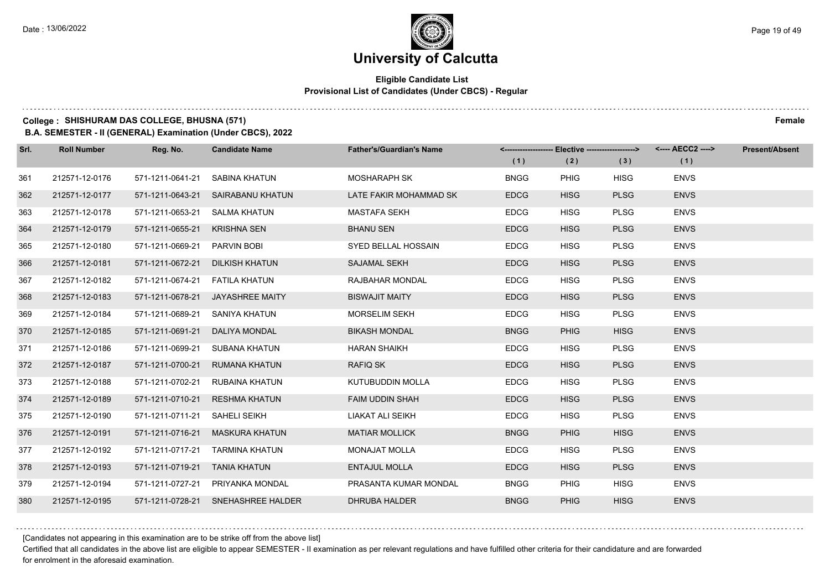### **Eligible Candidate List Provisional List of Candidates (Under CBCS) - Regular**

### **College : SHISHURAM DAS COLLEGE, BHUSNA (571) Female**

**B.A. SEMESTER - II (GENERAL) Examination (Under CBCS), 2022**

| Srl. | <b>Roll Number</b> | Reg. No.                          | <b>Candidate Name</b>              | <b>Father's/Guardian's Name</b> |             | <-------------------- Elective -------------------> |             |             | <b>Present/Absent</b> |
|------|--------------------|-----------------------------------|------------------------------------|---------------------------------|-------------|-----------------------------------------------------|-------------|-------------|-----------------------|
|      |                    |                                   |                                    |                                 | (1)         | (2)                                                 | (3)         | (1)         |                       |
| 361  | 212571-12-0176     | 571-1211-0641-21                  | SABINA KHATUN                      | <b>MOSHARAPH SK</b>             | <b>BNGG</b> | PHIG                                                | <b>HISG</b> | <b>ENVS</b> |                       |
| 362  | 212571-12-0177     |                                   | 571-1211-0643-21 SAIRABANU KHATUN  | LATE FAKIR MOHAMMAD SK          | <b>EDCG</b> | <b>HISG</b>                                         | <b>PLSG</b> | <b>ENVS</b> |                       |
| 363  | 212571-12-0178     | 571-1211-0653-21 SALMA KHATUN     |                                    | <b>MASTAFA SEKH</b>             | <b>EDCG</b> | <b>HISG</b>                                         | <b>PLSG</b> | <b>ENVS</b> |                       |
| 364  | 212571-12-0179     | 571-1211-0655-21 KRISHNA SEN      |                                    | <b>BHANU SEN</b>                | <b>EDCG</b> | <b>HISG</b>                                         | <b>PLSG</b> | <b>ENVS</b> |                       |
| 365  | 212571-12-0180     | 571-1211-0669-21                  | PARVIN BOBI                        | SYED BELLAL HOSSAIN             | <b>EDCG</b> | <b>HISG</b>                                         | <b>PLSG</b> | <b>ENVS</b> |                       |
| 366  | 212571-12-0181     | 571-1211-0672-21                  | <b>DILKISH KHATUN</b>              | <b>SAJAMAL SEKH</b>             | <b>EDCG</b> | <b>HISG</b>                                         | <b>PLSG</b> | <b>ENVS</b> |                       |
| 367  | 212571-12-0182     | 571-1211-0674-21    FATILA KHATUN |                                    | RAJBAHAR MONDAL                 | <b>EDCG</b> | <b>HISG</b>                                         | <b>PLSG</b> | <b>ENVS</b> |                       |
| 368  | 212571-12-0183     |                                   | 571-1211-0678-21 JAYASHREE MAITY   | <b>BISWAJIT MAITY</b>           | <b>EDCG</b> | <b>HISG</b>                                         | <b>PLSG</b> | <b>ENVS</b> |                       |
| 369  | 212571-12-0184     | 571-1211-0689-21                  | SANIYA KHATUN                      | <b>MORSELIM SEKH</b>            | <b>EDCG</b> | <b>HISG</b>                                         | <b>PLSG</b> | <b>ENVS</b> |                       |
| 370  | 212571-12-0185     | 571-1211-0691-21                  | DALIYA MONDAL                      | <b>BIKASH MONDAL</b>            | <b>BNGG</b> | <b>PHIG</b>                                         | <b>HISG</b> | <b>ENVS</b> |                       |
| 371  | 212571-12-0186     |                                   | 571-1211-0699-21 SUBANA KHATUN     | <b>HARAN SHAIKH</b>             | <b>EDCG</b> | <b>HISG</b>                                         | <b>PLSG</b> | <b>ENVS</b> |                       |
| 372  | 212571-12-0187     |                                   | 571-1211-0700-21 RUMANA KHATUN     | <b>RAFIQ SK</b>                 | <b>EDCG</b> | <b>HISG</b>                                         | <b>PLSG</b> | <b>ENVS</b> |                       |
| 373  | 212571-12-0188     | 571-1211-0702-21                  | RUBAINA KHATUN                     | KUTUBUDDIN MOLLA                | <b>EDCG</b> | <b>HISG</b>                                         | <b>PLSG</b> | <b>ENVS</b> |                       |
| 374  | 212571-12-0189     | 571-1211-0710-21                  | <b>RESHMA KHATUN</b>               | <b>FAIM UDDIN SHAH</b>          | <b>EDCG</b> | <b>HISG</b>                                         | <b>PLSG</b> | <b>ENVS</b> |                       |
| 375  | 212571-12-0190     | 571-1211-0711-21 SAHELI SEIKH     |                                    | LIAKAT ALI SEIKH                | <b>EDCG</b> | <b>HISG</b>                                         | <b>PLSG</b> | <b>ENVS</b> |                       |
| 376  | 212571-12-0191     |                                   | 571-1211-0716-21 MASKURA KHATUN    | <b>MATIAR MOLLICK</b>           | <b>BNGG</b> | <b>PHIG</b>                                         | <b>HISG</b> | <b>ENVS</b> |                       |
| 377  | 212571-12-0192     | 571-1211-0717-21                  | TARMINA KHATUN                     | <b>MONAJAT MOLLA</b>            | <b>EDCG</b> | <b>HISG</b>                                         | <b>PLSG</b> | <b>ENVS</b> |                       |
| 378  | 212571-12-0193     | 571-1211-0719-21                  | TANIA KHATUN                       | <b>ENTAJUL MOLLA</b>            | <b>EDCG</b> | <b>HISG</b>                                         | <b>PLSG</b> | <b>ENVS</b> |                       |
| 379  | 212571-12-0194     |                                   | 571-1211-0727-21 PRIYANKA MONDAL   | PRASANTA KUMAR MONDAL           | <b>BNGG</b> | <b>PHIG</b>                                         | <b>HISG</b> | <b>ENVS</b> |                       |
| 380  | 212571-12-0195     |                                   | 571-1211-0728-21 SNEHASHREE HALDER | <b>DHRUBA HALDER</b>            | <b>BNGG</b> | <b>PHIG</b>                                         | <b>HISG</b> | <b>ENVS</b> |                       |

[Candidates not appearing in this examination are to be strike off from the above list]

Certified that all candidates in the above list are eligible to appear SEMESTER - II examination as per relevant regulations and have fulfilled other criteria for their candidature and are forwarded for enrolment in the aforesaid examination.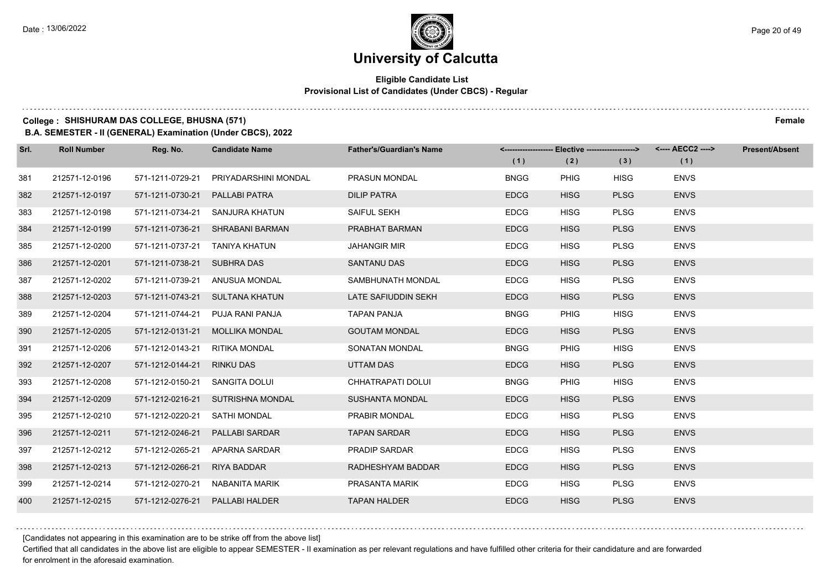### **Eligible Candidate List Provisional List of Candidates (Under CBCS) - Regular**

### **College : SHISHURAM DAS COLLEGE, BHUSNA (571) Female**

**B.A. SEMESTER - II (GENERAL) Examination (Under CBCS), 2022**

| Srl. | <b>Roll Number</b> | Reg. No.                       | <b>Candidate Name</b>             | <b>Father's/Guardian's Name</b> | (1)         | (2)         | <-------------------- Elective -------------------> <---- AECC2 ----><br>(3) | (1)         | <b>Present/Absent</b> |
|------|--------------------|--------------------------------|-----------------------------------|---------------------------------|-------------|-------------|------------------------------------------------------------------------------|-------------|-----------------------|
| 381  | 212571-12-0196     | 571-1211-0729-21               | PRIYADARSHINI MONDAL              | <b>PRASUN MONDAL</b>            | <b>BNGG</b> | <b>PHIG</b> | <b>HISG</b>                                                                  | <b>ENVS</b> |                       |
| 382  | 212571-12-0197     | 571-1211-0730-21               | PALLABI PATRA                     | <b>DILIP PATRA</b>              | <b>EDCG</b> | <b>HISG</b> | <b>PLSG</b>                                                                  | <b>ENVS</b> |                       |
| 383  | 212571-12-0198     |                                | 571-1211-0734-21 SANJURA KHATUN   | SAIFUL SEKH                     | <b>EDCG</b> | <b>HISG</b> | <b>PLSG</b>                                                                  | <b>ENVS</b> |                       |
| 384  | 212571-12-0199     |                                | 571-1211-0736-21 SHRABANI BARMAN  | PRABHAT BARMAN                  | <b>EDCG</b> | <b>HISG</b> | <b>PLSG</b>                                                                  | <b>ENVS</b> |                       |
| 385  | 212571-12-0200     | 571-1211-0737-21 TANIYA KHATUN |                                   | <b>JAHANGIR MIR</b>             | <b>EDCG</b> | <b>HISG</b> | <b>PLSG</b>                                                                  | <b>ENVS</b> |                       |
| 386  | 212571-12-0201     | 571-1211-0738-21 SUBHRA DAS    |                                   | <b>SANTANU DAS</b>              | <b>EDCG</b> | <b>HISG</b> | <b>PLSG</b>                                                                  | <b>ENVS</b> |                       |
| 387  | 212571-12-0202     |                                | 571-1211-0739-21 ANUSUA MONDAL    | SAMBHUNATH MONDAL               | <b>EDCG</b> | <b>HISG</b> | <b>PLSG</b>                                                                  | <b>ENVS</b> |                       |
| 388  | 212571-12-0203     |                                | 571-1211-0743-21 SULTANA KHATUN   | LATE SAFIUDDIN SEKH             | <b>EDCG</b> | <b>HISG</b> | <b>PLSG</b>                                                                  | <b>ENVS</b> |                       |
| 389  | 212571-12-0204     |                                | 571-1211-0744-21 PUJA RANI PANJA  | <b>TAPAN PANJA</b>              | <b>BNGG</b> | <b>PHIG</b> | <b>HISG</b>                                                                  | <b>ENVS</b> |                       |
| 390  | 212571-12-0205     |                                | 571-1212-0131-21 MOLLIKA MONDAL   | <b>GOUTAM MONDAL</b>            | <b>EDCG</b> | <b>HISG</b> | <b>PLSG</b>                                                                  | <b>ENVS</b> |                       |
| 391  | 212571-12-0206     | 571-1212-0143-21 RITIKA MONDAL |                                   | SONATAN MONDAL                  | <b>BNGG</b> | PHIG        | <b>HISG</b>                                                                  | <b>ENVS</b> |                       |
| 392  | 212571-12-0207     | 571-1212-0144-21 RINKU DAS     |                                   | UTTAM DAS                       | <b>EDCG</b> | <b>HISG</b> | <b>PLSG</b>                                                                  | <b>ENVS</b> |                       |
| 393  | 212571-12-0208     | 571-1212-0150-21               | SANGITA DOLUI                     | CHHATRAPATI DOLUI               | <b>BNGG</b> | PHIG        | <b>HISG</b>                                                                  | <b>ENVS</b> |                       |
| 394  | 212571-12-0209     |                                | 571-1212-0216-21 SUTRISHNA MONDAL | <b>SUSHANTA MONDAL</b>          | <b>EDCG</b> | <b>HISG</b> | <b>PLSG</b>                                                                  | <b>ENVS</b> |                       |
| 395  | 212571-12-0210     | 571-1212-0220-21               | SATHI MONDAL                      | PRABIR MONDAL                   | <b>EDCG</b> | <b>HISG</b> | <b>PLSG</b>                                                                  | <b>ENVS</b> |                       |
| 396  | 212571-12-0211     | 571-1212-0246-21               | <b>PALLABI SARDAR</b>             | <b>TAPAN SARDAR</b>             | <b>EDCG</b> | <b>HISG</b> | <b>PLSG</b>                                                                  | <b>ENVS</b> |                       |
| 397  | 212571-12-0212     | 571-1212-0265-21               | APARNA SARDAR                     | <b>PRADIP SARDAR</b>            | <b>EDCG</b> | <b>HISG</b> | <b>PLSG</b>                                                                  | <b>ENVS</b> |                       |
| 398  | 212571-12-0213     | 571-1212-0266-21               | <b>RIYA BADDAR</b>                | RADHESHYAM BADDAR               | <b>EDCG</b> | <b>HISG</b> | <b>PLSG</b>                                                                  | <b>ENVS</b> |                       |
| 399  | 212571-12-0214     | 571-1212-0270-21               | NABANITA MARIK                    | PRASANTA MARIK                  | <b>EDCG</b> | <b>HISG</b> | <b>PLSG</b>                                                                  | <b>ENVS</b> |                       |
| 400  | 212571-12-0215     | 571-1212-0276-21               | PALLABI HALDER                    | <b>TAPAN HALDER</b>             | <b>EDCG</b> | <b>HISG</b> | <b>PLSG</b>                                                                  | <b>ENVS</b> |                       |

[Candidates not appearing in this examination are to be strike off from the above list]

Certified that all candidates in the above list are eligible to appear SEMESTER - II examination as per relevant regulations and have fulfilled other criteria for their candidature and are forwarded for enrolment in the aforesaid examination.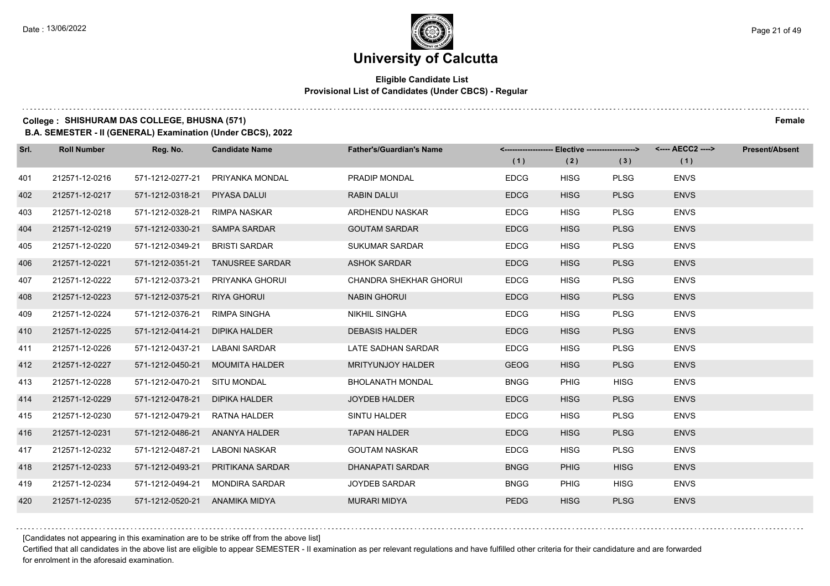### **Eligible Candidate List Provisional List of Candidates (Under CBCS) - Regular**

### **College : SHISHURAM DAS COLLEGE, BHUSNA (571) Female**

**B.A. SEMESTER - II (GENERAL) Examination (Under CBCS), 2022**

| Srl. | <b>Roll Number</b> | Reg. No.         | <b>Candidate Name</b>  | <b>Father's/Guardian's Name</b> | <-------------------- Elective ------------------> |             |             | <---- AECC2 ----> | <b>Present/Absent</b> |
|------|--------------------|------------------|------------------------|---------------------------------|----------------------------------------------------|-------------|-------------|-------------------|-----------------------|
|      |                    |                  |                        |                                 | (1)                                                | (2)         | (3)         | (1)               |                       |
| 401  | 212571-12-0216     | 571-1212-0277-21 | PRIYANKA MONDAL        | PRADIP MONDAL                   | <b>EDCG</b>                                        | <b>HISG</b> | <b>PLSG</b> | <b>ENVS</b>       |                       |
| 402  | 212571-12-0217     | 571-1212-0318-21 | <b>PIYASA DALUI</b>    | <b>RABIN DALUI</b>              | <b>EDCG</b>                                        | <b>HISG</b> | <b>PLSG</b> | <b>ENVS</b>       |                       |
| 403  | 212571-12-0218     | 571-1212-0328-21 | RIMPA NASKAR           | ARDHENDU NASKAR                 | <b>EDCG</b>                                        | <b>HISG</b> | <b>PLSG</b> | <b>ENVS</b>       |                       |
| 404  | 212571-12-0219     | 571-1212-0330-21 | <b>SAMPA SARDAR</b>    | <b>GOUTAM SARDAR</b>            | <b>EDCG</b>                                        | <b>HISG</b> | <b>PLSG</b> | <b>ENVS</b>       |                       |
| 405  | 212571-12-0220     | 571-1212-0349-21 | <b>BRISTI SARDAR</b>   | <b>SUKUMAR SARDAR</b>           | <b>EDCG</b>                                        | <b>HISG</b> | <b>PLSG</b> | <b>ENVS</b>       |                       |
| 406  | 212571-12-0221     | 571-1212-0351-21 | <b>TANUSREE SARDAR</b> | <b>ASHOK SARDAR</b>             | <b>EDCG</b>                                        | <b>HISG</b> | <b>PLSG</b> | <b>ENVS</b>       |                       |
| 407  | 212571-12-0222     | 571-1212-0373-21 | PRIYANKA GHORUI        | <b>CHANDRA SHEKHAR GHORUI</b>   | <b>EDCG</b>                                        | <b>HISG</b> | <b>PLSG</b> | <b>ENVS</b>       |                       |
| 408  | 212571-12-0223     | 571-1212-0375-21 | <b>RIYA GHORUI</b>     | <b>NABIN GHORUI</b>             | <b>EDCG</b>                                        | <b>HISG</b> | <b>PLSG</b> | <b>ENVS</b>       |                       |
| 409  | 212571-12-0224     | 571-1212-0376-21 | <b>RIMPA SINGHA</b>    | <b>NIKHIL SINGHA</b>            | <b>EDCG</b>                                        | <b>HISG</b> | <b>PLSG</b> | <b>ENVS</b>       |                       |
| 410  | 212571-12-0225     | 571-1212-0414-21 | <b>DIPIKA HALDER</b>   | <b>DEBASIS HALDER</b>           | <b>EDCG</b>                                        | <b>HISG</b> | <b>PLSG</b> | <b>ENVS</b>       |                       |
| 411  | 212571-12-0226     | 571-1212-0437-21 | LABANI SARDAR          | LATE SADHAN SARDAR              | <b>EDCG</b>                                        | <b>HISG</b> | <b>PLSG</b> | <b>ENVS</b>       |                       |
| 412  | 212571-12-0227     | 571-1212-0450-21 | <b>MOUMITA HALDER</b>  | <b>MRITYUNJOY HALDER</b>        | <b>GEOG</b>                                        | <b>HISG</b> | <b>PLSG</b> | <b>ENVS</b>       |                       |
| 413  | 212571-12-0228     | 571-1212-0470-21 | <b>SITU MONDAL</b>     | BHOLANATH MONDAL                | <b>BNGG</b>                                        | <b>PHIG</b> | <b>HISG</b> | <b>ENVS</b>       |                       |
| 414  | 212571-12-0229     | 571-1212-0478-21 | <b>DIPIKA HALDER</b>   | <b>JOYDEB HALDER</b>            | <b>EDCG</b>                                        | <b>HISG</b> | <b>PLSG</b> | <b>ENVS</b>       |                       |
| 415  | 212571-12-0230     | 571-1212-0479-21 | <b>RATNA HALDER</b>    | SINTU HALDER                    | <b>EDCG</b>                                        | <b>HISG</b> | <b>PLSG</b> | <b>ENVS</b>       |                       |
| 416  | 212571-12-0231     | 571-1212-0486-21 | ANANYA HALDER          | <b>TAPAN HALDER</b>             | <b>EDCG</b>                                        | <b>HISG</b> | <b>PLSG</b> | <b>ENVS</b>       |                       |
| 417  | 212571-12-0232     | 571-1212-0487-21 | <b>LABONI NASKAR</b>   | <b>GOUTAM NASKAR</b>            | <b>EDCG</b>                                        | <b>HISG</b> | <b>PLSG</b> | <b>ENVS</b>       |                       |
| 418  | 212571-12-0233     | 571-1212-0493-21 | PRITIKANA SARDAR       | <b>DHANAPATI SARDAR</b>         | <b>BNGG</b>                                        | <b>PHIG</b> | <b>HISG</b> | <b>ENVS</b>       |                       |
| 419  | 212571-12-0234     | 571-1212-0494-21 | <b>MONDIRA SARDAR</b>  | <b>JOYDEB SARDAR</b>            | <b>BNGG</b>                                        | <b>PHIG</b> | <b>HISG</b> | <b>ENVS</b>       |                       |
| 420  | 212571-12-0235     | 571-1212-0520-21 | ANAMIKA MIDYA          | <b>MURARI MIDYA</b>             | <b>PEDG</b>                                        | <b>HISG</b> | <b>PLSG</b> | <b>ENVS</b>       |                       |

[Candidates not appearing in this examination are to be strike off from the above list]

Certified that all candidates in the above list are eligible to appear SEMESTER - II examination as per relevant regulations and have fulfilled other criteria for their candidature and are forwarded for enrolment in the aforesaid examination.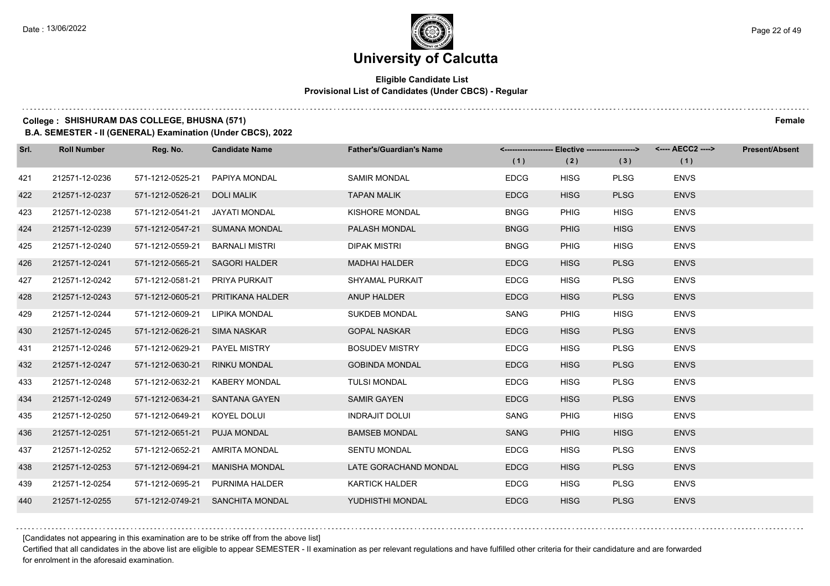### **Eligible Candidate List Provisional List of Candidates (Under CBCS) - Regular**

### **College : SHISHURAM DAS COLLEGE, BHUSNA (571) Female**

**B.A. SEMESTER - II (GENERAL) Examination (Under CBCS), 2022**

| Srl. | <b>Roll Number</b> | Reg. No.                       | <b>Candidate Name</b>            | <b>Father's/Guardian's Name</b> | (1)         | <-------------------- Elective -------------------><br>(2) | (3)         | <---- AECC2 ----><br>(1) | Present/Absent |
|------|--------------------|--------------------------------|----------------------------------|---------------------------------|-------------|------------------------------------------------------------|-------------|--------------------------|----------------|
| 421  | 212571-12-0236     | 571-1212-0525-21               | PAPIYA MONDAL                    | <b>SAMIR MONDAL</b>             | <b>EDCG</b> | <b>HISG</b>                                                | <b>PLSG</b> | <b>ENVS</b>              |                |
| 422  | 212571-12-0237     | 571-1212-0526-21               | <b>DOLI MALIK</b>                | <b>TAPAN MALIK</b>              | <b>EDCG</b> | <b>HISG</b>                                                | <b>PLSG</b> | <b>ENVS</b>              |                |
| 423  | 212571-12-0238     | 571-1212-0541-21 JAYATI MONDAL |                                  | KISHORE MONDAL                  | <b>BNGG</b> | PHIG                                                       | <b>HISG</b> | <b>ENVS</b>              |                |
| 424  | 212571-12-0239     |                                | 571-1212-0547-21 SUMANA MONDAL   | PALASH MONDAL                   | <b>BNGG</b> | <b>PHIG</b>                                                | <b>HISG</b> | <b>ENVS</b>              |                |
| 425  | 212571-12-0240     | 571-1212-0559-21               | <b>BARNALI MISTRI</b>            | <b>DIPAK MISTRI</b>             | <b>BNGG</b> | <b>PHIG</b>                                                | <b>HISG</b> | <b>ENVS</b>              |                |
| 426  | 212571-12-0241     | 571-1212-0565-21               | <b>SAGORI HALDER</b>             | <b>MADHAI HALDER</b>            | <b>EDCG</b> | <b>HISG</b>                                                | <b>PLSG</b> | <b>ENVS</b>              |                |
| 427  | 212571-12-0242     | 571-1212-0581-21               | PRIYA PURKAIT                    | <b>SHYAMAL PURKAIT</b>          | <b>EDCG</b> | <b>HISG</b>                                                | <b>PLSG</b> | <b>ENVS</b>              |                |
| 428  | 212571-12-0243     | 571-1212-0605-21               | PRITIKANA HALDER                 | ANUP HALDER                     | <b>EDCG</b> | <b>HISG</b>                                                | <b>PLSG</b> | <b>ENVS</b>              |                |
| 429  | 212571-12-0244     | 571-1212-0609-21               | LIPIKA MONDAL                    | <b>SUKDEB MONDAL</b>            | SANG        | <b>PHIG</b>                                                | <b>HISG</b> | <b>ENVS</b>              |                |
| 430  | 212571-12-0245     | 571-1212-0626-21 SIMA NASKAR   |                                  | <b>GOPAL NASKAR</b>             | <b>EDCG</b> | <b>HISG</b>                                                | <b>PLSG</b> | <b>ENVS</b>              |                |
| 431  | 212571-12-0246     | 571-1212-0629-21 PAYEL MISTRY  |                                  | <b>BOSUDEV MISTRY</b>           | <b>EDCG</b> | <b>HISG</b>                                                | <b>PLSG</b> | <b>ENVS</b>              |                |
| 432  | 212571-12-0247     | 571-1212-0630-21 RINKU MONDAL  |                                  | <b>GOBINDA MONDAL</b>           | <b>EDCG</b> | <b>HISG</b>                                                | <b>PLSG</b> | <b>ENVS</b>              |                |
| 433  | 212571-12-0248     |                                | 571-1212-0632-21 KABERY MONDAL   | <b>TULSI MONDAL</b>             | <b>EDCG</b> | <b>HISG</b>                                                | <b>PLSG</b> | <b>ENVS</b>              |                |
| 434  | 212571-12-0249     |                                | 571-1212-0634-21 SANTANA GAYEN   | <b>SAMIR GAYEN</b>              | <b>EDCG</b> | <b>HISG</b>                                                | <b>PLSG</b> | <b>ENVS</b>              |                |
| 435  | 212571-12-0250     | 571-1212-0649-21 KOYEL DOLUI   |                                  | <b>INDRAJIT DOLUI</b>           | SANG        | <b>PHIG</b>                                                | <b>HISG</b> | <b>ENVS</b>              |                |
| 436  | 212571-12-0251     | 571-1212-0651-21 PUJA MONDAL   |                                  | <b>BAMSEB MONDAL</b>            | SANG        | <b>PHIG</b>                                                | <b>HISG</b> | <b>ENVS</b>              |                |
| 437  | 212571-12-0252     | 571-1212-0652-21               | <b>AMRITA MONDAL</b>             | <b>SENTU MONDAL</b>             | <b>EDCG</b> | <b>HISG</b>                                                | <b>PLSG</b> | <b>ENVS</b>              |                |
| 438  | 212571-12-0253     | 571-1212-0694-21               | <b>MANISHA MONDAL</b>            | LATE GORACHAND MONDAL           | <b>EDCG</b> | <b>HISG</b>                                                | <b>PLSG</b> | <b>ENVS</b>              |                |
| 439  | 212571-12-0254     |                                | 571-1212-0695-21 PURNIMA HALDER  | <b>KARTICK HALDER</b>           | <b>EDCG</b> | <b>HISG</b>                                                | <b>PLSG</b> | <b>ENVS</b>              |                |
| 440  | 212571-12-0255     |                                | 571-1212-0749-21 SANCHITA MONDAL | YUDHISTHI MONDAL                | <b>EDCG</b> | <b>HISG</b>                                                | <b>PLSG</b> | <b>ENVS</b>              |                |

[Candidates not appearing in this examination are to be strike off from the above list]

Certified that all candidates in the above list are eligible to appear SEMESTER - II examination as per relevant regulations and have fulfilled other criteria for their candidature and are forwarded for enrolment in the aforesaid examination.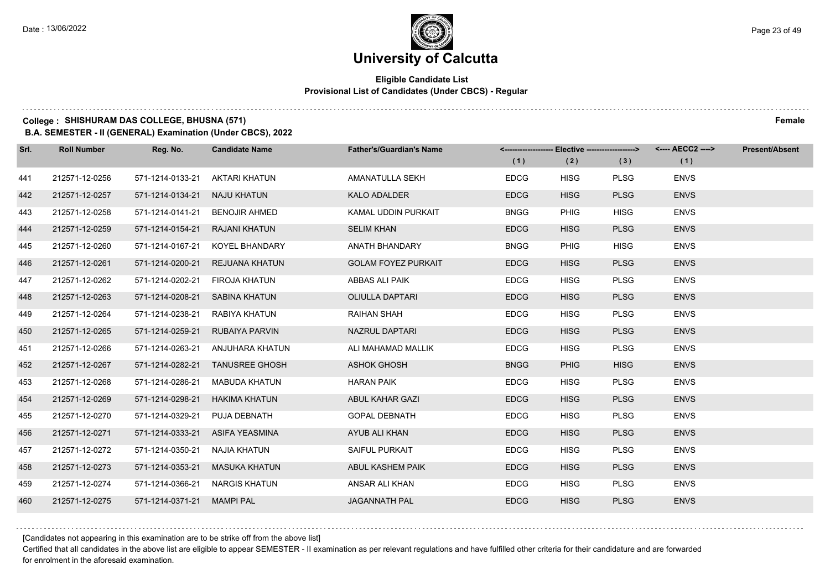### **Eligible Candidate List Provisional List of Candidates (Under CBCS) - Regular**

### **College : SHISHURAM DAS COLLEGE, BHUSNA (571) Female**

**B.A. SEMESTER - II (GENERAL) Examination (Under CBCS), 2022**

| Srl. | <b>Roll Number</b> | Reg. No.                       | <b>Candidate Name</b>            | <b>Father's/Guardian's Name</b> | (1)         | (2)         | <-------------------- Elective -------------------> <---- AECC2 ----><br>(3) | (1)         | <b>Present/Absent</b> |
|------|--------------------|--------------------------------|----------------------------------|---------------------------------|-------------|-------------|------------------------------------------------------------------------------|-------------|-----------------------|
| 441  | 212571-12-0256     | 571-1214-0133-21               | AKTARI KHATUN                    | AMANATULLA SEKH                 | <b>EDCG</b> | <b>HISG</b> | <b>PLSG</b>                                                                  | <b>ENVS</b> |                       |
| 442  | 212571-12-0257     | 571-1214-0134-21               | NAJU KHATUN                      | <b>KALO ADALDER</b>             | <b>EDCG</b> | <b>HISG</b> | <b>PLSG</b>                                                                  | <b>ENVS</b> |                       |
| 443  | 212571-12-0258     | 571-1214-0141-21 BENOJIR AHMED |                                  | KAMAL UDDIN PURKAIT             | <b>BNGG</b> | <b>PHIG</b> | <b>HISG</b>                                                                  | <b>ENVS</b> |                       |
| 444  | 212571-12-0259     | 571-1214-0154-21 RAJANI KHATUN |                                  | <b>SELIM KHAN</b>               | <b>EDCG</b> | <b>HISG</b> | <b>PLSG</b>                                                                  | <b>ENVS</b> |                       |
| 445  | 212571-12-0260     | 571-1214-0167-21               | KOYEL BHANDARY                   | ANATH BHANDARY                  | <b>BNGG</b> | <b>PHIG</b> | <b>HISG</b>                                                                  | <b>ENVS</b> |                       |
| 446  | 212571-12-0261     | 571-1214-0200-21               | REJUANA KHATUN                   | <b>GOLAM FOYEZ PURKAIT</b>      | <b>EDCG</b> | <b>HISG</b> | <b>PLSG</b>                                                                  | <b>ENVS</b> |                       |
| 447  | 212571-12-0262     | 571-1214-0202-21 FIROJA KHATUN |                                  | ABBAS ALI PAIK                  | <b>EDCG</b> | <b>HISG</b> | <b>PLSG</b>                                                                  | <b>ENVS</b> |                       |
| 448  | 212571-12-0263     | 571-1214-0208-21 SABINA KHATUN |                                  | <b>OLIULLA DAPTARI</b>          | <b>EDCG</b> | <b>HISG</b> | <b>PLSG</b>                                                                  | <b>ENVS</b> |                       |
| 449  | 212571-12-0264     | 571-1214-0238-21               | RABIYA KHATUN                    | RAIHAN SHAH                     | <b>EDCG</b> | <b>HISG</b> | <b>PLSG</b>                                                                  | <b>ENVS</b> |                       |
| 450  | 212571-12-0265     |                                | 571-1214-0259-21 RUBAIYA PARVIN  | NAZRUL DAPTARI                  | <b>EDCG</b> | <b>HISG</b> | <b>PLSG</b>                                                                  | <b>ENVS</b> |                       |
| 451  | 212571-12-0266     |                                | 571-1214-0263-21 ANJUHARA KHATUN | ALI MAHAMAD MALLIK              | <b>EDCG</b> | <b>HISG</b> | <b>PLSG</b>                                                                  | <b>ENVS</b> |                       |
| 452  | 212571-12-0267     |                                | 571-1214-0282-21 TANUSREE GHOSH  | <b>ASHOK GHOSH</b>              | <b>BNGG</b> | <b>PHIG</b> | <b>HISG</b>                                                                  | <b>ENVS</b> |                       |
| 453  | 212571-12-0268     | 571-1214-0286-21               | <b>MABUDA KHATUN</b>             | <b>HARAN PAIK</b>               | <b>EDCG</b> | <b>HISG</b> | <b>PLSG</b>                                                                  | <b>ENVS</b> |                       |
| 454  | 212571-12-0269     | 571-1214-0298-21               | HAKIMA KHATUN                    | ABUL KAHAR GAZI                 | <b>EDCG</b> | <b>HISG</b> | <b>PLSG</b>                                                                  | <b>ENVS</b> |                       |
| 455  | 212571-12-0270     | 571-1214-0329-21               | PUJA DEBNATH                     | <b>GOPAL DEBNATH</b>            | <b>EDCG</b> | <b>HISG</b> | <b>PLSG</b>                                                                  | <b>ENVS</b> |                       |
| 456  | 212571-12-0271     | 571-1214-0333-21               | ASIFA YEASMINA                   | AYUB ALI KHAN                   | <b>EDCG</b> | <b>HISG</b> | <b>PLSG</b>                                                                  | <b>ENVS</b> |                       |
| 457  | 212571-12-0272     | 571-1214-0350-21               | NAJIA KHATUN                     | <b>SAIFUL PURKAIT</b>           | <b>EDCG</b> | <b>HISG</b> | <b>PLSG</b>                                                                  | <b>ENVS</b> |                       |
| 458  | 212571-12-0273     | 571-1214-0353-21               | <b>MASUKA KHATUN</b>             | ABUL KASHEM PAIK                | <b>EDCG</b> | <b>HISG</b> | <b>PLSG</b>                                                                  | <b>ENVS</b> |                       |
| 459  | 212571-12-0274     | 571-1214-0366-21               | NARGIS KHATUN                    | ANSAR ALI KHAN                  | <b>EDCG</b> | <b>HISG</b> | <b>PLSG</b>                                                                  | <b>ENVS</b> |                       |
| 460  | 212571-12-0275     | 571-1214-0371-21 MAMPI PAL     |                                  | <b>JAGANNATH PAL</b>            | <b>EDCG</b> | <b>HISG</b> | <b>PLSG</b>                                                                  | <b>ENVS</b> |                       |

[Candidates not appearing in this examination are to be strike off from the above list]

Certified that all candidates in the above list are eligible to appear SEMESTER - II examination as per relevant regulations and have fulfilled other criteria for their candidature and are forwarded for enrolment in the aforesaid examination.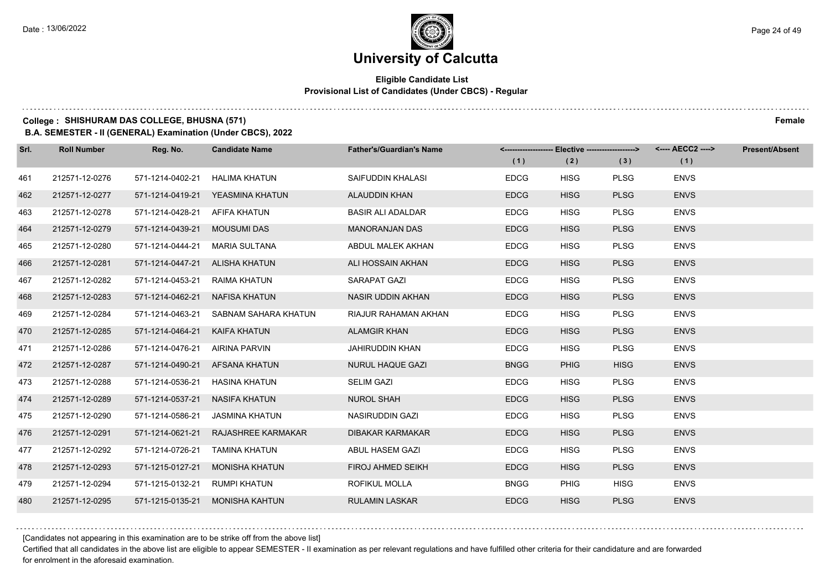### **Eligible Candidate List Provisional List of Candidates (Under CBCS) - Regular**

### **College : SHISHURAM DAS COLLEGE, BHUSNA (571) Female**

**B.A. SEMESTER - II (GENERAL) Examination (Under CBCS), 2022**

| Srl. | <b>Roll Number</b> | Reg. No.                       | <b>Candidate Name</b>            | <b>Father's/Guardian's Name</b> |             | <-------------------- Elective -------------------> |             | <---- AECC2 ----> | <b>Present/Absent</b> |
|------|--------------------|--------------------------------|----------------------------------|---------------------------------|-------------|-----------------------------------------------------|-------------|-------------------|-----------------------|
|      |                    |                                |                                  |                                 | (1)         | (2)                                                 | (3)         | (1)               |                       |
| 461  | 212571-12-0276     | 571-1214-0402-21               | HALIMA KHATUN                    | SAIFUDDIN KHALASI               | <b>EDCG</b> | <b>HISG</b>                                         | <b>PLSG</b> | <b>ENVS</b>       |                       |
| 462  | 212571-12-0277     |                                | 571-1214-0419-21 YEASMINA KHATUN | <b>ALAUDDIN KHAN</b>            | <b>EDCG</b> | <b>HISG</b>                                         | <b>PLSG</b> | <b>ENVS</b>       |                       |
| 463  | 212571-12-0278     | 571-1214-0428-21               | AFIFA KHATUN                     | <b>BASIR ALI ADALDAR</b>        | <b>EDCG</b> | <b>HISG</b>                                         | <b>PLSG</b> | <b>ENVS</b>       |                       |
| 464  | 212571-12-0279     | 571-1214-0439-21               | <b>MOUSUMI DAS</b>               | <b>MANORANJAN DAS</b>           | <b>EDCG</b> | <b>HISG</b>                                         | <b>PLSG</b> | <b>ENVS</b>       |                       |
| 465  | 212571-12-0280     | 571-1214-0444-21               | MARIA SULTANA                    | ABDUL MALEK AKHAN               | <b>EDCG</b> | <b>HISG</b>                                         | <b>PLSG</b> | <b>ENVS</b>       |                       |
| 466  | 212571-12-0281     | 571-1214-0447-21               | ALISHA KHATUN                    | ALI HOSSAIN AKHAN               | <b>EDCG</b> | <b>HISG</b>                                         | <b>PLSG</b> | <b>ENVS</b>       |                       |
| 467  | 212571-12-0282     | 571-1214-0453-21 RAIMA KHATUN  |                                  | SARAPAT GAZI                    | <b>EDCG</b> | <b>HISG</b>                                         | <b>PLSG</b> | <b>ENVS</b>       |                       |
| 468  | 212571-12-0283     | 571-1214-0462-21 NAFISA KHATUN |                                  | NASIR UDDIN AKHAN               | <b>EDCG</b> | <b>HISG</b>                                         | <b>PLSG</b> | <b>ENVS</b>       |                       |
| 469  | 212571-12-0284     | 571-1214-0463-21               | SABNAM SAHARA KHATUN             | RIAJUR RAHAMAN AKHAN            | <b>EDCG</b> | <b>HISG</b>                                         | <b>PLSG</b> | <b>ENVS</b>       |                       |
| 470  | 212571-12-0285     | 571-1214-0464-21               | <b>KAIFA KHATUN</b>              | <b>ALAMGIR KHAN</b>             | <b>EDCG</b> | <b>HISG</b>                                         | <b>PLSG</b> | <b>ENVS</b>       |                       |
| 471  | 212571-12-0286     | 571-1214-0476-21               | AIRINA PARVIN                    | JAHIRUDDIN KHAN                 | <b>EDCG</b> | <b>HISG</b>                                         | <b>PLSG</b> | <b>ENVS</b>       |                       |
| 472  | 212571-12-0287     | 571-1214-0490-21               | AFSANA KHATUN                    | <b>NURUL HAQUE GAZI</b>         | <b>BNGG</b> | <b>PHIG</b>                                         | <b>HISG</b> | <b>ENVS</b>       |                       |
| 473  | 212571-12-0288     | 571-1214-0536-21               | HASINA KHATUN                    | <b>SELIM GAZI</b>               | <b>EDCG</b> | <b>HISG</b>                                         | <b>PLSG</b> | <b>ENVS</b>       |                       |
| 474  | 212571-12-0289     | 571-1214-0537-21 NASIFA KHATUN |                                  | <b>NUROL SHAH</b>               | <b>EDCG</b> | <b>HISG</b>                                         | <b>PLSG</b> | <b>ENVS</b>       |                       |
| 475  | 212571-12-0290     | 571-1214-0586-21               | <b>JASMINA KHATUN</b>            | <b>NASIRUDDIN GAZI</b>          | <b>EDCG</b> | <b>HISG</b>                                         | <b>PLSG</b> | <b>ENVS</b>       |                       |
| 476  | 212571-12-0291     | 571-1214-0621-21               | RAJASHREE KARMAKAR               | <b>DIBAKAR KARMAKAR</b>         | <b>EDCG</b> | <b>HISG</b>                                         | <b>PLSG</b> | <b>ENVS</b>       |                       |
| 477  | 212571-12-0292     | 571-1214-0726-21               | <b>TAMINA KHATUN</b>             | ABUL HASEM GAZI                 | <b>EDCG</b> | <b>HISG</b>                                         | <b>PLSG</b> | <b>ENVS</b>       |                       |
| 478  | 212571-12-0293     | 571-1215-0127-21               | <b>MONISHA KHATUN</b>            | <b>FIROJ AHMED SEIKH</b>        | <b>EDCG</b> | <b>HISG</b>                                         | <b>PLSG</b> | <b>ENVS</b>       |                       |
| 479  | 212571-12-0294     | 571-1215-0132-21               | <b>RUMPI KHATUN</b>              | ROFIKUL MOLLA                   | <b>BNGG</b> | <b>PHIG</b>                                         | <b>HISG</b> | <b>ENVS</b>       |                       |
| 480  | 212571-12-0295     |                                | 571-1215-0135-21 MONISHA KAHTUN  | <b>RULAMIN LASKAR</b>           | <b>EDCG</b> | <b>HISG</b>                                         | <b>PLSG</b> | <b>ENVS</b>       |                       |

[Candidates not appearing in this examination are to be strike off from the above list]

Certified that all candidates in the above list are eligible to appear SEMESTER - II examination as per relevant regulations and have fulfilled other criteria for their candidature and are forwarded for enrolment in the aforesaid examination.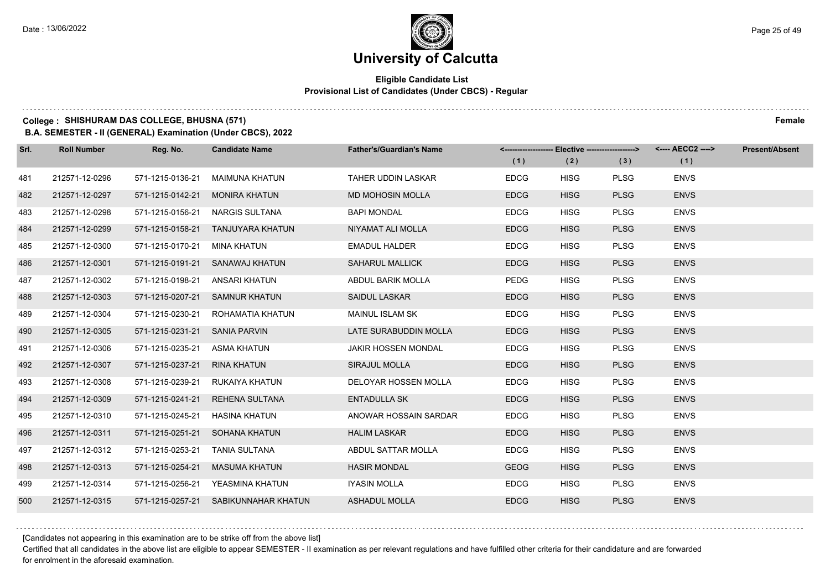### **Eligible Candidate List Provisional List of Candidates (Under CBCS) - Regular**

### **College : SHISHURAM DAS COLLEGE, BHUSNA (571) Female**

**B.A. SEMESTER - II (GENERAL) Examination (Under CBCS), 2022**

| Srl. | <b>Roll Number</b> | Reg. No.         | <b>Candidate Name</b>                | <b>Father's/Guardian's Name</b> | <-------------------- Elective -------------------> |             |             |             | <b>Present/Absent</b> |
|------|--------------------|------------------|--------------------------------------|---------------------------------|-----------------------------------------------------|-------------|-------------|-------------|-----------------------|
|      |                    |                  |                                      |                                 | (1)                                                 | (2)         | (3)         | (1)         |                       |
| 481  | 212571-12-0296     | 571-1215-0136-21 | MAIMUNA KHATUN                       | TAHER UDDIN LASKAR              | <b>EDCG</b>                                         | <b>HISG</b> | <b>PLSG</b> | <b>ENVS</b> |                       |
| 482  | 212571-12-0297     | 571-1215-0142-21 | <b>MONIRA KHATUN</b>                 | <b>MD MOHOSIN MOLLA</b>         | <b>EDCG</b>                                         | <b>HISG</b> | <b>PLSG</b> | <b>ENVS</b> |                       |
| 483  | 212571-12-0298     | 571-1215-0156-21 | <b>NARGIS SULTANA</b>                | <b>BAPI MONDAL</b>              | <b>EDCG</b>                                         | <b>HISG</b> | <b>PLSG</b> | <b>ENVS</b> |                       |
| 484  | 212571-12-0299     |                  | 571-1215-0158-21 TANJUYARA KHATUN    | NIYAMAT ALI MOLLA               | <b>EDCG</b>                                         | <b>HISG</b> | <b>PLSG</b> | <b>ENVS</b> |                       |
| 485  | 212571-12-0300     | 571-1215-0170-21 | MINA KHATUN                          | <b>EMADUL HALDER</b>            | <b>EDCG</b>                                         | <b>HISG</b> | <b>PLSG</b> | <b>ENVS</b> |                       |
| 486  | 212571-12-0301     | 571-1215-0191-21 | SANAWAJ KHATUN                       | <b>SAHARUL MALLICK</b>          | <b>EDCG</b>                                         | <b>HISG</b> | <b>PLSG</b> | <b>ENVS</b> |                       |
| 487  | 212571-12-0302     | 571-1215-0198-21 | ANSARI KHATUN                        | ABDUL BARIK MOLLA               | <b>PEDG</b>                                         | <b>HISG</b> | <b>PLSG</b> | <b>ENVS</b> |                       |
| 488  | 212571-12-0303     |                  | 571-1215-0207-21 SAMNUR KHATUN       | <b>SAIDUL LASKAR</b>            | <b>EDCG</b>                                         | <b>HISG</b> | <b>PLSG</b> | <b>ENVS</b> |                       |
| 489  | 212571-12-0304     | 571-1215-0230-21 | ROHAMATIA KHATUN                     | MAINUL ISLAM SK                 | <b>EDCG</b>                                         | <b>HISG</b> | <b>PLSG</b> | <b>ENVS</b> |                       |
| 490  | 212571-12-0305     | 571-1215-0231-21 | SANIA PARVIN                         | LATE SURABUDDIN MOLLA           | <b>EDCG</b>                                         | <b>HISG</b> | <b>PLSG</b> | <b>ENVS</b> |                       |
| 491  | 212571-12-0306     | 571-1215-0235-21 | ASMA KHATUN                          | <b>JAKIR HOSSEN MONDAL</b>      | <b>EDCG</b>                                         | <b>HISG</b> | <b>PLSG</b> | <b>ENVS</b> |                       |
| 492  | 212571-12-0307     | 571-1215-0237-21 | RINA KHATUN                          | SIRAJUL MOLLA                   | <b>EDCG</b>                                         | <b>HISG</b> | <b>PLSG</b> | <b>ENVS</b> |                       |
| 493  | 212571-12-0308     | 571-1215-0239-21 | RUKAIYA KHATUN                       | DELOYAR HOSSEN MOLLA            | <b>EDCG</b>                                         | <b>HISG</b> | <b>PLSG</b> | <b>ENVS</b> |                       |
| 494  | 212571-12-0309     | 571-1215-0241-21 | <b>REHENA SULTANA</b>                | <b>ENTADULLA SK</b>             | <b>EDCG</b>                                         | <b>HISG</b> | <b>PLSG</b> | <b>ENVS</b> |                       |
| 495  | 212571-12-0310     | 571-1215-0245-21 | <b>HASINA KHATUN</b>                 | ANOWAR HOSSAIN SARDAR           | <b>EDCG</b>                                         | <b>HISG</b> | <b>PLSG</b> | <b>ENVS</b> |                       |
| 496  | 212571-12-0311     |                  | 571-1215-0251-21 SOHANA KHATUN       | <b>HALIM LASKAR</b>             | <b>EDCG</b>                                         | <b>HISG</b> | <b>PLSG</b> | <b>ENVS</b> |                       |
| 497  | 212571-12-0312     | 571-1215-0253-21 | <b>TANIA SULTANA</b>                 | ABDUL SATTAR MOLLA              | <b>EDCG</b>                                         | <b>HISG</b> | <b>PLSG</b> | <b>ENVS</b> |                       |
| 498  | 212571-12-0313     | 571-1215-0254-21 | MASUMA KHATUN                        | <b>HASIR MONDAL</b>             | <b>GEOG</b>                                         | <b>HISG</b> | <b>PLSG</b> | <b>ENVS</b> |                       |
| 499  | 212571-12-0314     |                  | 571-1215-0256-21 YEASMINA KHATUN     | IYASIN MOLLA                    | <b>EDCG</b>                                         | <b>HISG</b> | <b>PLSG</b> | <b>ENVS</b> |                       |
| 500  | 212571-12-0315     |                  | 571-1215-0257-21 SABIKUNNAHAR KHATUN | <b>ASHADUL MOLLA</b>            | <b>EDCG</b>                                         | <b>HISG</b> | <b>PLSG</b> | <b>ENVS</b> |                       |

[Candidates not appearing in this examination are to be strike off from the above list]

Certified that all candidates in the above list are eligible to appear SEMESTER - II examination as per relevant regulations and have fulfilled other criteria for their candidature and are forwarded for enrolment in the aforesaid examination.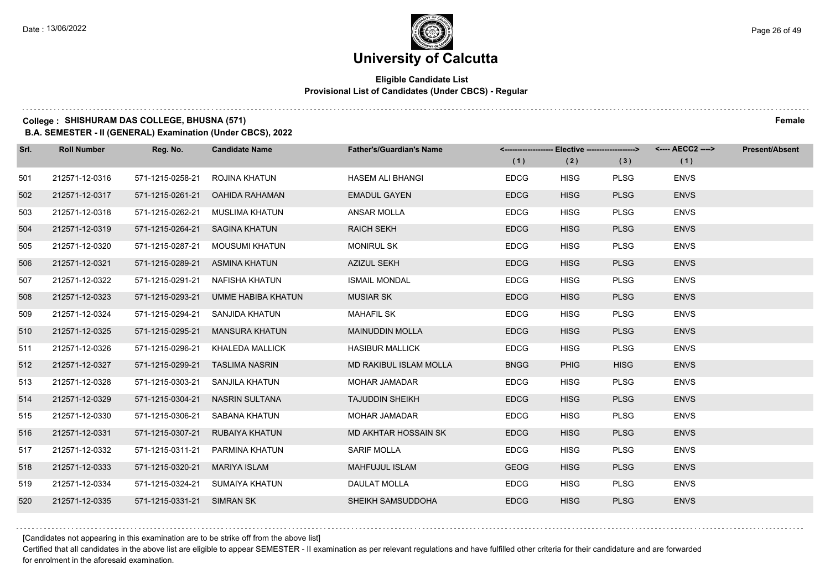### **Eligible Candidate List Provisional List of Candidates (Under CBCS) - Regular**

### **College : SHISHURAM DAS COLLEGE, BHUSNA (571) Female**

**B.A. SEMESTER - II (GENERAL) Examination (Under CBCS), 2022**

| Srl. | <b>Roll Number</b> | Reg. No.                       | <b>Candidate Name</b>               | <b>Father's/Guardian's Name</b> | (1)         | (2)         | <------------------- Elective ------------------> <---- AECC2 ----><br>(3) | (1)         | <b>Present/Absent</b> |
|------|--------------------|--------------------------------|-------------------------------------|---------------------------------|-------------|-------------|----------------------------------------------------------------------------|-------------|-----------------------|
| 501  | 212571-12-0316     | 571-1215-0258-21               | ROJINA KHATUN                       | <b>HASEM ALI BHANGI</b>         | <b>EDCG</b> | <b>HISG</b> | <b>PLSG</b>                                                                | <b>ENVS</b> |                       |
| 502  | 212571-12-0317     | 571-1215-0261-21               | <b>OAHIDA RAHAMAN</b>               | <b>EMADUL GAYEN</b>             | <b>EDCG</b> | <b>HISG</b> | <b>PLSG</b>                                                                | <b>ENVS</b> |                       |
| 503  | 212571-12-0318     | 571-1215-0262-21               | MUSLIMA KHATUN                      | ANSAR MOLLA                     | <b>EDCG</b> | <b>HISG</b> | <b>PLSG</b>                                                                | <b>ENVS</b> |                       |
| 504  | 212571-12-0319     | 571-1215-0264-21 SAGINA KHATUN |                                     | <b>RAICH SEKH</b>               | <b>EDCG</b> | <b>HISG</b> | <b>PLSG</b>                                                                | <b>ENVS</b> |                       |
| 505  | 212571-12-0320     | 571-1215-0287-21               | MOUSUMI KHATUN                      | <b>MONIRUL SK</b>               | <b>EDCG</b> | <b>HISG</b> | <b>PLSG</b>                                                                | <b>ENVS</b> |                       |
| 506  | 212571-12-0321     | 571-1215-0289-21               | ASMINA KHATUN                       | <b>AZIZUL SEKH</b>              | <b>EDCG</b> | <b>HISG</b> | <b>PLSG</b>                                                                | <b>ENVS</b> |                       |
| 507  | 212571-12-0322     | 571-1215-0291-21               | NAFISHA KHATUN                      | <b>ISMAIL MONDAL</b>            | <b>EDCG</b> | <b>HISG</b> | <b>PLSG</b>                                                                | <b>ENVS</b> |                       |
| 508  | 212571-12-0323     |                                | 571-1215-0293-21 UMME HABIBA KHATUN | <b>MUSIAR SK</b>                | <b>EDCG</b> | <b>HISG</b> | <b>PLSG</b>                                                                | <b>ENVS</b> |                       |
| 509  | 212571-12-0324     | 571-1215-0294-21               | SANJIDA KHATUN                      | <b>MAHAFIL SK</b>               | <b>EDCG</b> | <b>HISG</b> | <b>PLSG</b>                                                                | <b>ENVS</b> |                       |
| 510  | 212571-12-0325     | 571-1215-0295-21               | <b>MANSURA KHATUN</b>               | <b>MAINUDDIN MOLLA</b>          | <b>EDCG</b> | <b>HISG</b> | <b>PLSG</b>                                                                | <b>ENVS</b> |                       |
| 511  | 212571-12-0326     | 571-1215-0296-21               | KHALEDA MALLICK                     | <b>HASIBUR MALLICK</b>          | <b>EDCG</b> | <b>HISG</b> | <b>PLSG</b>                                                                | <b>ENVS</b> |                       |
| 512  | 212571-12-0327     |                                | 571-1215-0299-21 TASLIMA NASRIN     | MD RAKIBUL ISLAM MOLLA          | <b>BNGG</b> | <b>PHIG</b> | <b>HISG</b>                                                                | <b>ENVS</b> |                       |
| 513  | 212571-12-0328     |                                | 571-1215-0303-21 SANJILA KHATUN     | <b>MOHAR JAMADAR</b>            | <b>EDCG</b> | <b>HISG</b> | <b>PLSG</b>                                                                | <b>ENVS</b> |                       |
| 514  | 212571-12-0329     | 571-1215-0304-21               | NASRIN SULTANA                      | <b>TAJUDDIN SHEIKH</b>          | <b>EDCG</b> | <b>HISG</b> | <b>PLSG</b>                                                                | <b>ENVS</b> |                       |
| 515  | 212571-12-0330     |                                | 571-1215-0306-21 SABANA KHATUN      | <b>MOHAR JAMADAR</b>            | <b>EDCG</b> | <b>HISG</b> | <b>PLSG</b>                                                                | <b>ENVS</b> |                       |
| 516  | 212571-12-0331     |                                | 571-1215-0307-21 RUBAIYA KHATUN     | MD AKHTAR HOSSAIN SK            | <b>EDCG</b> | <b>HISG</b> | <b>PLSG</b>                                                                | <b>ENVS</b> |                       |
| 517  | 212571-12-0332     |                                | 571-1215-0311-21 PARMINA KHATUN     | SARIF MOLLA                     | <b>EDCG</b> | <b>HISG</b> | <b>PLSG</b>                                                                | <b>ENVS</b> |                       |
| 518  | 212571-12-0333     | 571-1215-0320-21               | <b>MARIYA ISLAM</b>                 | MAHFUJUL ISLAM                  | <b>GEOG</b> | <b>HISG</b> | <b>PLSG</b>                                                                | <b>ENVS</b> |                       |
| 519  | 212571-12-0334     |                                | 571-1215-0324-21 SUMAIYA KHATUN     | DAULAT MOLLA                    | <b>EDCG</b> | <b>HISG</b> | <b>PLSG</b>                                                                | <b>ENVS</b> |                       |
| 520  | 212571-12-0335     | 571-1215-0331-21 SIMRAN SK     |                                     | SHEIKH SAMSUDDOHA               | <b>EDCG</b> | <b>HISG</b> | <b>PLSG</b>                                                                | <b>ENVS</b> |                       |

[Candidates not appearing in this examination are to be strike off from the above list]

Certified that all candidates in the above list are eligible to appear SEMESTER - II examination as per relevant regulations and have fulfilled other criteria for their candidature and are forwarded for enrolment in the aforesaid examination.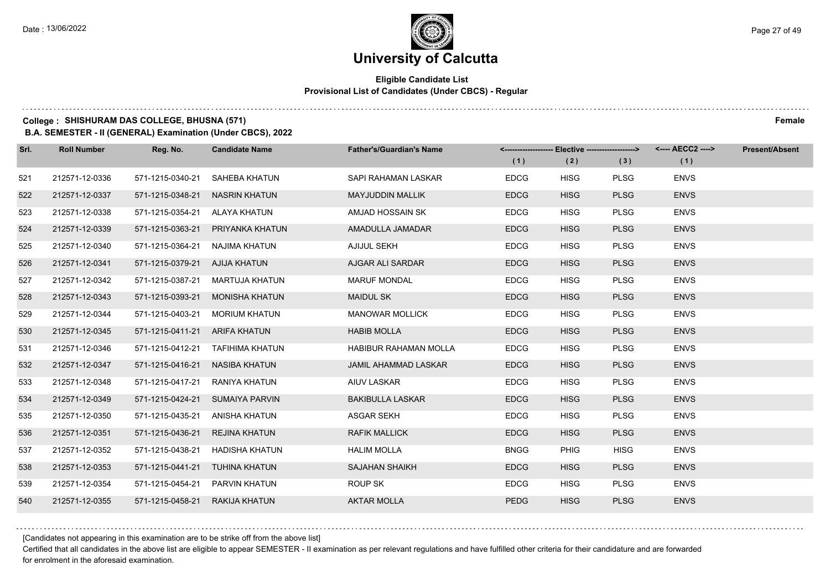### **Eligible Candidate List Provisional List of Candidates (Under CBCS) - Regular**

### **College : SHISHURAM DAS COLLEGE, BHUSNA (571) Female**

**B.A. SEMESTER - II (GENERAL) Examination (Under CBCS), 2022**

| Srl. | <b>Roll Number</b> | Reg. No.                        | <b>Candidate Name</b>            | <b>Father's/Guardian's Name</b> | <-------------------- Elective -------------------> |             |             | <---- AECC2 ----> | <b>Present/Absent</b> |
|------|--------------------|---------------------------------|----------------------------------|---------------------------------|-----------------------------------------------------|-------------|-------------|-------------------|-----------------------|
|      |                    |                                 |                                  |                                 | (1)                                                 | (2)         | (3)         | (1)               |                       |
| 521  | 212571-12-0336     | 571-1215-0340-21                | SAHEBA KHATUN                    | SAPI RAHAMAN LASKAR             | <b>EDCG</b>                                         | <b>HISG</b> | <b>PLSG</b> | <b>ENVS</b>       |                       |
| 522  | 212571-12-0337     | 571-1215-0348-21                | NASRIN KHATUN                    | <b>MAYJUDDIN MALLIK</b>         | <b>EDCG</b>                                         | <b>HISG</b> | <b>PLSG</b> | <b>ENVS</b>       |                       |
| 523  | 212571-12-0338     | 571-1215-0354-21 ALAYA KHATUN   |                                  | AMJAD HOSSAIN SK                | <b>EDCG</b>                                         | <b>HISG</b> | <b>PLSG</b> | <b>ENVS</b>       |                       |
| 524  | 212571-12-0339     |                                 | 571-1215-0363-21 PRIYANKA KHATUN | AMADULLA JAMADAR                | <b>EDCG</b>                                         | <b>HISG</b> | <b>PLSG</b> | <b>ENVS</b>       |                       |
| 525  | 212571-12-0340     | 571-1215-0364-21                | NAJIMA KHATUN                    | AJIJUL SEKH                     | <b>EDCG</b>                                         | <b>HISG</b> | <b>PLSG</b> | <b>ENVS</b>       |                       |
| 526  | 212571-12-0341     | 571-1215-0379-21 AJIJA KHATUN   |                                  | AJGAR ALI SARDAR                | <b>EDCG</b>                                         | <b>HISG</b> | <b>PLSG</b> | <b>ENVS</b>       |                       |
| 527  | 212571-12-0342     | 571-1215-0387-21                | MARTUJA KHATUN                   | <b>MARUF MONDAL</b>             | <b>EDCG</b>                                         | <b>HISG</b> | <b>PLSG</b> | <b>ENVS</b>       |                       |
| 528  | 212571-12-0343     |                                 | 571-1215-0393-21 MONISHA KHATUN  | <b>MAIDUL SK</b>                | <b>EDCG</b>                                         | <b>HISG</b> | <b>PLSG</b> | <b>ENVS</b>       |                       |
| 529  | 212571-12-0344     | 571-1215-0403-21                | <b>MORIUM KHATUN</b>             | <b>MANOWAR MOLLICK</b>          | <b>EDCG</b>                                         | <b>HISG</b> | <b>PLSG</b> | <b>ENVS</b>       |                       |
| 530  | 212571-12-0345     | 571-1215-0411-21 ARIFA KHATUN   |                                  | <b>HABIB MOLLA</b>              | <b>EDCG</b>                                         | <b>HISG</b> | <b>PLSG</b> | <b>ENVS</b>       |                       |
| 531  | 212571-12-0346     |                                 | 571-1215-0412-21 TAFIHIMA KHATUN | <b>HABIBUR RAHAMAN MOLLA</b>    | <b>EDCG</b>                                         | <b>HISG</b> | <b>PLSG</b> | <b>ENVS</b>       |                       |
| 532  | 212571-12-0347     | 571-1215-0416-21 NASIBA KHATUN  |                                  | <b>JAMIL AHAMMAD LASKAR</b>     | <b>EDCG</b>                                         | <b>HISG</b> | <b>PLSG</b> | <b>ENVS</b>       |                       |
| 533  | 212571-12-0348     | 571-1215-0417-21                | RANIYA KHATUN                    | AIUV LASKAR                     | <b>EDCG</b>                                         | <b>HISG</b> | <b>PLSG</b> | <b>ENVS</b>       |                       |
| 534  | 212571-12-0349     |                                 | 571-1215-0424-21 SUMAIYA PARVIN  | <b>BAKIBULLA LASKAR</b>         | <b>EDCG</b>                                         | <b>HISG</b> | <b>PLSG</b> | <b>ENVS</b>       |                       |
| 535  | 212571-12-0350     | 571-1215-0435-21 ANISHA KHATUN  |                                  | <b>ASGAR SEKH</b>               | <b>EDCG</b>                                         | <b>HISG</b> | <b>PLSG</b> | <b>ENVS</b>       |                       |
| 536  | 212571-12-0351     | 571-1215-0436-21 REJINA KHATUN  |                                  | <b>RAFIK MALLICK</b>            | <b>EDCG</b>                                         | <b>HISG</b> | <b>PLSG</b> | <b>ENVS</b>       |                       |
| 537  | 212571-12-0352     | 571-1215-0438-21                | HADISHA KHATUN                   | <b>HALIM MOLLA</b>              | <b>BNGG</b>                                         | <b>PHIG</b> | <b>HISG</b> | <b>ENVS</b>       |                       |
| 538  | 212571-12-0353     | 571-1215-0441-21 TUHINA KHATUN  |                                  | <b>SAJAHAN SHAIKH</b>           | <b>EDCG</b>                                         | <b>HISG</b> | <b>PLSG</b> | <b>ENVS</b>       |                       |
| 539  | 212571-12-0354     | 571-1215-0454-21  PARVIN KHATUN |                                  | ROUP SK                         | <b>EDCG</b>                                         | <b>HISG</b> | <b>PLSG</b> | <b>ENVS</b>       |                       |
| 540  | 212571-12-0355     | 571-1215-0458-21 RAKIJA KHATUN  |                                  | <b>AKTAR MOLLA</b>              | <b>PEDG</b>                                         | <b>HISG</b> | <b>PLSG</b> | <b>ENVS</b>       |                       |

[Candidates not appearing in this examination are to be strike off from the above list]

Certified that all candidates in the above list are eligible to appear SEMESTER - II examination as per relevant regulations and have fulfilled other criteria for their candidature and are forwarded for enrolment in the aforesaid examination.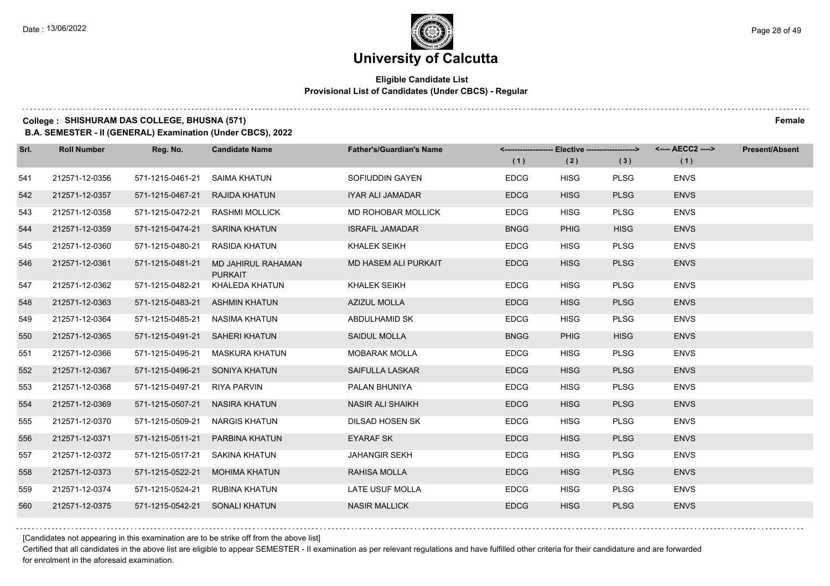### **Eligible Candidate List Provisional List of Candidates (Under CBCS) - Regular**

### **College : SHISHURAM DAS COLLEGE, BHUSNA (571) Female**

**B.A. SEMESTER - II (GENERAL) Examination (Under CBCS), 2022**

| Srl. | <b>Roll Number</b> | Reg. No.                       | <b>Candidate Name</b>                | <b>Father's/Guardian's Name</b> |             | <------------------- Elective ------------------> |             | <---- AECC2 ----> | <b>Present/Absent</b> |
|------|--------------------|--------------------------------|--------------------------------------|---------------------------------|-------------|---------------------------------------------------|-------------|-------------------|-----------------------|
|      |                    |                                |                                      |                                 | (1)         | (2)                                               | (3)         | (1)               |                       |
| 541  | 212571-12-0356     | 571-1215-0461-21               | SAIMA KHATUN                         | SOFIUDDIN GAYEN                 | <b>EDCG</b> | <b>HISG</b>                                       | <b>PLSG</b> | <b>ENVS</b>       |                       |
| 542  | 212571-12-0357     | 571-1215-0467-21 RAJIDA KHATUN |                                      | IYAR ALI JAMADAR                | <b>EDCG</b> | <b>HISG</b>                                       | <b>PLSG</b> | <b>ENVS</b>       |                       |
| 543  | 212571-12-0358     | 571-1215-0472-21               | <b>RASHMI MOLLICK</b>                | MD ROHOBAR MOLLICK              | <b>EDCG</b> | <b>HISG</b>                                       | <b>PLSG</b> | <b>ENVS</b>       |                       |
| 544  | 212571-12-0359     | 571-1215-0474-21               | SARINA KHATUN                        | <b>ISRAFIL JAMADAR</b>          | <b>BNGG</b> | <b>PHIG</b>                                       | <b>HISG</b> | <b>ENVS</b>       |                       |
| 545  | 212571-12-0360     | 571-1215-0480-21               | RASIDA KHATUN                        | KHALEK SEIKH                    | <b>EDCG</b> | <b>HISG</b>                                       | PLSG        | <b>ENVS</b>       |                       |
| 546  | 212571-12-0361     | 571-1215-0481-21               | MD JAHIRUL RAHAMAN<br><b>PURKAIT</b> | MD HASEM ALI PURKAIT            | <b>EDCG</b> | <b>HISG</b>                                       | <b>PLSG</b> | <b>ENVS</b>       |                       |
| 547  | 212571-12-0362     | 571-1215-0482-21               | KHALEDA KHATUN                       | <b>KHALEK SEIKH</b>             | <b>EDCG</b> | <b>HISG</b>                                       | <b>PLSG</b> | <b>ENVS</b>       |                       |
| 548  | 212571-12-0363     |                                | 571-1215-0483-21 ASHMIN KHATUN       | <b>AZIZUL MOLLA</b>             | <b>EDCG</b> | <b>HISG</b>                                       | <b>PLSG</b> | <b>ENVS</b>       |                       |
| 549  | 212571-12-0364     | 571-1215-0485-21               | NASIMA KHATUN                        | ABDULHAMID SK                   | <b>EDCG</b> | <b>HISG</b>                                       | <b>PLSG</b> | <b>ENVS</b>       |                       |
| 550  | 212571-12-0365     | 571-1215-0491-21               | <b>SAHERI KHATUN</b>                 | SAIDUL MOLLA                    | <b>BNGG</b> | <b>PHIG</b>                                       | <b>HISG</b> | <b>ENVS</b>       |                       |
| 551  | 212571-12-0366     | 571-1215-0495-21               | MASKURA KHATUN                       | <b>MOBARAK MOLLA</b>            | <b>EDCG</b> | <b>HISG</b>                                       | <b>PLSG</b> | <b>ENVS</b>       |                       |
| 552  | 212571-12-0367     | 571-1215-0496-21 SONIYA KHATUN |                                      | SAIFULLA LASKAR                 | <b>EDCG</b> | <b>HISG</b>                                       | <b>PLSG</b> | <b>ENVS</b>       |                       |
| 553  | 212571-12-0368     | 571-1215-0497-21               | RIYA PARVIN                          | PALAN BHUNIYA                   | <b>EDCG</b> | <b>HISG</b>                                       | <b>PLSG</b> | <b>ENVS</b>       |                       |
| 554  | 212571-12-0369     | 571-1215-0507-21               | <b>NASIRA KHATUN</b>                 | <b>NASIR ALI SHAIKH</b>         | <b>EDCG</b> | <b>HISG</b>                                       | <b>PLSG</b> | <b>ENVS</b>       |                       |
| 555  | 212571-12-0370     | 571-1215-0509-21               | NARGIS KHATUN                        | DILSAD HOSEN SK                 | <b>EDCG</b> | <b>HISG</b>                                       | <b>PLSG</b> | <b>ENVS</b>       |                       |
| 556  | 212571-12-0371     | 571-1215-0511-21               | PARBINA KHATUN                       | <b>EYARAF SK</b>                | <b>EDCG</b> | <b>HISG</b>                                       | <b>PLSG</b> | <b>ENVS</b>       |                       |
| 557  | 212571-12-0372     | 571-1215-0517-21 SAKINA KHATUN |                                      | <b>JAHANGIR SEKH</b>            | <b>EDCG</b> | <b>HISG</b>                                       | <b>PLSG</b> | <b>ENVS</b>       |                       |
| 558  | 212571-12-0373     | 571-1215-0522-21               | <b>MOHIMA KHATUN</b>                 | RAHISA MOLLA                    | <b>EDCG</b> | <b>HISG</b>                                       | <b>PLSG</b> | <b>ENVS</b>       |                       |
| 559  | 212571-12-0374     | 571-1215-0524-21               | <b>RUBINA KHATUN</b>                 | LATE USUF MOLLA                 | <b>EDCG</b> | <b>HISG</b>                                       | <b>PLSG</b> | <b>ENVS</b>       |                       |
| 560  | 212571-12-0375     | 571-1215-0542-21 SONALI KHATUN |                                      | <b>NASIR MALLICK</b>            | <b>EDCG</b> | <b>HISG</b>                                       | <b>PLSG</b> | <b>ENVS</b>       |                       |

[Candidates not appearing in this examination are to be strike off from the above list]

Certified that all candidates in the above list are eligible to appear SEMESTER - II examination as per relevant regulations and have fulfilled other criteria for their candidature and are forwarded for enrolment in the aforesaid examination.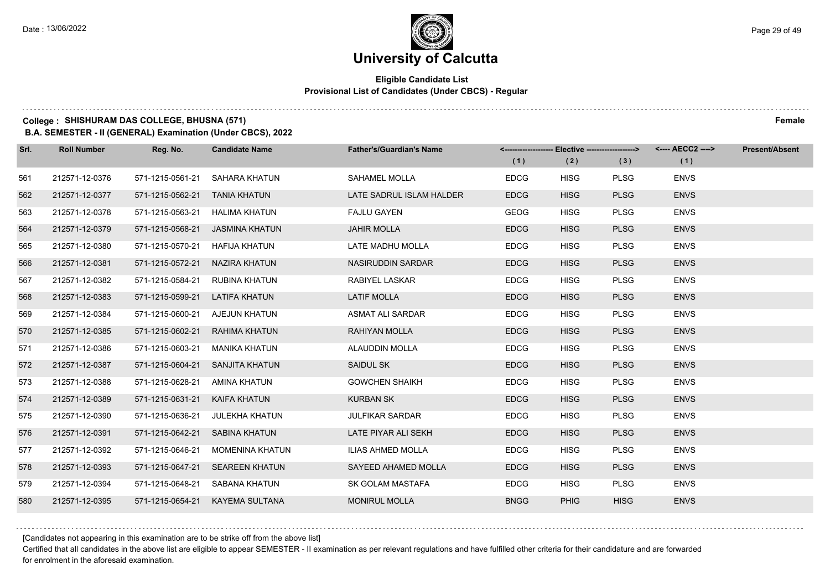### **Eligible Candidate List Provisional List of Candidates (Under CBCS) - Regular**

### **College : SHISHURAM DAS COLLEGE, BHUSNA (571) Female**

**B.A. SEMESTER - II (GENERAL) Examination (Under CBCS), 2022**

| Srl. | <b>Roll Number</b> | Reg. No.                       | <b>Candidate Name</b>           | <b>Father's/Guardian's Name</b> |             | <-------------------- Elective -------------------> |             | <---- AECC2 ----> | <b>Present/Absent</b> |
|------|--------------------|--------------------------------|---------------------------------|---------------------------------|-------------|-----------------------------------------------------|-------------|-------------------|-----------------------|
|      |                    |                                |                                 |                                 | (1)         | (2)                                                 | (3)         | (1)               |                       |
| 561  | 212571-12-0376     | 571-1215-0561-21               | SAHARA KHATUN                   | SAHAMEL MOLLA                   | <b>EDCG</b> | <b>HISG</b>                                         | <b>PLSG</b> | <b>ENVS</b>       |                       |
| 562  | 212571-12-0377     | 571-1215-0562-21 TANIA KHATUN  |                                 | LATE SADRUL ISLAM HALDER        | <b>EDCG</b> | <b>HISG</b>                                         | <b>PLSG</b> | <b>ENVS</b>       |                       |
| 563  | 212571-12-0378     | 571-1215-0563-21 HALIMA KHATUN |                                 | <b>FAJLU GAYEN</b>              | <b>GEOG</b> | <b>HISG</b>                                         | <b>PLSG</b> | <b>ENVS</b>       |                       |
| 564  | 212571-12-0379     |                                | 571-1215-0568-21 JASMINA KHATUN | <b>JAHIR MOLLA</b>              | <b>EDCG</b> | <b>HISG</b>                                         | <b>PLSG</b> | <b>ENVS</b>       |                       |
| 565  | 212571-12-0380     | 571-1215-0570-21               | HAFIJA KHATUN                   | LATE MADHU MOLLA                | <b>EDCG</b> | <b>HISG</b>                                         | <b>PLSG</b> | <b>ENVS</b>       |                       |
| 566  | 212571-12-0381     | 571-1215-0572-21 NAZIRA KHATUN |                                 | NASIRUDDIN SARDAR               | <b>EDCG</b> | <b>HISG</b>                                         | <b>PLSG</b> | <b>ENVS</b>       |                       |
| 567  | 212571-12-0382     |                                | 571-1215-0584-21 RUBINA KHATUN  | RABIYEL LASKAR                  | <b>EDCG</b> | <b>HISG</b>                                         | <b>PLSG</b> | <b>ENVS</b>       |                       |
| 568  | 212571-12-0383     | 571-1215-0599-21 LATIFA KHATUN |                                 | <b>LATIF MOLLA</b>              | <b>EDCG</b> | <b>HISG</b>                                         | <b>PLSG</b> | <b>ENVS</b>       |                       |
| 569  | 212571-12-0384     | 571-1215-0600-21               | AJEJUN KHATUN                   | <b>ASMAT ALI SARDAR</b>         | <b>EDCG</b> | <b>HISG</b>                                         | <b>PLSG</b> | <b>ENVS</b>       |                       |
| 570  | 212571-12-0385     |                                | 571-1215-0602-21 RAHIMA KHATUN  | RAHIYAN MOLLA                   | <b>EDCG</b> | <b>HISG</b>                                         | <b>PLSG</b> | <b>ENVS</b>       |                       |
| 571  | 212571-12-0386     |                                | 571-1215-0603-21 MANIKA KHATUN  | ALAUDDIN MOLLA                  | <b>EDCG</b> | <b>HISG</b>                                         | <b>PLSG</b> | <b>ENVS</b>       |                       |
| 572  | 212571-12-0387     |                                | 571-1215-0604-21 SANJITA KHATUN | SAIDUL SK                       | <b>EDCG</b> | <b>HISG</b>                                         | <b>PLSG</b> | <b>ENVS</b>       |                       |
| 573  | 212571-12-0388     | 571-1215-0628-21               | AMINA KHATUN                    | <b>GOWCHEN SHAIKH</b>           | <b>EDCG</b> | <b>HISG</b>                                         | <b>PLSG</b> | <b>ENVS</b>       |                       |
| 574  | 212571-12-0389     | 571-1215-0631-21               | KAIFA KHATUN                    | <b>KURBAN SK</b>                | <b>EDCG</b> | <b>HISG</b>                                         | <b>PLSG</b> | <b>ENVS</b>       |                       |
| 575  | 212571-12-0390     | 571-1215-0636-21               | JULEKHA KHATUN                  | <b>JULFIKAR SARDAR</b>          | <b>EDCG</b> | <b>HISG</b>                                         | <b>PLSG</b> | <b>ENVS</b>       |                       |
| 576  | 212571-12-0391     | 571-1215-0642-21               | SABINA KHATUN                   | LATE PIYAR ALI SEKH             | <b>EDCG</b> | <b>HISG</b>                                         | <b>PLSG</b> | <b>ENVS</b>       |                       |
| 577  | 212571-12-0392     | 571-1215-0646-21               | MOMENINA KHATUN                 | ILIAS AHMED MOLLA               | <b>EDCG</b> | <b>HISG</b>                                         | <b>PLSG</b> | <b>ENVS</b>       |                       |
| 578  | 212571-12-0393     |                                | 571-1215-0647-21 SEAREEN KHATUN | SAYEED AHAMED MOLLA             | <b>EDCG</b> | <b>HISG</b>                                         | <b>PLSG</b> | <b>ENVS</b>       |                       |
| 579  | 212571-12-0394     |                                | 571-1215-0648-21 SABANA KHATUN  | SK GOLAM MASTAFA                | <b>EDCG</b> | <b>HISG</b>                                         | <b>PLSG</b> | <b>ENVS</b>       |                       |
| 580  | 212571-12-0395     |                                | 571-1215-0654-21 KAYEMA SULTANA | <b>MONIRUL MOLLA</b>            | <b>BNGG</b> | <b>PHIG</b>                                         | <b>HISG</b> | <b>ENVS</b>       |                       |

[Candidates not appearing in this examination are to be strike off from the above list]

Certified that all candidates in the above list are eligible to appear SEMESTER - II examination as per relevant regulations and have fulfilled other criteria for their candidature and are forwarded for enrolment in the aforesaid examination.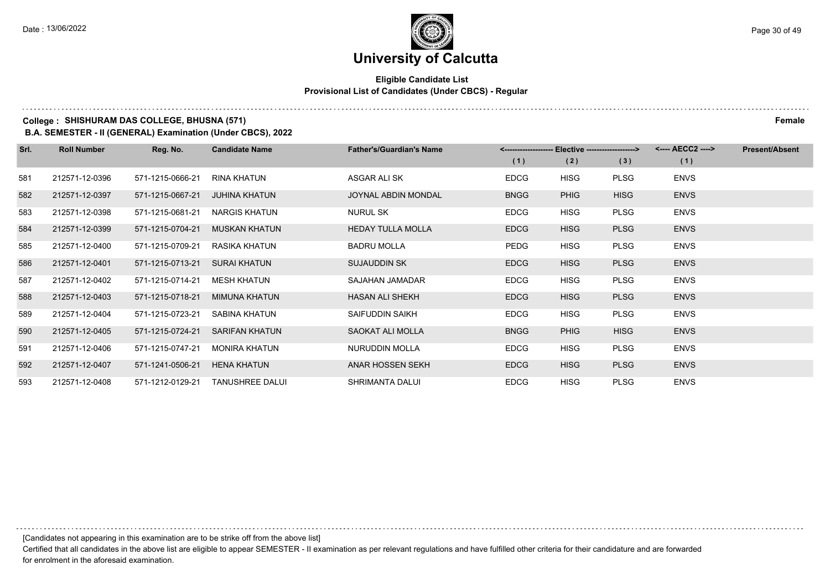### **Eligible Candidate List Provisional List of Candidates (Under CBCS) - Regular**

### **College : SHISHURAM DAS COLLEGE, BHUSNA (571) Female**

**B.A. SEMESTER - II (GENERAL) Examination (Under CBCS), 2022**

| Srl. | <b>Roll Number</b> | Reg. No.         | <b>Candidate Name</b>  | <b>Father's/Guardian's Name</b> | <-------------------- |             | Elective --------------------> | <---- AECC2 ----> | <b>Present/Absent</b> |
|------|--------------------|------------------|------------------------|---------------------------------|-----------------------|-------------|--------------------------------|-------------------|-----------------------|
|      |                    |                  |                        |                                 | (1)                   | (2)         | (3)                            | (1)               |                       |
| 581  | 212571-12-0396     | 571-1215-0666-21 | RINA KHATUN            | ASGAR ALI SK                    | <b>EDCG</b>           | <b>HISG</b> | <b>PLSG</b>                    | <b>ENVS</b>       |                       |
| 582  | 212571-12-0397     | 571-1215-0667-21 | <b>JUHINA KHATUN</b>   | <b>JOYNAL ABDIN MONDAL</b>      | <b>BNGG</b>           | <b>PHIG</b> | <b>HISG</b>                    | <b>ENVS</b>       |                       |
| 583  | 212571-12-0398     | 571-1215-0681-21 | <b>NARGIS KHATUN</b>   | NURUL SK                        | <b>EDCG</b>           | <b>HISG</b> | <b>PLSG</b>                    | <b>ENVS</b>       |                       |
| 584  | 212571-12-0399     | 571-1215-0704-21 | <b>MUSKAN KHATUN</b>   | <b>HEDAY TULLA MOLLA</b>        | <b>EDCG</b>           | <b>HISG</b> | <b>PLSG</b>                    | <b>ENVS</b>       |                       |
| 585  | 212571-12-0400     | 571-1215-0709-21 | <b>RASIKA KHATUN</b>   | <b>BADRU MOLLA</b>              | PEDG                  | <b>HISG</b> | <b>PLSG</b>                    | <b>ENVS</b>       |                       |
| 586  | 212571-12-0401     | 571-1215-0713-21 | <b>SURAI KHATUN</b>    | <b>SUJAUDDIN SK</b>             | <b>EDCG</b>           | <b>HISG</b> | <b>PLSG</b>                    | <b>ENVS</b>       |                       |
| 587  | 212571-12-0402     | 571-1215-0714-21 | <b>MESH KHATUN</b>     | SAJAHAN JAMADAR                 | <b>EDCG</b>           | <b>HISG</b> | <b>PLSG</b>                    | <b>ENVS</b>       |                       |
| 588  | 212571-12-0403     | 571-1215-0718-21 | <b>MIMUNA KHATUN</b>   | <b>HASAN ALI SHEKH</b>          | <b>EDCG</b>           | <b>HISG</b> | <b>PLSG</b>                    | <b>ENVS</b>       |                       |
| 589  | 212571-12-0404     | 571-1215-0723-21 | SABINA KHATUN          | SAIFUDDIN SAIKH                 | <b>EDCG</b>           | <b>HISG</b> | <b>PLSG</b>                    | <b>ENVS</b>       |                       |
| 590  | 212571-12-0405     | 571-1215-0724-21 | <b>SARIFAN KHATUN</b>  | <b>SAOKAT ALI MOLLA</b>         | <b>BNGG</b>           | <b>PHIG</b> | <b>HISG</b>                    | <b>ENVS</b>       |                       |
| 591  | 212571-12-0406     | 571-1215-0747-21 | <b>MONIRA KHATUN</b>   | NURUDDIN MOLLA                  | <b>EDCG</b>           | <b>HISG</b> | <b>PLSG</b>                    | <b>ENVS</b>       |                       |
| 592  | 212571-12-0407     | 571-1241-0506-21 | <b>HENA KHATUN</b>     | ANAR HOSSEN SEKH                | <b>EDCG</b>           | <b>HISG</b> | <b>PLSG</b>                    | <b>ENVS</b>       |                       |
| 593  | 212571-12-0408     | 571-1212-0129-21 | <b>TANUSHREE DALUI</b> | SHRIMANTA DALUI                 | <b>EDCG</b>           | <b>HISG</b> | <b>PLSG</b>                    | <b>ENVS</b>       |                       |

[Candidates not appearing in this examination are to be strike off from the above list]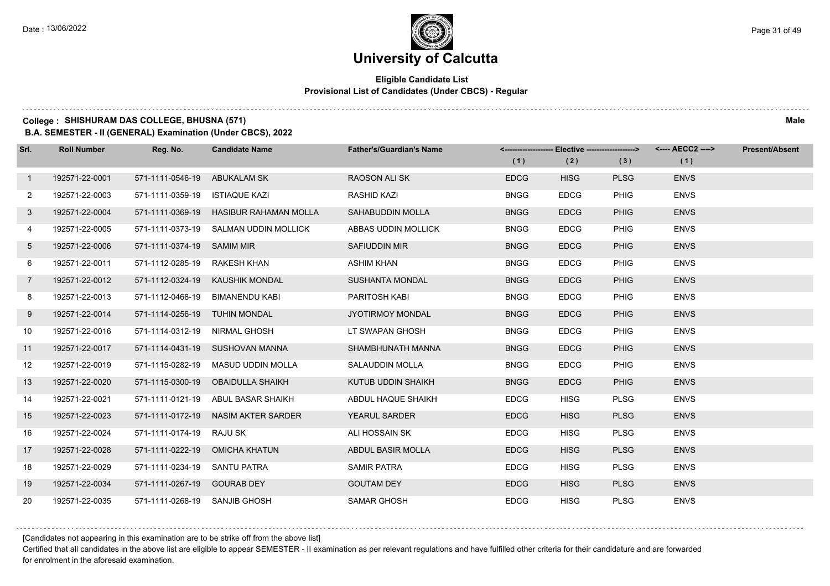### **Eligible Candidate List Provisional List of Candidates (Under CBCS) - Regular**

#### **College : SHISHURAM DAS COLLEGE, BHUSNA (571) Male**

**B.A. SEMESTER - II (GENERAL) Examination (Under CBCS), 2022**

| Srl.           | <b>Roll Number</b> | Reg. No.                      | <b>Candidate Name</b>                  | <b>Father's/Guardian's Name</b> | (1)         | <-------------------- Elective -------------------> |             | <---- AECC2 ----><br>(1) | <b>Present/Absent</b> |
|----------------|--------------------|-------------------------------|----------------------------------------|---------------------------------|-------------|-----------------------------------------------------|-------------|--------------------------|-----------------------|
|                |                    |                               |                                        |                                 |             | (2)                                                 | (3)         |                          |                       |
| $\mathbf{1}$   | 192571-22-0001     | 571-1111-0546-19 ABUKALAM SK  |                                        | <b>RAOSON ALI SK</b>            | <b>EDCG</b> | <b>HISG</b>                                         | <b>PLSG</b> | <b>ENVS</b>              |                       |
| $\mathbf{2}$   | 192571-22-0003     | 571-1111-0359-19              | <b>ISTIAQUE KAZI</b>                   | <b>RASHID KAZI</b>              | <b>BNGG</b> | <b>EDCG</b>                                         | <b>PHIG</b> | <b>ENVS</b>              |                       |
| 3 <sup>1</sup> | 192571-22-0004     |                               | 571-1111-0369-19 HASIBUR RAHAMAN MOLLA | SAHABUDDIN MOLLA                | <b>BNGG</b> | <b>EDCG</b>                                         | <b>PHIG</b> | <b>ENVS</b>              |                       |
| 4              | 192571-22-0005     |                               | 571-1111-0373-19 SALMAN UDDIN MOLLICK  | ABBAS UDDIN MOLLICK             | <b>BNGG</b> | <b>EDCG</b>                                         | <b>PHIG</b> | <b>ENVS</b>              |                       |
| 5              | 192571-22-0006     | 571-1111-0374-19 SAMIM MIR    |                                        | <b>SAFIUDDIN MIR</b>            | <b>BNGG</b> | <b>EDCG</b>                                         | <b>PHIG</b> | <b>ENVS</b>              |                       |
| 6              | 192571-22-0011     | 571-1112-0285-19 RAKESH KHAN  |                                        | <b>ASHIM KHAN</b>               | <b>BNGG</b> | <b>EDCG</b>                                         | <b>PHIG</b> | <b>ENVS</b>              |                       |
| $7^{\circ}$    | 192571-22-0012     |                               | 571-1112-0324-19 KAUSHIK MONDAL        | <b>SUSHANTA MONDAL</b>          | <b>BNGG</b> | <b>EDCG</b>                                         | <b>PHIG</b> | <b>ENVS</b>              |                       |
| 8              | 192571-22-0013     |                               | 571-1112-0468-19 BIMANENDU KABI        | PARITOSH KABI                   | <b>BNGG</b> | <b>EDCG</b>                                         | <b>PHIG</b> | <b>ENVS</b>              |                       |
| 9              | 192571-22-0014     | 571-1114-0256-19 TUHIN MONDAL |                                        | JYOTIRMOY MONDAL                | <b>BNGG</b> | <b>EDCG</b>                                         | <b>PHIG</b> | <b>ENVS</b>              |                       |
| 10             | 192571-22-0016     | 571-1114-0312-19 NIRMAL GHOSH |                                        | LT SWAPAN GHOSH                 | <b>BNGG</b> | <b>EDCG</b>                                         | <b>PHIG</b> | <b>ENVS</b>              |                       |
| 11             | 192571-22-0017     |                               | 571-1114-0431-19 SUSHOVAN MANNA        | SHAMBHUNATH MANNA               | <b>BNGG</b> | <b>EDCG</b>                                         | <b>PHIG</b> | <b>ENVS</b>              |                       |
| 12             | 192571-22-0019     |                               | 571-1115-0282-19 MASUD UDDIN MOLLA     | SALAUDDIN MOLLA                 | <b>BNGG</b> | <b>EDCG</b>                                         | <b>PHIG</b> | <b>ENVS</b>              |                       |
| 13             | 192571-22-0020     |                               | 571-1115-0300-19 OBAIDULLA SHAIKH      | KUTUB UDDIN SHAIKH              | <b>BNGG</b> | <b>EDCG</b>                                         | <b>PHIG</b> | <b>ENVS</b>              |                       |
| 14             | 192571-22-0021     |                               | 571-1111-0121-19 ABUL BASAR SHAIKH     | ABDUL HAQUE SHAIKH              | <b>EDCG</b> | <b>HISG</b>                                         | <b>PLSG</b> | <b>ENVS</b>              |                       |
| 15             | 192571-22-0023     |                               | 571-1111-0172-19 NASIM AKTER SARDER    | <b>YEARUL SARDER</b>            | <b>EDCG</b> | <b>HISG</b>                                         | <b>PLSG</b> | <b>ENVS</b>              |                       |
| 16             | 192571-22-0024     | 571-1111-0174-19 RAJU SK      |                                        | ALI HOSSAIN SK                  | <b>EDCG</b> | <b>HISG</b>                                         | <b>PLSG</b> | <b>ENVS</b>              |                       |
| 17             | 192571-22-0028     |                               | 571-1111-0222-19 OMICHA KHATUN         | ABDUL BASIR MOLLA               | <b>EDCG</b> | <b>HISG</b>                                         | <b>PLSG</b> | <b>ENVS</b>              |                       |
| 18             | 192571-22-0029     | 571-1111-0234-19 SANTU PATRA  |                                        | <b>SAMIR PATRA</b>              | <b>EDCG</b> | <b>HISG</b>                                         | <b>PLSG</b> | <b>ENVS</b>              |                       |
| 19             | 192571-22-0034     | 571-1111-0267-19 GOURAB DEY   |                                        | <b>GOUTAM DEY</b>               | <b>EDCG</b> | <b>HISG</b>                                         | <b>PLSG</b> | <b>ENVS</b>              |                       |
| 20             | 192571-22-0035     | 571-1111-0268-19 SANJIB GHOSH |                                        | <b>SAMAR GHOSH</b>              | <b>EDCG</b> | <b>HISG</b>                                         | <b>PLSG</b> | <b>ENVS</b>              |                       |

[Candidates not appearing in this examination are to be strike off from the above list]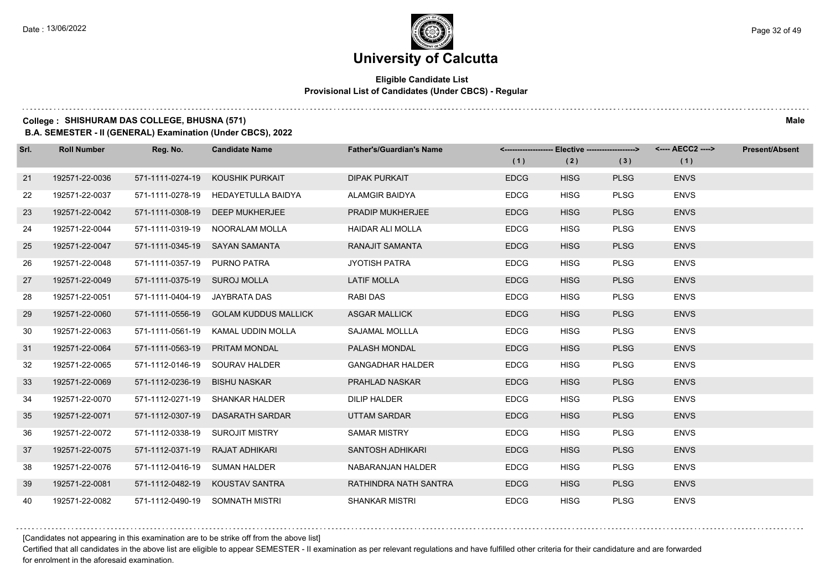### **Eligible Candidate List Provisional List of Candidates (Under CBCS) - Regular**

#### **College : SHISHURAM DAS COLLEGE, BHUSNA (571) Male**

**B.A. SEMESTER - II (GENERAL) Examination (Under CBCS), 2022**

| Srl. | <b>Roll Number</b> | Reg. No.                        | <b>Candidate Name</b>                 | <b>Father's/Guardian's Name</b> | (1)         | <-------------------- Elective -------------------><br>(2) | (3)         | <---- AECC2 ----><br>(1) | <b>Present/Absent</b> |
|------|--------------------|---------------------------------|---------------------------------------|---------------------------------|-------------|------------------------------------------------------------|-------------|--------------------------|-----------------------|
|      |                    |                                 |                                       |                                 |             |                                                            |             |                          |                       |
| 21   | 192571-22-0036     | 571-1111-0274-19                | KOUSHIK PURKAIT                       | <b>DIPAK PURKAIT</b>            | <b>EDCG</b> | <b>HISG</b>                                                | <b>PLSG</b> | <b>ENVS</b>              |                       |
| 22   | 192571-22-0037     | 571-1111-0278-19                | <b>HEDAYETULLA BAIDYA</b>             | <b>ALAMGIR BAIDYA</b>           | <b>EDCG</b> | <b>HISG</b>                                                | <b>PLSG</b> | <b>ENVS</b>              |                       |
| 23   | 192571-22-0042     |                                 | 571-1111-0308-19 DEEP MUKHERJEE       | <b>PRADIP MUKHERJEE</b>         | <b>EDCG</b> | <b>HISG</b>                                                | <b>PLSG</b> | <b>ENVS</b>              |                       |
| 24   | 192571-22-0044     |                                 | 571-1111-0319-19 NOORALAM MOLLA       | <b>HAIDAR ALI MOLLA</b>         | <b>EDCG</b> | <b>HISG</b>                                                | <b>PLSG</b> | <b>ENVS</b>              |                       |
| 25   | 192571-22-0047     |                                 | 571-1111-0345-19 SAYAN SAMANTA        | RANAJIT SAMANTA                 | <b>EDCG</b> | <b>HISG</b>                                                | <b>PLSG</b> | <b>ENVS</b>              |                       |
| 26   | 192571-22-0048     | 571-1111-0357-19 PURNO PATRA    |                                       | <b>JYOTISH PATRA</b>            | <b>EDCG</b> | <b>HISG</b>                                                | <b>PLSG</b> | <b>ENVS</b>              |                       |
| 27   | 192571-22-0049     | 571-1111-0375-19 SUROJ MOLLA    |                                       | <b>LATIF MOLLA</b>              | <b>EDCG</b> | <b>HISG</b>                                                | <b>PLSG</b> | <b>ENVS</b>              |                       |
| 28   | 192571-22-0051     | 571-1111-0404-19 JAYBRATA DAS   |                                       | <b>RABI DAS</b>                 | <b>EDCG</b> | <b>HISG</b>                                                | <b>PLSG</b> | <b>ENVS</b>              |                       |
| 29   | 192571-22-0060     |                                 | 571-1111-0556-19 GOLAM KUDDUS MALLICK | <b>ASGAR MALLICK</b>            | <b>EDCG</b> | <b>HISG</b>                                                | <b>PLSG</b> | <b>ENVS</b>              |                       |
| 30   | 192571-22-0063     |                                 | 571-1111-0561-19 KAMAL UDDIN MOLLA    | SAJAMAL MOLLLA                  | <b>EDCG</b> | <b>HISG</b>                                                | <b>PLSG</b> | <b>ENVS</b>              |                       |
| 31   | 192571-22-0064     | 571-1111-0563-19 PRITAM MONDAL  |                                       | PALASH MONDAL                   | <b>EDCG</b> | <b>HISG</b>                                                | <b>PLSG</b> | <b>ENVS</b>              |                       |
| 32   | 192571-22-0065     |                                 | 571-1112-0146-19 SOURAV HALDER        | <b>GANGADHAR HALDER</b>         | <b>EDCG</b> | <b>HISG</b>                                                | <b>PLSG</b> | <b>ENVS</b>              |                       |
| 33   | 192571-22-0069     | 571-1112-0236-19 BISHU NASKAR   |                                       | <b>PRAHLAD NASKAR</b>           | <b>EDCG</b> | <b>HISG</b>                                                | <b>PLSG</b> | <b>ENVS</b>              |                       |
| 34   | 192571-22-0070     |                                 | 571-1112-0271-19 SHANKAR HALDER       | <b>DILIP HALDER</b>             | <b>EDCG</b> | <b>HISG</b>                                                | <b>PLSG</b> | <b>ENVS</b>              |                       |
| 35   | 192571-22-0071     |                                 | 571-1112-0307-19 DASARATH SARDAR      | <b>UTTAM SARDAR</b>             | <b>EDCG</b> | <b>HISG</b>                                                | <b>PLSG</b> | <b>ENVS</b>              |                       |
| 36   | 192571-22-0072     |                                 | 571-1112-0338-19 SUROJIT MISTRY       | <b>SAMAR MISTRY</b>             | <b>EDCG</b> | <b>HISG</b>                                                | <b>PLSG</b> | <b>ENVS</b>              |                       |
| 37   | 192571-22-0075     | 571-1112-0371-19 RAJAT ADHIKARI |                                       | SANTOSH ADHIKARI                | <b>EDCG</b> | <b>HISG</b>                                                | <b>PLSG</b> | <b>ENVS</b>              |                       |
| 38   | 192571-22-0076     | 571-1112-0416-19 SUMAN HALDER   |                                       | NABARANJAN HALDER               | <b>EDCG</b> | <b>HISG</b>                                                | <b>PLSG</b> | <b>ENVS</b>              |                       |
| 39   | 192571-22-0081     |                                 | 571-1112-0482-19   KOUSTAV SANTRA     | RATHINDRA NATH SANTRA           | <b>EDCG</b> | <b>HISG</b>                                                | <b>PLSG</b> | <b>ENVS</b>              |                       |
| 40   | 192571-22-0082     |                                 | 571-1112-0490-19 SOMNATH MISTRI       | <b>SHANKAR MISTRI</b>           | <b>EDCG</b> | <b>HISG</b>                                                | <b>PLSG</b> | <b>ENVS</b>              |                       |

[Candidates not appearing in this examination are to be strike off from the above list]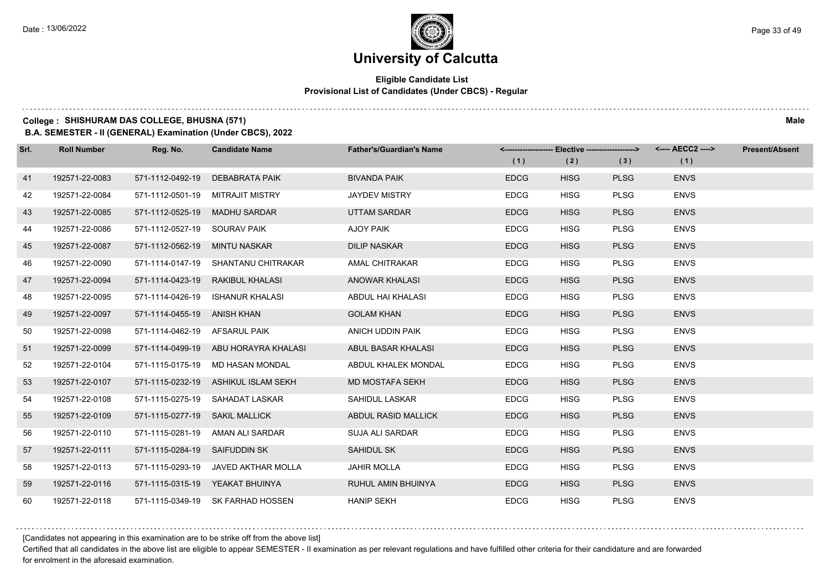### **Eligible Candidate List Provisional List of Candidates (Under CBCS) - Regular**

### **College : SHISHURAM DAS COLLEGE, BHUSNA (571) Male**

**B.A. SEMESTER - II (GENERAL) Examination (Under CBCS), 2022**

| Srl. | <b>Roll Number</b> | Reg. No.                       | <b>Candidate Name</b>                | <b>Father's/Guardian's Name</b> |             | <-------------------- Elective ------------------> |             |             | <b>Present/Absent</b> |
|------|--------------------|--------------------------------|--------------------------------------|---------------------------------|-------------|----------------------------------------------------|-------------|-------------|-----------------------|
|      |                    |                                |                                      |                                 | (1)         | (2)                                                | (3)         | (1)         |                       |
| 41   | 192571-22-0083     | 571-1112-0492-19               | <b>DEBABRATA PAIK</b>                | <b>BIVANDA PAIK</b>             | <b>EDCG</b> | <b>HISG</b>                                        | <b>PLSG</b> | <b>ENVS</b> |                       |
| 42   | 192571-22-0084     |                                | 571-1112-0501-19 MITRAJIT MISTRY     | <b>JAYDEV MISTRY</b>            | <b>EDCG</b> | <b>HISG</b>                                        | <b>PLSG</b> | <b>ENVS</b> |                       |
| 43   | 192571-22-0085     | 571-1112-0525-19 MADHU SARDAR  |                                      | <b>UTTAM SARDAR</b>             | <b>EDCG</b> | <b>HISG</b>                                        | <b>PLSG</b> | <b>ENVS</b> |                       |
| 44   | 192571-22-0086     | 571-1112-0527-19 SOURAV PAIK   |                                      | <b>AJOY PAIK</b>                | <b>EDCG</b> | <b>HISG</b>                                        | <b>PLSG</b> | <b>ENVS</b> |                       |
| 45   | 192571-22-0087     | 571-1112-0562-19 MINTU NASKAR  |                                      | <b>DILIP NASKAR</b>             | <b>EDCG</b> | <b>HISG</b>                                        | <b>PLSG</b> | <b>ENVS</b> |                       |
| 46   | 192571-22-0090     |                                | 571-1114-0147-19 SHANTANU CHITRAKAR  | AMAL CHITRAKAR                  | <b>EDCG</b> | <b>HISG</b>                                        | <b>PLSG</b> | <b>ENVS</b> |                       |
| 47   | 192571-22-0094     |                                | 571-1114-0423-19 RAKIBUL KHALASI     | <b>ANOWAR KHALASI</b>           | <b>EDCG</b> | <b>HISG</b>                                        | <b>PLSG</b> | <b>ENVS</b> |                       |
| 48   | 192571-22-0095     |                                | 571-1114-0426-19 ISHANUR KHALASI     | ABDUL HAI KHALASI               | <b>EDCG</b> | <b>HISG</b>                                        | <b>PLSG</b> | <b>ENVS</b> |                       |
| 49   | 192571-22-0097     | 571-1114-0455-19 ANISH KHAN    |                                      | <b>GOLAM KHAN</b>               | <b>EDCG</b> | <b>HISG</b>                                        | <b>PLSG</b> | <b>ENVS</b> |                       |
| 50   | 192571-22-0098     | 571-1114-0462-19 AFSARUL PAIK  |                                      | ANICH UDDIN PAIK                | <b>EDCG</b> | <b>HISG</b>                                        | <b>PLSG</b> | <b>ENVS</b> |                       |
| 51   | 192571-22-0099     |                                | 571-1114-0499-19 ABU HORAYRA KHALASI | ABUL BASAR KHALASI              | <b>EDCG</b> | <b>HISG</b>                                        | <b>PLSG</b> | <b>ENVS</b> |                       |
| 52   | 192571-22-0104     |                                | 571-1115-0175-19 MD HASAN MONDAL     | ABDUL KHALEK MONDAL             | <b>EDCG</b> | <b>HISG</b>                                        | <b>PLSG</b> | <b>ENVS</b> |                       |
| 53   | 192571-22-0107     |                                | 571-1115-0232-19 ASHIKUL ISLAM SEKH  | MD MOSTAFA SEKH                 | <b>EDCG</b> | <b>HISG</b>                                        | <b>PLSG</b> | <b>ENVS</b> |                       |
| 54   | 192571-22-0108     |                                | 571-1115-0275-19 SAHADAT LASKAR      | SAHIDUL LASKAR                  | <b>EDCG</b> | <b>HISG</b>                                        | <b>PLSG</b> | <b>ENVS</b> |                       |
| 55   | 192571-22-0109     | 571-1115-0277-19 SAKIL MALLICK |                                      | ABDUL RASID MALLICK             | <b>EDCG</b> | <b>HISG</b>                                        | <b>PLSG</b> | <b>ENVS</b> |                       |
| 56   | 192571-22-0110     |                                | 571-1115-0281-19 AMAN ALI SARDAR     | SUJA ALI SARDAR                 | <b>EDCG</b> | <b>HISG</b>                                        | <b>PLSG</b> | <b>ENVS</b> |                       |
| 57   | 192571-22-0111     | 571-1115-0284-19 SAIFUDDIN SK  |                                      | SAHIDUL SK                      | <b>EDCG</b> | <b>HISG</b>                                        | <b>PLSG</b> | <b>ENVS</b> |                       |
| 58   | 192571-22-0113     |                                | 571-1115-0293-19 JAVED AKTHAR MOLLA  | <b>JAHIR MOLLA</b>              | <b>EDCG</b> | <b>HISG</b>                                        | <b>PLSG</b> | <b>ENVS</b> |                       |
| 59   | 192571-22-0116     |                                | 571-1115-0315-19 YEAKAT BHUINYA      | RUHUL AMIN BHUINYA              | <b>EDCG</b> | <b>HISG</b>                                        | <b>PLSG</b> | <b>ENVS</b> |                       |
| 60   | 192571-22-0118     |                                | 571-1115-0349-19 SK FARHAD HOSSEN    | <b>HANIP SEKH</b>               | <b>EDCG</b> | <b>HISG</b>                                        | <b>PLSG</b> | <b>ENVS</b> |                       |

[Candidates not appearing in this examination are to be strike off from the above list]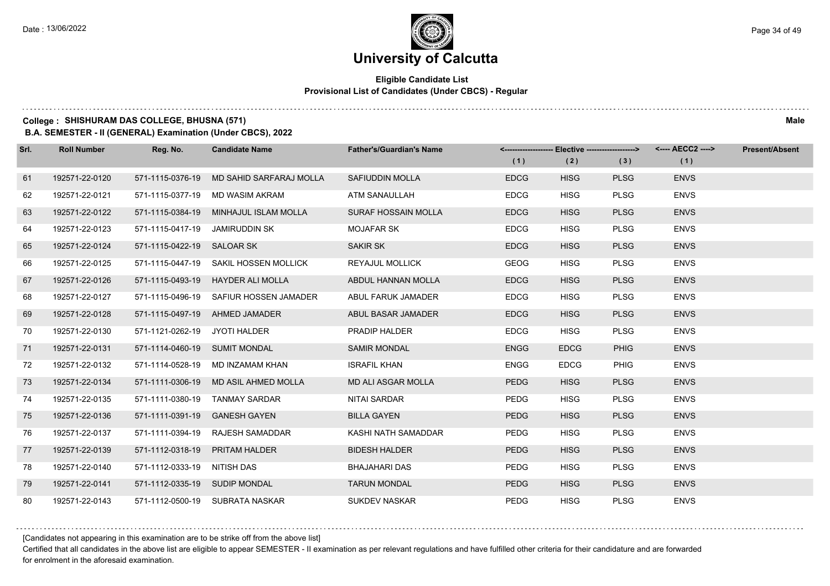### **Eligible Candidate List Provisional List of Candidates (Under CBCS) - Regular**

#### **College : SHISHURAM DAS COLLEGE, BHUSNA (571) Male**

**B.A. SEMESTER - II (GENERAL) Examination (Under CBCS), 2022**

| Srl. | <b>Roll Number</b> | Reg. No.                      | <b>Candidate Name</b>                 | <b>Father's/Guardian's Name</b> |             | <-------------------- Elective -------------------> |             | <---- AECC2 ----> | <b>Present/Absent</b> |
|------|--------------------|-------------------------------|---------------------------------------|---------------------------------|-------------|-----------------------------------------------------|-------------|-------------------|-----------------------|
|      |                    |                               |                                       |                                 | (1)         | (2)                                                 | (3)         | (1)               |                       |
| 61   | 192571-22-0120     | 571-1115-0376-19              | MD SAHID SARFARAJ MOLLA               | <b>SAFIUDDIN MOLLA</b>          | <b>EDCG</b> | <b>HISG</b>                                         | <b>PLSG</b> | <b>ENVS</b>       |                       |
| 62   | 192571-22-0121     | 571-1115-0377-19              | MD WASIM AKRAM                        | <b>ATM SANAULLAH</b>            | <b>EDCG</b> | <b>HISG</b>                                         | <b>PLSG</b> | <b>ENVS</b>       |                       |
| 63   | 192571-22-0122     |                               | 571-1115-0384-19 MINHAJUL ISLAM MOLLA | <b>SURAF HOSSAIN MOLLA</b>      | <b>EDCG</b> | <b>HISG</b>                                         | <b>PLSG</b> | <b>ENVS</b>       |                       |
| 64   | 192571-22-0123     | 571-1115-0417-19              | JAMIRUDDIN SK                         | <b>MOJAFAR SK</b>               | <b>EDCG</b> | <b>HISG</b>                                         | <b>PLSG</b> | <b>ENVS</b>       |                       |
| 65   | 192571-22-0124     | 571-1115-0422-19 SALOAR SK    |                                       | <b>SAKIR SK</b>                 | <b>EDCG</b> | <b>HISG</b>                                         | <b>PLSG</b> | <b>ENVS</b>       |                       |
| 66   | 192571-22-0125     | 571-1115-0447-19              | <b>SAKIL HOSSEN MOLLICK</b>           | <b>REYAJUL MOLLICK</b>          | <b>GEOG</b> | <b>HISG</b>                                         | <b>PLSG</b> | <b>ENVS</b>       |                       |
| 67   | 192571-22-0126     |                               | 571-1115-0493-19 HAYDER ALI MOLLA     | ABDUL HANNAN MOLLA              | <b>EDCG</b> | <b>HISG</b>                                         | <b>PLSG</b> | <b>ENVS</b>       |                       |
| 68   | 192571-22-0127     | 571-1115-0496-19              | SAFIUR HOSSEN JAMADER                 | ABUL FARUK JAMADER              | <b>EDCG</b> | <b>HISG</b>                                         | <b>PLSG</b> | <b>ENVS</b>       |                       |
| 69   | 192571-22-0128     | 571-1115-0497-19              | AHMED JAMADER                         | ABUL BASAR JAMADER              | <b>EDCG</b> | <b>HISG</b>                                         | <b>PLSG</b> | <b>ENVS</b>       |                       |
| 70   | 192571-22-0130     | 571-1121-0262-19              | JYOTI HALDER                          | PRADIP HALDER                   | <b>EDCG</b> | <b>HISG</b>                                         | <b>PLSG</b> | <b>ENVS</b>       |                       |
| 71   | 192571-22-0131     | 571-1114-0460-19 SUMIT MONDAL |                                       | <b>SAMIR MONDAL</b>             | <b>ENGG</b> | <b>EDCG</b>                                         | <b>PHIG</b> | <b>ENVS</b>       |                       |
| 72   | 192571-22-0132     | 571-1114-0528-19              | MD INZAMAM KHAN                       | <b>ISRAFIL KHAN</b>             | <b>ENGG</b> | <b>EDCG</b>                                         | <b>PHIG</b> | <b>ENVS</b>       |                       |
| 73   | 192571-22-0134     | 571-1111-0306-19              | MD ASIL AHMED MOLLA                   | <b>MD ALI ASGAR MOLLA</b>       | <b>PEDG</b> | <b>HISG</b>                                         | <b>PLSG</b> | <b>ENVS</b>       |                       |
| 74   | 192571-22-0135     | 571-1111-0380-19              | <b>TANMAY SARDAR</b>                  | NITAI SARDAR                    | <b>PEDG</b> | <b>HISG</b>                                         | <b>PLSG</b> | <b>ENVS</b>       |                       |
| 75   | 192571-22-0136     | 571-1111-0391-19              | <b>GANESH GAYEN</b>                   | <b>BILLA GAYEN</b>              | <b>PEDG</b> | <b>HISG</b>                                         | <b>PLSG</b> | <b>ENVS</b>       |                       |
| 76   | 192571-22-0137     | 571-1111-0394-19              | RAJESH SAMADDAR                       | KASHI NATH SAMADDAR             | PEDG        | <b>HISG</b>                                         | <b>PLSG</b> | <b>ENVS</b>       |                       |
| 77   | 192571-22-0139     | 571-1112-0318-19              | <b>PRITAM HALDER</b>                  | <b>BIDESH HALDER</b>            | <b>PEDG</b> | <b>HISG</b>                                         | <b>PLSG</b> | <b>ENVS</b>       |                       |
| 78   | 192571-22-0140     | 571-1112-0333-19 NITISH DAS   |                                       | <b>BHAJAHARI DAS</b>            | <b>PEDG</b> | <b>HISG</b>                                         | <b>PLSG</b> | <b>ENVS</b>       |                       |
| 79   | 192571-22-0141     | 571-1112-0335-19 SUDIP MONDAL |                                       | <b>TARUN MONDAL</b>             | <b>PEDG</b> | <b>HISG</b>                                         | <b>PLSG</b> | <b>ENVS</b>       |                       |
| 80   | 192571-22-0143     |                               | 571-1112-0500-19 SUBRATA NASKAR       | <b>SUKDEV NASKAR</b>            | PEDG        | <b>HISG</b>                                         | <b>PLSG</b> | <b>ENVS</b>       |                       |

[Candidates not appearing in this examination are to be strike off from the above list]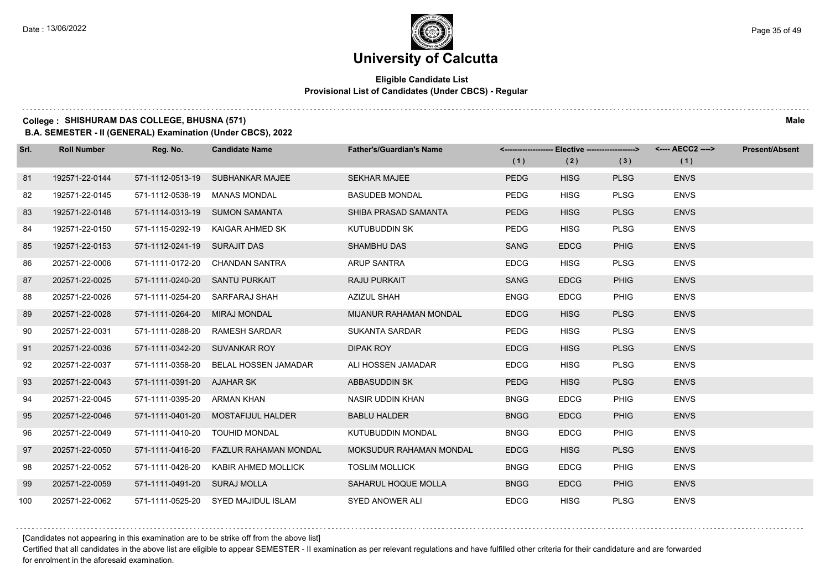### **Eligible Candidate List Provisional List of Candidates (Under CBCS) - Regular**

#### **College : SHISHURAM DAS COLLEGE, BHUSNA (571) Male**

**B.A. SEMESTER - II (GENERAL) Examination (Under CBCS), 2022**

| Srl. | <b>Roll Number</b> | Reg. No.                       | <b>Candidate Name</b>                  | <b>Father's/Guardian's Name</b> |             |             |             | <-------------------- Elective -------------------> <---- AECC2 ----> | <b>Present/Absent</b> |
|------|--------------------|--------------------------------|----------------------------------------|---------------------------------|-------------|-------------|-------------|-----------------------------------------------------------------------|-----------------------|
|      |                    |                                |                                        |                                 | (1)         | (2)         | (3)         | (1)                                                                   |                       |
| 81   | 192571-22-0144     |                                | 571-1112-0513-19 SUBHANKAR MAJEE       | <b>SEKHAR MAJEE</b>             | <b>PEDG</b> | <b>HISG</b> | <b>PLSG</b> | <b>ENVS</b>                                                           |                       |
| 82   | 192571-22-0145     | 571-1112-0538-19               | <b>MANAS MONDAL</b>                    | <b>BASUDEB MONDAL</b>           | <b>PEDG</b> | <b>HISG</b> | <b>PLSG</b> | <b>ENVS</b>                                                           |                       |
| 83   | 192571-22-0148     |                                | 571-1114-0313-19 SUMON SAMANTA         | SHIBA PRASAD SAMANTA            | <b>PEDG</b> | <b>HISG</b> | <b>PLSG</b> | <b>ENVS</b>                                                           |                       |
| 84   | 192571-22-0150     |                                | 571-1115-0292-19 KAIGAR AHMED SK       | KUTUBUDDIN SK                   | <b>PEDG</b> | <b>HISG</b> | <b>PLSG</b> | <b>ENVS</b>                                                           |                       |
| 85   | 192571-22-0153     | 571-1112-0241-19 SURAJIT DAS   |                                        | <b>SHAMBHU DAS</b>              | <b>SANG</b> | <b>EDCG</b> | <b>PHIG</b> | <b>ENVS</b>                                                           |                       |
| 86   | 202571-22-0006     |                                | 571-1111-0172-20 CHANDAN SANTRA        | ARUP SANTRA                     | <b>EDCG</b> | <b>HISG</b> | <b>PLSG</b> | <b>ENVS</b>                                                           |                       |
| 87   | 202571-22-0025     | 571-1111-0240-20 SANTU PURKAIT |                                        | <b>RAJU PURKAIT</b>             | <b>SANG</b> | <b>EDCG</b> | <b>PHIG</b> | <b>ENVS</b>                                                           |                       |
| 88   | 202571-22-0026     |                                | 571-1111-0254-20 SARFARAJ SHAH         | <b>AZIZUL SHAH</b>              | <b>ENGG</b> | <b>EDCG</b> | PHIG        | <b>ENVS</b>                                                           |                       |
| 89   | 202571-22-0028     | 571-1111-0264-20 MIRAJ MONDAL  |                                        | MIJANUR RAHAMAN MONDAL          | <b>EDCG</b> | <b>HISG</b> | <b>PLSG</b> | <b>ENVS</b>                                                           |                       |
| 90   | 202571-22-0031     |                                | 571-1111-0288-20 RAMESH SARDAR         | <b>SUKANTA SARDAR</b>           | <b>PEDG</b> | <b>HISG</b> | <b>PLSG</b> | <b>ENVS</b>                                                           |                       |
| 91   | 202571-22-0036     | 571-1111-0342-20 SUVANKAR ROY  |                                        | DIPAK ROY                       | <b>EDCG</b> | <b>HISG</b> | <b>PLSG</b> | <b>ENVS</b>                                                           |                       |
| 92   | 202571-22-0037     |                                | 571-1111-0358-20 BELAL HOSSEN JAMADAR  | ALI HOSSEN JAMADAR              | <b>EDCG</b> | <b>HISG</b> | <b>PLSG</b> | <b>ENVS</b>                                                           |                       |
| 93   | 202571-22-0043     | 571-1111-0391-20 AJAHAR SK     |                                        | ABBASUDDIN SK                   | <b>PEDG</b> | <b>HISG</b> | <b>PLSG</b> | <b>ENVS</b>                                                           |                       |
| 94   | 202571-22-0045     | 571-1111-0395-20 ARMAN KHAN    |                                        | NASIR UDDIN KHAN                | <b>BNGG</b> | <b>EDCG</b> | PHIG        | <b>ENVS</b>                                                           |                       |
| 95   | 202571-22-0046     |                                | 571-1111-0401-20 MOSTAFIJUL HALDER     | <b>BABLU HALDER</b>             | <b>BNGG</b> | <b>EDCG</b> | <b>PHIG</b> | <b>ENVS</b>                                                           |                       |
| 96   | 202571-22-0049     |                                | 571-1111-0410-20 TOUHID MONDAL         | KUTUBUDDIN MONDAL               | <b>BNGG</b> | <b>EDCG</b> | PHIG        | <b>ENVS</b>                                                           |                       |
| 97   | 202571-22-0050     |                                | 571-1111-0416-20 FAZLUR RAHAMAN MONDAL | MOKSUDUR RAHAMAN MONDAL         | <b>EDCG</b> | <b>HISG</b> | <b>PLSG</b> | <b>ENVS</b>                                                           |                       |
| 98   | 202571-22-0052     |                                | 571-1111-0426-20 KABIR AHMED MOLLICK   | <b>TOSLIM MOLLICK</b>           | <b>BNGG</b> | <b>EDCG</b> | <b>PHIG</b> | <b>ENVS</b>                                                           |                       |
| 99   | 202571-22-0059     | 571-1111-0491-20 SURAJ MOLLA   |                                        | SAHARUL HOQUE MOLLA             | <b>BNGG</b> | <b>EDCG</b> | <b>PHIG</b> | <b>ENVS</b>                                                           |                       |
| 100  | 202571-22-0062     |                                | 571-1111-0525-20 SYED MAJIDUL ISLAM    | <b>SYED ANOWER ALI</b>          | <b>EDCG</b> | <b>HISG</b> | <b>PLSG</b> | <b>ENVS</b>                                                           |                       |

[Candidates not appearing in this examination are to be strike off from the above list]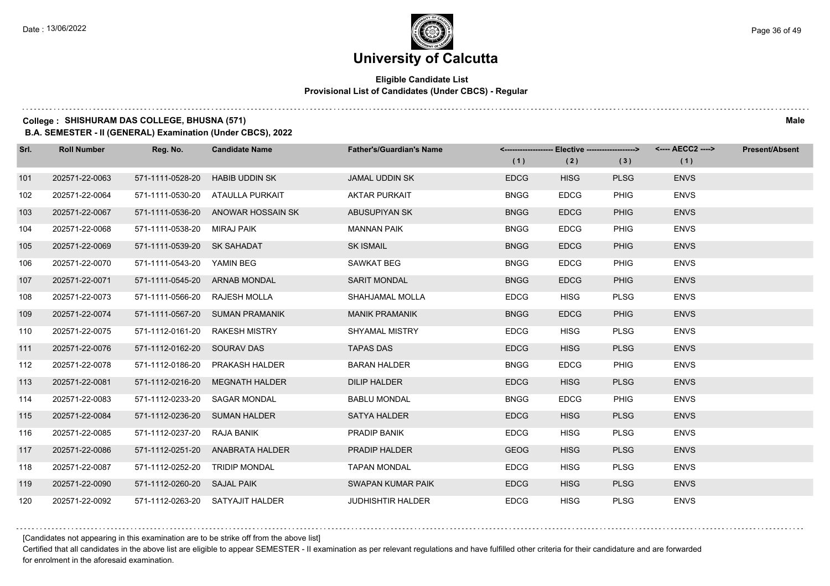### **Eligible Candidate List Provisional List of Candidates (Under CBCS) - Regular**

### **College : SHISHURAM DAS COLLEGE, BHUSNA (571) Male**

**B.A. SEMESTER - II (GENERAL) Examination (Under CBCS), 2022**

| Srl. | <b>Roll Number</b> | Reg. No.                       | <b>Candidate Name</b>              | <b>Father's/Guardian's Name</b> |             | <-------------------- Elective -------------------> |             | <---- AECC2 ----> | <b>Present/Absent</b> |
|------|--------------------|--------------------------------|------------------------------------|---------------------------------|-------------|-----------------------------------------------------|-------------|-------------------|-----------------------|
|      |                    |                                |                                    |                                 | (1)         | (2)                                                 | (3)         | (1)               |                       |
| 101  | 202571-22-0063     | 571-1111-0528-20               | <b>HABIB UDDIN SK</b>              | <b>JAMAL UDDIN SK</b>           | <b>EDCG</b> | <b>HISG</b>                                         | <b>PLSG</b> | <b>ENVS</b>       |                       |
| 102  | 202571-22-0064     |                                | 571-1111-0530-20 ATAULLA PURKAIT   | <b>AKTAR PURKAIT</b>            | <b>BNGG</b> | <b>EDCG</b>                                         | <b>PHIG</b> | <b>ENVS</b>       |                       |
| 103  | 202571-22-0067     |                                | 571-1111-0536-20 ANOWAR HOSSAIN SK | ABUSUPIYAN SK                   | <b>BNGG</b> | <b>EDCG</b>                                         | <b>PHIG</b> | <b>ENVS</b>       |                       |
| 104  | 202571-22-0068     | 571-1111-0538-20 MIRAJ PAIK    |                                    | <b>MANNAN PAIK</b>              | <b>BNGG</b> | <b>EDCG</b>                                         | <b>PHIG</b> | <b>ENVS</b>       |                       |
| 105  | 202571-22-0069     | 571-1111-0539-20 SK SAHADAT    |                                    | <b>SK ISMAIL</b>                | <b>BNGG</b> | <b>EDCG</b>                                         | <b>PHIG</b> | <b>ENVS</b>       |                       |
| 106  | 202571-22-0070     | 571-1111-0543-20 YAMIN BEG     |                                    | SAWKAT BEG                      | <b>BNGG</b> | <b>EDCG</b>                                         | <b>PHIG</b> | <b>ENVS</b>       |                       |
| 107  | 202571-22-0071     | 571-1111-0545-20 ARNAB MONDAL  |                                    | <b>SARIT MONDAL</b>             | <b>BNGG</b> | <b>EDCG</b>                                         | <b>PHIG</b> | <b>ENVS</b>       |                       |
| 108  | 202571-22-0073     | 571-1111-0566-20 RAJESH MOLLA  |                                    | SHAHJAMAL MOLLA                 | <b>EDCG</b> | <b>HISG</b>                                         | <b>PLSG</b> | <b>ENVS</b>       |                       |
| 109  | 202571-22-0074     |                                | 571-1111-0567-20 SUMAN PRAMANIK    | <b>MANIK PRAMANIK</b>           | <b>BNGG</b> | <b>EDCG</b>                                         | <b>PHIG</b> | <b>ENVS</b>       |                       |
| 110  | 202571-22-0075     | 571-1112-0161-20               | RAKESH MISTRY                      | <b>SHYAMAL MISTRY</b>           | <b>EDCG</b> | <b>HISG</b>                                         | <b>PLSG</b> | <b>ENVS</b>       |                       |
| 111  | 202571-22-0076     | 571-1112-0162-20 SOURAV DAS    |                                    | <b>TAPAS DAS</b>                | <b>EDCG</b> | <b>HISG</b>                                         | <b>PLSG</b> | <b>ENVS</b>       |                       |
| 112  | 202571-22-0078     | 571-1112-0186-20               | PRAKASH HALDER                     | <b>BARAN HALDER</b>             | <b>BNGG</b> | <b>EDCG</b>                                         | <b>PHIG</b> | <b>ENVS</b>       |                       |
| 113  | 202571-22-0081     |                                | 571-1112-0216-20 MEGNATH HALDER    | DILIP HALDER                    | <b>EDCG</b> | <b>HISG</b>                                         | <b>PLSG</b> | <b>ENVS</b>       |                       |
| 114  | 202571-22-0083     | 571-1112-0233-20               | <b>SAGAR MONDAL</b>                | <b>BABLU MONDAL</b>             | <b>BNGG</b> | <b>EDCG</b>                                         | <b>PHIG</b> | <b>ENVS</b>       |                       |
| 115  | 202571-22-0084     | 571-1112-0236-20 SUMAN HALDER  |                                    | <b>SATYA HALDER</b>             | <b>EDCG</b> | <b>HISG</b>                                         | <b>PLSG</b> | <b>ENVS</b>       |                       |
| 116  | 202571-22-0085     | 571-1112-0237-20               | RAJA BANIK                         | PRADIP BANIK                    | <b>EDCG</b> | <b>HISG</b>                                         | <b>PLSG</b> | <b>ENVS</b>       |                       |
| 117  | 202571-22-0086     |                                | 571-1112-0251-20 ANABRATA HALDER   | PRADIP HALDER                   | <b>GEOG</b> | <b>HISG</b>                                         | <b>PLSG</b> | <b>ENVS</b>       |                       |
| 118  | 202571-22-0087     | 571-1112-0252-20 TRIDIP MONDAL |                                    | <b>TAPAN MONDAL</b>             | <b>EDCG</b> | <b>HISG</b>                                         | <b>PLSG</b> | <b>ENVS</b>       |                       |
| 119  | 202571-22-0090     | 571-1112-0260-20 SAJAL PAIK    |                                    | SWAPAN KUMAR PAIK               | <b>EDCG</b> | <b>HISG</b>                                         | <b>PLSG</b> | <b>ENVS</b>       |                       |
| 120  | 202571-22-0092     |                                | 571-1112-0263-20 SATYAJIT HALDER   | <b>JUDHISHTIR HALDER</b>        | <b>EDCG</b> | <b>HISG</b>                                         | <b>PLSG</b> | <b>ENVS</b>       |                       |

[Candidates not appearing in this examination are to be strike off from the above list]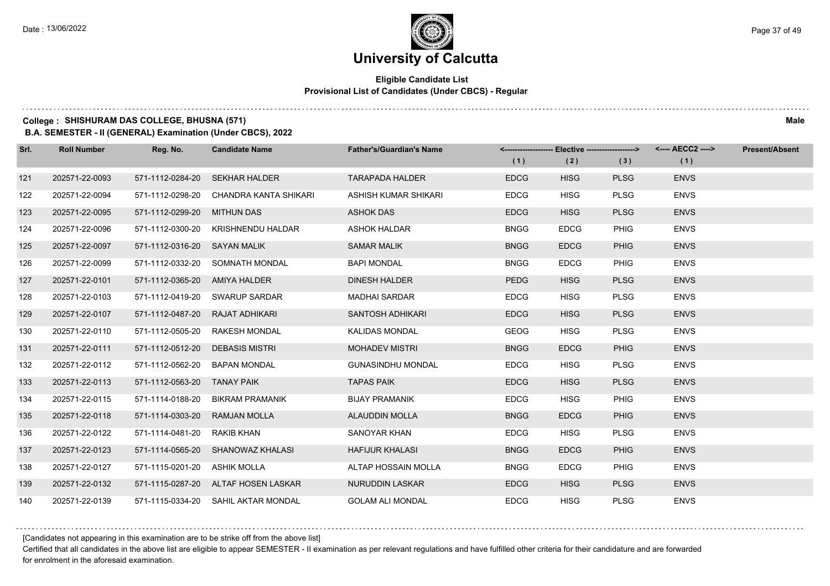### **Eligible Candidate List Provisional List of Candidates (Under CBCS) - Regular**

#### **College : SHISHURAM DAS COLLEGE, BHUSNA (571) Male**

**B.A. SEMESTER - II (GENERAL) Examination (Under CBCS), 2022**

| Srl. | <b>Roll Number</b> | Reg. No.                      | <b>Candidate Name</b>               | <b>Father's/Guardian's Name</b> |             | <-------------------- Elective -------------------> |             | <---- AECC2 ----> | <b>Present/Absent</b> |
|------|--------------------|-------------------------------|-------------------------------------|---------------------------------|-------------|-----------------------------------------------------|-------------|-------------------|-----------------------|
|      |                    |                               |                                     |                                 | (1)         | (2)                                                 | (3)         | (1)               |                       |
| 121  | 202571-22-0093     | 571-1112-0284-20              | <b>SEKHAR HALDER</b>                | <b>TARAPADA HALDER</b>          | <b>EDCG</b> | <b>HISG</b>                                         | <b>PLSG</b> | <b>ENVS</b>       |                       |
| 122  | 202571-22-0094     | 571-1112-0298-20              | CHANDRA KANTA SHIKARI               | ASHISH KUMAR SHIKARI            | <b>EDCG</b> | <b>HISG</b>                                         | <b>PLSG</b> | <b>ENVS</b>       |                       |
| 123  | 202571-22-0095     | 571-1112-0299-20              | <b>MITHUN DAS</b>                   | <b>ASHOK DAS</b>                | <b>EDCG</b> | <b>HISG</b>                                         | <b>PLSG</b> | <b>ENVS</b>       |                       |
| 124  | 202571-22-0096     | 571-1112-0300-20              | KRISHNENDU HALDAR                   | <b>ASHOK HALDAR</b>             | <b>BNGG</b> | <b>EDCG</b>                                         | <b>PHIG</b> | <b>ENVS</b>       |                       |
| 125  | 202571-22-0097     | 571-1112-0316-20 SAYAN MALIK  |                                     | <b>SAMAR MALIK</b>              | <b>BNGG</b> | <b>EDCG</b>                                         | <b>PHIG</b> | <b>ENVS</b>       |                       |
| 126  | 202571-22-0099     | 571-1112-0332-20              | SOMNATH MONDAL                      | <b>BAPI MONDAL</b>              | <b>BNGG</b> | <b>EDCG</b>                                         | <b>PHIG</b> | <b>ENVS</b>       |                       |
| 127  | 202571-22-0101     | 571-1112-0365-20 AMIYA HALDER |                                     | <b>DINESH HALDER</b>            | <b>PEDG</b> | <b>HISG</b>                                         | <b>PLSG</b> | <b>ENVS</b>       |                       |
| 128  | 202571-22-0103     |                               | 571-1112-0419-20 SWARUP SARDAR      | <b>MADHAI SARDAR</b>            | <b>EDCG</b> | <b>HISG</b>                                         | <b>PLSG</b> | <b>ENVS</b>       |                       |
| 129  | 202571-22-0107     | 571-1112-0487-20              | RAJAT ADHIKARI                      | SANTOSH ADHIKARI                | <b>EDCG</b> | <b>HISG</b>                                         | <b>PLSG</b> | <b>ENVS</b>       |                       |
| 130  | 202571-22-0110     | 571-1112-0505-20              | <b>RAKESH MONDAL</b>                | <b>KALIDAS MONDAL</b>           | GEOG        | <b>HISG</b>                                         | <b>PLSG</b> | <b>ENVS</b>       |                       |
| 131  | 202571-22-0111     | 571-1112-0512-20              | <b>DEBASIS MISTRI</b>               | <b>MOHADEV MISTRI</b>           | <b>BNGG</b> | <b>EDCG</b>                                         | <b>PHIG</b> | <b>ENVS</b>       |                       |
| 132  | 202571-22-0112     | 571-1112-0562-20              | <b>BAPAN MONDAL</b>                 | <b>GUNASINDHU MONDAL</b>        | <b>EDCG</b> | <b>HISG</b>                                         | <b>PLSG</b> | <b>ENVS</b>       |                       |
| 133  | 202571-22-0113     | 571-1112-0563-20 TANAY PAIK   |                                     | <b>TAPAS PAIK</b>               | <b>EDCG</b> | <b>HISG</b>                                         | <b>PLSG</b> | <b>ENVS</b>       |                       |
| 134  | 202571-22-0115     | 571-1114-0188-20              | <b>BIKRAM PRAMANIK</b>              | <b>BIJAY PRAMANIK</b>           | <b>EDCG</b> | <b>HISG</b>                                         | <b>PHIG</b> | <b>ENVS</b>       |                       |
| 135  | 202571-22-0118     | 571-1114-0303-20              | <b>RAMJAN MOLLA</b>                 | <b>ALAUDDIN MOLLA</b>           | <b>BNGG</b> | <b>EDCG</b>                                         | <b>PHIG</b> | <b>ENVS</b>       |                       |
| 136  | 202571-22-0122     | 571-1114-0481-20 RAKIB KHAN   |                                     | SANOYAR KHAN                    | <b>EDCG</b> | <b>HISG</b>                                         | <b>PLSG</b> | <b>ENVS</b>       |                       |
| 137  | 202571-22-0123     |                               | 571-1114-0565-20 SHANOWAZ KHALASI   | <b>HAFIJUR KHALASI</b>          | <b>BNGG</b> | <b>EDCG</b>                                         | <b>PHIG</b> | <b>ENVS</b>       |                       |
| 138  | 202571-22-0127     | 571-1115-0201-20              | <b>ASHIK MOLLA</b>                  | ALTAP HOSSAIN MOLLA             | <b>BNGG</b> | <b>EDCG</b>                                         | <b>PHIG</b> | <b>ENVS</b>       |                       |
| 139  | 202571-22-0132     |                               | 571-1115-0287-20 ALTAF HOSEN LASKAR | <b>NURUDDIN LASKAR</b>          | <b>EDCG</b> | <b>HISG</b>                                         | <b>PLSG</b> | <b>ENVS</b>       |                       |
| 140  | 202571-22-0139     |                               | 571-1115-0334-20 SAHIL AKTAR MONDAL | <b>GOLAM ALI MONDAL</b>         | <b>EDCG</b> | <b>HISG</b>                                         | <b>PLSG</b> | <b>ENVS</b>       |                       |

[Candidates not appearing in this examination are to be strike off from the above list]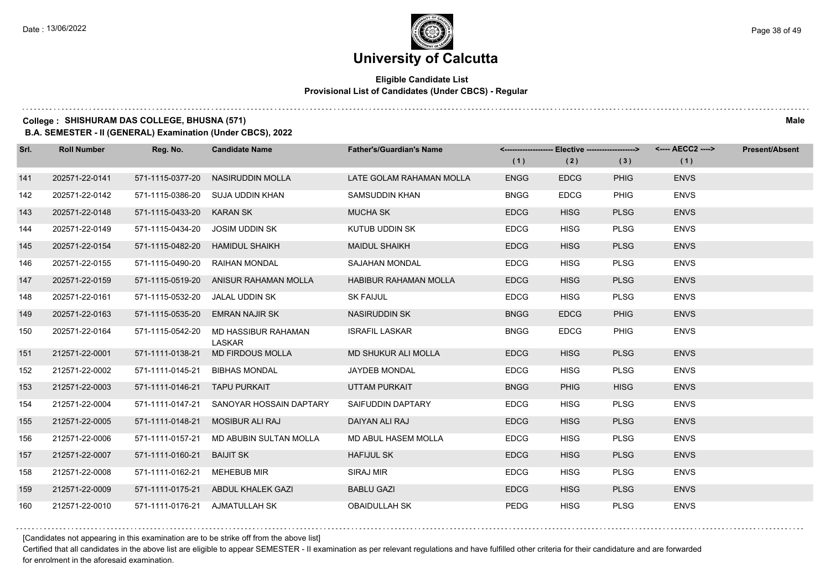### **Eligible Candidate List Provisional List of Candidates (Under CBCS) - Regular**

### **College : SHISHURAM DAS COLLEGE, BHUSNA (571) Male**

**B.A. SEMESTER - II (GENERAL) Examination (Under CBCS), 2022**

| Srl. | <b>Roll Number</b> | Reg. No.                       | <b>Candidate Name</b>                 | <b>Father's/Guardian's Name</b> |             | <------------------- Elective -------------------> |             | <---- AECC2 ----> | <b>Present/Absent</b> |
|------|--------------------|--------------------------------|---------------------------------------|---------------------------------|-------------|----------------------------------------------------|-------------|-------------------|-----------------------|
|      |                    |                                |                                       |                                 | (1)         | (2)                                                | (3)         | (1)               |                       |
| 141  | 202571-22-0141     | 571-1115-0377-20               | NASIRUDDIN MOLLA                      | LATE GOLAM RAHAMAN MOLLA        | <b>ENGG</b> | <b>EDCG</b>                                        | <b>PHIG</b> | <b>ENVS</b>       |                       |
| 142  | 202571-22-0142     |                                | 571-1115-0386-20 SUJA UDDIN KHAN      | SAMSUDDIN KHAN                  | <b>BNGG</b> | <b>EDCG</b>                                        | <b>PHIG</b> | <b>ENVS</b>       |                       |
| 143  | 202571-22-0148     | 571-1115-0433-20 KARAN SK      |                                       | <b>MUCHA SK</b>                 | <b>EDCG</b> | <b>HISG</b>                                        | <b>PLSG</b> | <b>ENVS</b>       |                       |
| 144  | 202571-22-0149     | 571-1115-0434-20               | JOSIM UDDIN SK                        | KUTUB UDDIN SK                  | <b>EDCG</b> | <b>HISG</b>                                        | <b>PLSG</b> | <b>ENVS</b>       |                       |
| 145  | 202571-22-0154     | 571-1115-0482-20               | <b>HAMIDUL SHAIKH</b>                 | <b>MAIDUL SHAIKH</b>            | <b>EDCG</b> | <b>HISG</b>                                        | <b>PLSG</b> | <b>ENVS</b>       |                       |
| 146  | 202571-22-0155     | 571-1115-0490-20               | RAIHAN MONDAL                         | <b>SAJAHAN MONDAL</b>           | <b>EDCG</b> | <b>HISG</b>                                        | <b>PLSG</b> | <b>ENVS</b>       |                       |
| 147  | 202571-22-0159     |                                | 571-1115-0519-20 ANISUR RAHAMAN MOLLA | <b>HABIBUR RAHAMAN MOLLA</b>    | <b>EDCG</b> | <b>HISG</b>                                        | <b>PLSG</b> | <b>ENVS</b>       |                       |
| 148  | 202571-22-0161     | 571-1115-0532-20               | JALAL UDDIN SK                        | <b>SK FAIJUL</b>                | <b>EDCG</b> | <b>HISG</b>                                        | <b>PLSG</b> | <b>ENVS</b>       |                       |
| 149  | 202571-22-0163     | 571-1115-0535-20               | <b>EMRAN NAJIR SK</b>                 | <b>NASIRUDDIN SK</b>            | <b>BNGG</b> | <b>EDCG</b>                                        | <b>PHIG</b> | <b>ENVS</b>       |                       |
| 150  | 202571-22-0164     | 571-1115-0542-20               | MD HASSIBUR RAHAMAN<br><b>LASKAR</b>  | <b>ISRAFIL LASKAR</b>           | <b>BNGG</b> | <b>EDCG</b>                                        | <b>PHIG</b> | <b>ENVS</b>       |                       |
| 151  | 212571-22-0001     | 571-1111-0138-21               | <b>MD FIRDOUS MOLLA</b>               | MD SHUKUR ALI MOLLA             | <b>EDCG</b> | <b>HISG</b>                                        | <b>PLSG</b> | <b>ENVS</b>       |                       |
| 152  | 212571-22-0002     | 571-1111-0145-21               | <b>BIBHAS MONDAL</b>                  | JAYDEB MONDAL                   | <b>EDCG</b> | <b>HISG</b>                                        | <b>PLSG</b> | <b>ENVS</b>       |                       |
| 153  | 212571-22-0003     | 571-1111-0146-21 TAPU PURKAIT  |                                       | UTTAM PURKAIT                   | <b>BNGG</b> | <b>PHIG</b>                                        | <b>HISG</b> | <b>ENVS</b>       |                       |
| 154  | 212571-22-0004     | 571-1111-0147-21               | SANOYAR HOSSAIN DAPTARY               | SAIFUDDIN DAPTARY               | <b>EDCG</b> | <b>HISG</b>                                        | <b>PLSG</b> | <b>ENVS</b>       |                       |
| 155  | 212571-22-0005     | 571-1111-0148-21               | <b>MOSIBUR ALI RAJ</b>                | DAIYAN ALI RAJ                  | <b>EDCG</b> | <b>HISG</b>                                        | <b>PLSG</b> | <b>ENVS</b>       |                       |
| 156  | 212571-22-0006     | 571-1111-0157-21               | MD ABUBIN SULTAN MOLLA                | MD ABUL HASEM MOLLA             | <b>EDCG</b> | <b>HISG</b>                                        | <b>PLSG</b> | <b>ENVS</b>       |                       |
| 157  | 212571-22-0007     | 571-1111-0160-21               | <b>BAIJIT SK</b>                      | <b>HAFIJUL SK</b>               | <b>EDCG</b> | <b>HISG</b>                                        | <b>PLSG</b> | <b>ENVS</b>       |                       |
| 158  | 212571-22-0008     | 571-1111-0162-21               | <b>MEHEBUB MIR</b>                    | SIRAJ MIR                       | <b>EDCG</b> | <b>HISG</b>                                        | <b>PLSG</b> | <b>ENVS</b>       |                       |
| 159  | 212571-22-0009     |                                | 571-1111-0175-21 ABDUL KHALEK GAZI    | <b>BABLU GAZI</b>               | <b>EDCG</b> | <b>HISG</b>                                        | <b>PLSG</b> | <b>ENVS</b>       |                       |
| 160  | 212571-22-0010     | 571-1111-0176-21 AJMATULLAH SK |                                       | <b>OBAIDULLAH SK</b>            | <b>PEDG</b> | <b>HISG</b>                                        | <b>PLSG</b> | <b>ENVS</b>       |                       |

[Candidates not appearing in this examination are to be strike off from the above list]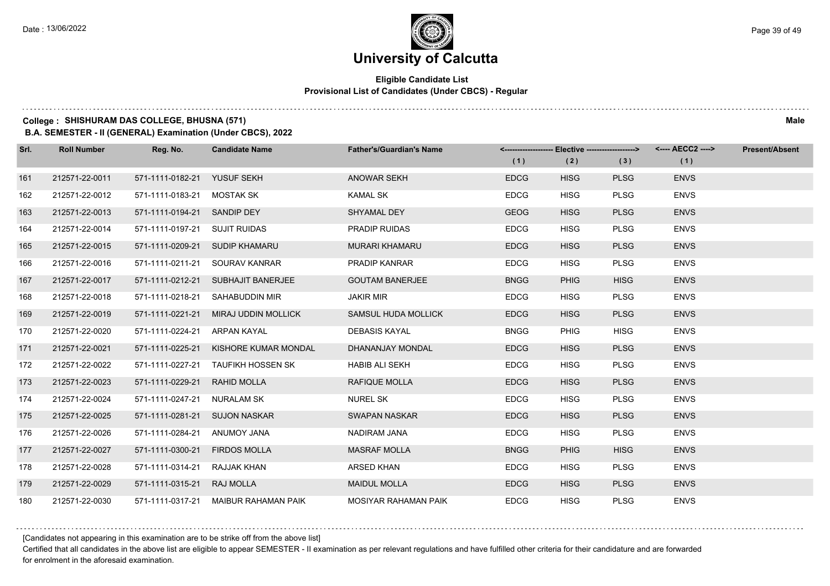### **Eligible Candidate List Provisional List of Candidates (Under CBCS) - Regular**

#### **College : SHISHURAM DAS COLLEGE, BHUSNA (571) Male**

**B.A. SEMESTER - II (GENERAL) Examination (Under CBCS), 2022**

| Srl. | <b>Roll Number</b> | Reg. No.                      | <b>Candidate Name</b>                 | <b>Father's/Guardian's Name</b> |             |             | <------------------- Elective ------------------> <---- AECC2 ----> |             | <b>Present/Absent</b> |
|------|--------------------|-------------------------------|---------------------------------------|---------------------------------|-------------|-------------|---------------------------------------------------------------------|-------------|-----------------------|
|      |                    |                               |                                       |                                 | (1)         | (2)         | (3)                                                                 | (1)         |                       |
| 161  | 212571-22-0011     | 571-1111-0182-21 YUSUF SEKH   |                                       | <b>ANOWAR SEKH</b>              | <b>EDCG</b> | <b>HISG</b> | <b>PLSG</b>                                                         | <b>ENVS</b> |                       |
| 162  | 212571-22-0012     | 571-1111-0183-21 MOSTAK SK    |                                       | <b>KAMAL SK</b>                 | <b>EDCG</b> | <b>HISG</b> | <b>PLSG</b>                                                         | <b>ENVS</b> |                       |
| 163  | 212571-22-0013     | 571-1111-0194-21 SANDIP DEY   |                                       | SHYAMAL DEY                     | <b>GEOG</b> | <b>HISG</b> | <b>PLSG</b>                                                         | <b>ENVS</b> |                       |
| 164  | 212571-22-0014     | 571-1111-0197-21 SUJIT RUIDAS |                                       | <b>PRADIP RUIDAS</b>            | <b>EDCG</b> | <b>HISG</b> | <b>PLSG</b>                                                         | <b>ENVS</b> |                       |
| 165  | 212571-22-0015     |                               | 571-1111-0209-21 SUDIP KHAMARU        | <b>MURARI KHAMARU</b>           | <b>EDCG</b> | <b>HISG</b> | <b>PLSG</b>                                                         | <b>ENVS</b> |                       |
| 166  | 212571-22-0016     | 571-1111-0211-21              | SOURAV KANRAR                         | <b>PRADIP KANRAR</b>            | <b>EDCG</b> | <b>HISG</b> | <b>PLSG</b>                                                         | <b>ENVS</b> |                       |
| 167  | 212571-22-0017     |                               | 571-1111-0212-21 SUBHAJIT BANERJEE    | <b>GOUTAM BANERJEE</b>          | <b>BNGG</b> | <b>PHIG</b> | <b>HISG</b>                                                         | <b>ENVS</b> |                       |
| 168  | 212571-22-0018     |                               | 571-1111-0218-21 SAHABUDDIN MIR       | <b>JAKIR MIR</b>                | <b>EDCG</b> | <b>HISG</b> | <b>PLSG</b>                                                         | <b>ENVS</b> |                       |
| 169  | 212571-22-0019     |                               | 571-1111-0221-21 MIRAJ UDDIN MOLLICK  | SAMSUL HUDA MOLLICK             | <b>EDCG</b> | <b>HISG</b> | <b>PLSG</b>                                                         | <b>ENVS</b> |                       |
| 170  | 212571-22-0020     | 571-1111-0224-21              | ARPAN KAYAL                           | <b>DEBASIS KAYAL</b>            | <b>BNGG</b> | <b>PHIG</b> | <b>HISG</b>                                                         | <b>ENVS</b> |                       |
| 171  | 212571-22-0021     |                               | 571-1111-0225-21 KISHORE KUMAR MONDAL | DHANANJAY MONDAL                | <b>EDCG</b> | <b>HISG</b> | <b>PLSG</b>                                                         | <b>ENVS</b> |                       |
| 172  | 212571-22-0022     |                               | 571-1111-0227-21 TAUFIKH HOSSEN SK    | <b>HABIB ALI SEKH</b>           | <b>EDCG</b> | <b>HISG</b> | <b>PLSG</b>                                                         | <b>ENVS</b> |                       |
| 173  | 212571-22-0023     | 571-1111-0229-21 RAHID MOLLA  |                                       | <b>RAFIQUE MOLLA</b>            | <b>EDCG</b> | <b>HISG</b> | <b>PLSG</b>                                                         | <b>ENVS</b> |                       |
| 174  | 212571-22-0024     | 571-1111-0247-21 NURALAM SK   |                                       | <b>NUREL SK</b>                 | <b>EDCG</b> | <b>HISG</b> | <b>PLSG</b>                                                         | <b>ENVS</b> |                       |
| 175  | 212571-22-0025     | 571-1111-0281-21 SUJON NASKAR |                                       | <b>SWAPAN NASKAR</b>            | <b>EDCG</b> | <b>HISG</b> | <b>PLSG</b>                                                         | <b>ENVS</b> |                       |
| 176  | 212571-22-0026     | 571-1111-0284-21 ANUMOY JANA  |                                       | NADIRAM JANA                    | <b>EDCG</b> | <b>HISG</b> | <b>PLSG</b>                                                         | <b>ENVS</b> |                       |
| 177  | 212571-22-0027     | 571-1111-0300-21 FIRDOS MOLLA |                                       | <b>MASRAF MOLLA</b>             | <b>BNGG</b> | <b>PHIG</b> | <b>HISG</b>                                                         | <b>ENVS</b> |                       |
| 178  | 212571-22-0028     | 571-1111-0314-21 RAJJAK KHAN  |                                       | ARSED KHAN                      | <b>EDCG</b> | <b>HISG</b> | <b>PLSG</b>                                                         | <b>ENVS</b> |                       |
| 179  | 212571-22-0029     | 571-1111-0315-21 RAJ MOLLA    |                                       | <b>MAIDUL MOLLA</b>             | <b>EDCG</b> | <b>HISG</b> | <b>PLSG</b>                                                         | <b>ENVS</b> |                       |
| 180  | 212571-22-0030     |                               | 571-1111-0317-21 MAIBUR RAHAMAN PAIK  | MOSIYAR RAHAMAN PAIK            | <b>EDCG</b> | <b>HISG</b> | <b>PLSG</b>                                                         | <b>ENVS</b> |                       |

[Candidates not appearing in this examination are to be strike off from the above list]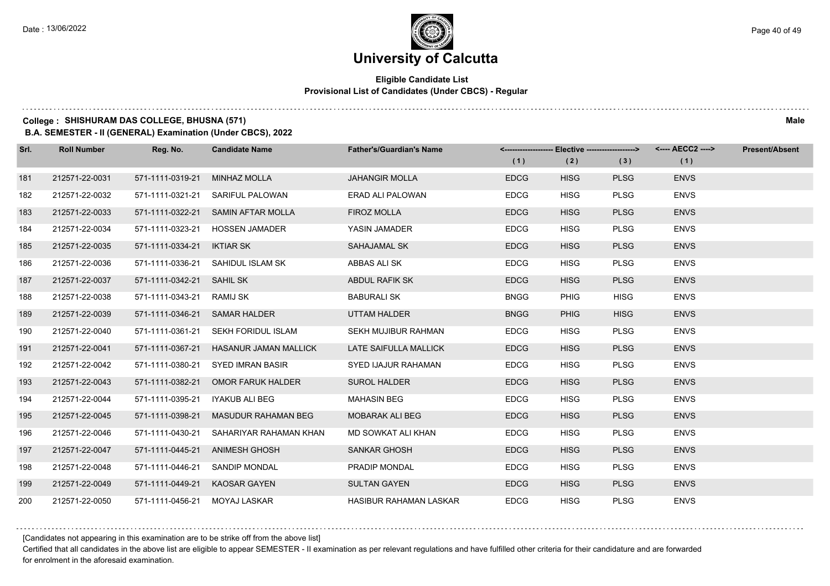### **Eligible Candidate List Provisional List of Candidates (Under CBCS) - Regular**

#### **College : SHISHURAM DAS COLLEGE, BHUSNA (571) Male**

**B.A. SEMESTER - II (GENERAL) Examination (Under CBCS), 2022**

| Srl. | <b>Roll Number</b> | Reg. No.                      | <b>Candidate Name</b>                  | <b>Father's/Guardian's Name</b> | <------------------- Elective ------------------> |             |             | <---- AECC2 ----> | <b>Present/Absent</b> |
|------|--------------------|-------------------------------|----------------------------------------|---------------------------------|---------------------------------------------------|-------------|-------------|-------------------|-----------------------|
|      |                    |                               |                                        |                                 | (1)                                               | (2)         | (3)         | (1)               |                       |
| 181  | 212571-22-0031     | 571-1111-0319-21              | <b>MINHAZ MOLLA</b>                    | <b>JAHANGIR MOLLA</b>           | <b>EDCG</b>                                       | <b>HISG</b> | <b>PLSG</b> | <b>ENVS</b>       |                       |
| 182  | 212571-22-0032     | 571-1111-0321-21              | SARIFUL PALOWAN                        | ERAD ALI PALOWAN                | <b>EDCG</b>                                       | <b>HISG</b> | <b>PLSG</b> | <b>ENVS</b>       |                       |
| 183  | 212571-22-0033     |                               | 571-1111-0322-21 SAMIN AFTAR MOLLA     | <b>FIROZ MOLLA</b>              | <b>EDCG</b>                                       | <b>HISG</b> | <b>PLSG</b> | <b>ENVS</b>       |                       |
| 184  | 212571-22-0034     |                               | 571-1111-0323-21 HOSSEN JAMADER        | YASIN JAMADER                   | <b>EDCG</b>                                       | <b>HISG</b> | <b>PLSG</b> | <b>ENVS</b>       |                       |
| 185  | 212571-22-0035     | 571-1111-0334-21              | <b>IKTIAR SK</b>                       | SAHAJAMAL SK                    | <b>EDCG</b>                                       | <b>HISG</b> | <b>PLSG</b> | <b>ENVS</b>       |                       |
| 186  | 212571-22-0036     |                               | 571-1111-0336-21 SAHIDUL ISLAM SK      | ABBAS ALI SK                    | <b>EDCG</b>                                       | <b>HISG</b> | <b>PLSG</b> | <b>ENVS</b>       |                       |
| 187  | 212571-22-0037     | 571-1111-0342-21 SAHIL SK     |                                        | <b>ABDUL RAFIK SK</b>           | <b>EDCG</b>                                       | <b>HISG</b> | <b>PLSG</b> | <b>ENVS</b>       |                       |
| 188  | 212571-22-0038     | 571-1111-0343-21 RAMIJ SK     |                                        | <b>BABURALI SK</b>              | <b>BNGG</b>                                       | <b>PHIG</b> | <b>HISG</b> | <b>ENVS</b>       |                       |
| 189  | 212571-22-0039     | 571-1111-0346-21 SAMAR HALDER |                                        | UTTAM HALDER                    | <b>BNGG</b>                                       | <b>PHIG</b> | <b>HISG</b> | <b>ENVS</b>       |                       |
| 190  | 212571-22-0040     | 571-1111-0361-21              | SEKH FORIDUL ISLAM                     | <b>SEKH MUJIBUR RAHMAN</b>      | <b>EDCG</b>                                       | <b>HISG</b> | <b>PLSG</b> | <b>ENVS</b>       |                       |
| 191  | 212571-22-0041     |                               | 571-1111-0367-21 HASANUR JAMAN MALLICK | LATE SAIFULLA MALLICK           | <b>EDCG</b>                                       | <b>HISG</b> | <b>PLSG</b> | <b>ENVS</b>       |                       |
| 192  | 212571-22-0042     |                               | 571-1111-0380-21 SYED IMRAN BASIR      | SYED IJAJUR RAHAMAN             | <b>EDCG</b>                                       | <b>HISG</b> | <b>PLSG</b> | <b>ENVS</b>       |                       |
| 193  | 212571-22-0043     | 571-1111-0382-21              | OMOR FARUK HALDER                      | <b>SUROL HALDER</b>             | <b>EDCG</b>                                       | <b>HISG</b> | <b>PLSG</b> | <b>ENVS</b>       |                       |
| 194  | 212571-22-0044     | 571-1111-0395-21              | IYAKUB ALI BEG                         | <b>MAHASIN BEG</b>              | <b>EDCG</b>                                       | <b>HISG</b> | <b>PLSG</b> | <b>ENVS</b>       |                       |
| 195  | 212571-22-0045     | 571-1111-0398-21              | MASUDUR RAHAMAN BEG                    | <b>MOBARAK ALI BEG</b>          | <b>EDCG</b>                                       | <b>HISG</b> | <b>PLSG</b> | <b>ENVS</b>       |                       |
| 196  | 212571-22-0046     | 571-1111-0430-21              | SAHARIYAR RAHAMAN KHAN                 | MD SOWKAT ALI KHAN              | <b>EDCG</b>                                       | <b>HISG</b> | <b>PLSG</b> | <b>ENVS</b>       |                       |
| 197  | 212571-22-0047     |                               | 571-1111-0445-21 ANIMESH GHOSH         | <b>SANKAR GHOSH</b>             | <b>EDCG</b>                                       | <b>HISG</b> | <b>PLSG</b> | <b>ENVS</b>       |                       |
| 198  | 212571-22-0048     |                               | 571-1111-0446-21 SANDIP MONDAL         | <b>PRADIP MONDAL</b>            | <b>EDCG</b>                                       | <b>HISG</b> | <b>PLSG</b> | <b>ENVS</b>       |                       |
| 199  | 212571-22-0049     | 571-1111-0449-21              | KAOSAR GAYEN                           | <b>SULTAN GAYEN</b>             | <b>EDCG</b>                                       | <b>HISG</b> | <b>PLSG</b> | <b>ENVS</b>       |                       |
| 200  | 212571-22-0050     | 571-1111-0456-21 MOYAJ LASKAR |                                        | <b>HASIBUR RAHAMAN LASKAR</b>   | <b>EDCG</b>                                       | <b>HISG</b> | <b>PLSG</b> | <b>ENVS</b>       |                       |

[Candidates not appearing in this examination are to be strike off from the above list]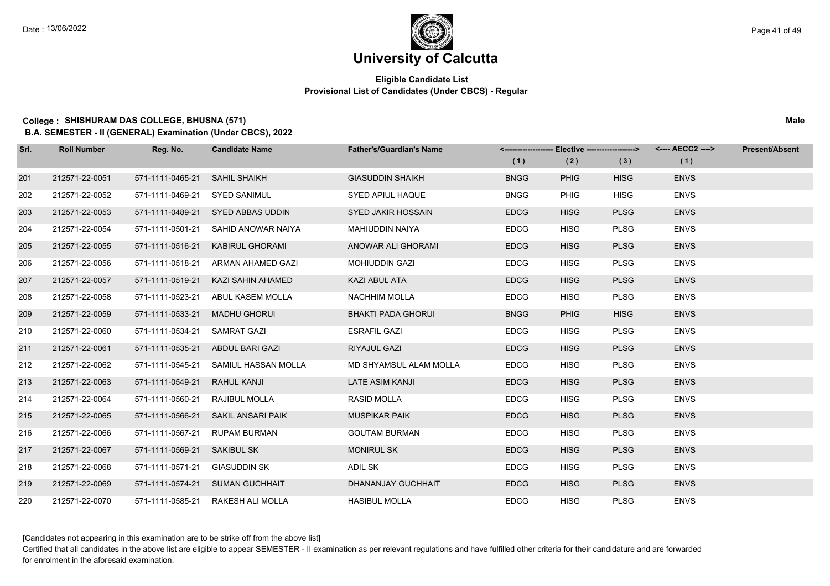### **Eligible Candidate List Provisional List of Candidates (Under CBCS) - Regular**

### **College : SHISHURAM DAS COLLEGE, BHUSNA (571) Male**

**B.A. SEMESTER - II (GENERAL) Examination (Under CBCS), 2022**

| Srl. | <b>Roll Number</b> | Reg. No.         | <b>Candidate Name</b>             | <b>Father's/Guardian's Name</b> |             | <------------------- Elective ------------------> |             | <---- AECC2 ----> | <b>Present/Absent</b> |
|------|--------------------|------------------|-----------------------------------|---------------------------------|-------------|---------------------------------------------------|-------------|-------------------|-----------------------|
|      |                    |                  |                                   |                                 | (1)         | (2)                                               | (3)         | (1)               |                       |
| 201  | 212571-22-0051     | 571-1111-0465-21 | <b>SAHIL SHAIKH</b>               | <b>GIASUDDIN SHAIKH</b>         | <b>BNGG</b> | <b>PHIG</b>                                       | <b>HISG</b> | <b>ENVS</b>       |                       |
| 202  | 212571-22-0052     | 571-1111-0469-21 | <b>SYED SANIMUL</b>               | SYED APIUL HAQUE                | <b>BNGG</b> | <b>PHIG</b>                                       | <b>HISG</b> | <b>ENVS</b>       |                       |
| 203  | 212571-22-0053     | 571-1111-0489-21 | SYED ABBAS UDDIN                  | SYED JAKIR HOSSAIN              | <b>EDCG</b> | <b>HISG</b>                                       | <b>PLSG</b> | <b>ENVS</b>       |                       |
| 204  | 212571-22-0054     | 571-1111-0501-21 | SAHID ANOWAR NAIYA                | MAHIUDDIN NAIYA                 | <b>EDCG</b> | <b>HISG</b>                                       | <b>PLSG</b> | <b>ENVS</b>       |                       |
| 205  | 212571-22-0055     | 571-1111-0516-21 | KABIRUL GHORAMI                   | ANOWAR ALI GHORAMI              | <b>EDCG</b> | <b>HISG</b>                                       | <b>PLSG</b> | <b>ENVS</b>       |                       |
| 206  | 212571-22-0056     | 571-1111-0518-21 | ARMAN AHAMED GAZI                 | MOHIUDDIN GAZI                  | <b>EDCG</b> | <b>HISG</b>                                       | <b>PLSG</b> | <b>ENVS</b>       |                       |
| 207  | 212571-22-0057     | 571-1111-0519-21 | KAZI SAHIN AHAMED                 | KAZI ABUL ATA                   | <b>EDCG</b> | <b>HISG</b>                                       | <b>PLSG</b> | <b>ENVS</b>       |                       |
| 208  | 212571-22-0058     | 571-1111-0523-21 | ABUL KASEM MOLLA                  | <b>NACHHIM MOLLA</b>            | <b>EDCG</b> | <b>HISG</b>                                       | <b>PLSG</b> | <b>ENVS</b>       |                       |
| 209  | 212571-22-0059     | 571-1111-0533-21 | <b>MADHU GHORUI</b>               | <b>BHAKTI PADA GHORUI</b>       | <b>BNGG</b> | <b>PHIG</b>                                       | <b>HISG</b> | <b>ENVS</b>       |                       |
| 210  | 212571-22-0060     | 571-1111-0534-21 | <b>SAMRAT GAZI</b>                | <b>ESRAFIL GAZI</b>             | <b>EDCG</b> | <b>HISG</b>                                       | <b>PLSG</b> | <b>ENVS</b>       |                       |
| 211  | 212571-22-0061     | 571-1111-0535-21 | ABDUL BARI GAZI                   | RIYAJUL GAZI                    | <b>EDCG</b> | <b>HISG</b>                                       | <b>PLSG</b> | <b>ENVS</b>       |                       |
| 212  | 212571-22-0062     | 571-1111-0545-21 | SAMIUL HASSAN MOLLA               | MD SHYAMSUL ALAM MOLLA          | <b>EDCG</b> | <b>HISG</b>                                       | <b>PLSG</b> | <b>ENVS</b>       |                       |
| 213  | 212571-22-0063     | 571-1111-0549-21 | RAHUL KANJI                       | <b>LATE ASIM KANJI</b>          | <b>EDCG</b> | <b>HISG</b>                                       | <b>PLSG</b> | <b>ENVS</b>       |                       |
| 214  | 212571-22-0064     | 571-1111-0560-21 | RAJIBUL MOLLA                     | <b>RASID MOLLA</b>              | <b>EDCG</b> | <b>HISG</b>                                       | <b>PLSG</b> | <b>ENVS</b>       |                       |
| 215  | 212571-22-0065     | 571-1111-0566-21 | SAKIL ANSARI PAIK                 | <b>MUSPIKAR PAIK</b>            | <b>EDCG</b> | <b>HISG</b>                                       | <b>PLSG</b> | <b>ENVS</b>       |                       |
| 216  | 212571-22-0066     | 571-1111-0567-21 | <b>RUPAM BURMAN</b>               | <b>GOUTAM BURMAN</b>            | <b>EDCG</b> | <b>HISG</b>                                       | <b>PLSG</b> | <b>ENVS</b>       |                       |
| 217  | 212571-22-0067     | 571-1111-0569-21 | SAKIBUL SK                        | <b>MONIRUL SK</b>               | <b>EDCG</b> | <b>HISG</b>                                       | <b>PLSG</b> | <b>ENVS</b>       |                       |
| 218  | 212571-22-0068     | 571-1111-0571-21 | <b>GIASUDDIN SK</b>               | ADIL SK                         | <b>EDCG</b> | <b>HISG</b>                                       | <b>PLSG</b> | <b>ENVS</b>       |                       |
| 219  | 212571-22-0069     | 571-1111-0574-21 | <b>SUMAN GUCHHAIT</b>             | DHANANJAY GUCHHAIT              | <b>EDCG</b> | <b>HISG</b>                                       | <b>PLSG</b> | <b>ENVS</b>       |                       |
| 220  | 212571-22-0070     |                  | 571-1111-0585-21 RAKESH ALI MOLLA | <b>HASIBUL MOLLA</b>            | <b>EDCG</b> | <b>HISG</b>                                       | <b>PLSG</b> | <b>ENVS</b>       |                       |

[Candidates not appearing in this examination are to be strike off from the above list]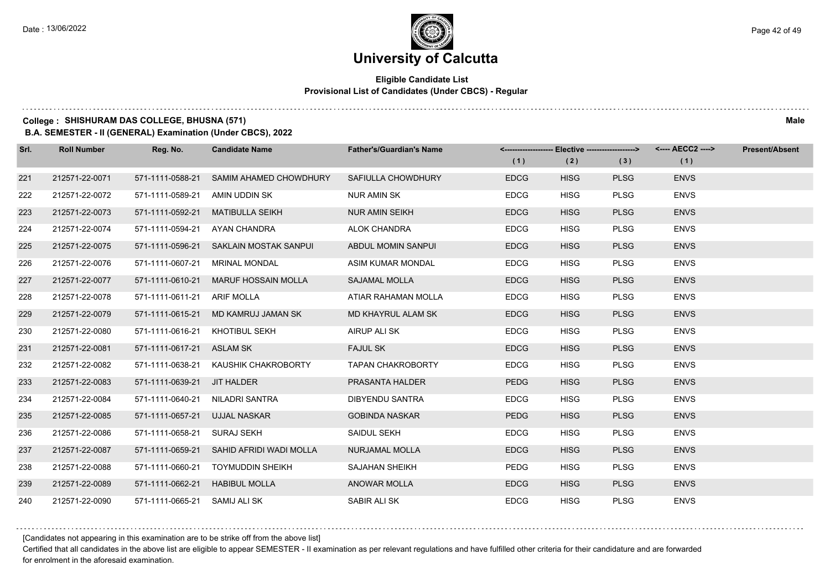#### **Eligible Candidate List Provisional List of Candidates (Under CBCS) - Regular**

#### **College : SHISHURAM DAS COLLEGE, BHUSNA (571) Male**

**B.A. SEMESTER - II (GENERAL) Examination (Under CBCS), 2022**

| Srl. | <b>Roll Number</b> | Reg. No.                  | <b>Candidate Name</b>      | <b>Father's/Guardian's Name</b> | (1)         | <------------------- Elective ------------------><br>(2) | (3)         | <---- AECC2 ----><br>(1) | <b>Present/Absent</b> |
|------|--------------------|---------------------------|----------------------------|---------------------------------|-------------|----------------------------------------------------------|-------------|--------------------------|-----------------------|
| 221  | 212571-22-0071     | 571-1111-0588-21          | SAMIM AHAMED CHOWDHURY     | SAFIULLA CHOWDHURY              | <b>EDCG</b> | <b>HISG</b>                                              | <b>PLSG</b> | <b>ENVS</b>              |                       |
| 222  | 212571-22-0072     | 571-1111-0589-21          | AMIN UDDIN SK              | <b>NUR AMIN SK</b>              | <b>EDCG</b> | <b>HISG</b>                                              | <b>PLSG</b> | <b>ENVS</b>              |                       |
| 223  | 212571-22-0073     | 571-1111-0592-21          | <b>MATIBULLA SEIKH</b>     | <b>NUR AMIN SEIKH</b>           | <b>EDCG</b> | <b>HISG</b>                                              | <b>PLSG</b> | <b>ENVS</b>              |                       |
| 224  | 212571-22-0074     | 571-1111-0594-21          | AYAN CHANDRA               | ALOK CHANDRA                    | <b>EDCG</b> | <b>HISG</b>                                              | <b>PLSG</b> | <b>ENVS</b>              |                       |
| 225  | 212571-22-0075     | 571-1111-0596-21          | SAKLAIN MOSTAK SANPUL      | ABDUL MOMIN SANPUI              | <b>EDCG</b> | <b>HISG</b>                                              | <b>PLSG</b> | <b>ENVS</b>              |                       |
| 226  | 212571-22-0076     | 571-1111-0607-21          | <b>MRINAL MONDAL</b>       | ASIM KUMAR MONDAL               | <b>EDCG</b> | <b>HISG</b>                                              | <b>PLSG</b> | <b>ENVS</b>              |                       |
| 227  | 212571-22-0077     | 571-1111-0610-21          | <b>MARUF HOSSAIN MOLLA</b> | <b>SAJAMAL MOLLA</b>            | <b>EDCG</b> | <b>HISG</b>                                              | <b>PLSG</b> | <b>ENVS</b>              |                       |
| 228  | 212571-22-0078     | 571-1111-0611-21          | <b>ARIF MOLLA</b>          | ATIAR RAHAMAN MOLLA             | <b>EDCG</b> | <b>HISG</b>                                              | <b>PLSG</b> | <b>ENVS</b>              |                       |
| 229  | 212571-22-0079     | 571-1111-0615-21          | MD KAMRUJ JAMAN SK         | MD KHAYRUL ALAM SK              | <b>EDCG</b> | <b>HISG</b>                                              | <b>PLSG</b> | <b>ENVS</b>              |                       |
| 230  | 212571-22-0080     | 571-1111-0616-21          | <b>KHOTIBUL SEKH</b>       | AIRUP ALI SK                    | <b>EDCG</b> | <b>HISG</b>                                              | <b>PLSG</b> | <b>ENVS</b>              |                       |
| 231  | 212571-22-0081     | 571-1111-0617-21 ASLAM SK |                            | <b>FAJUL SK</b>                 | <b>EDCG</b> | <b>HISG</b>                                              | <b>PLSG</b> | <b>ENVS</b>              |                       |
| 232  | 212571-22-0082     | 571-1111-0638-21          | KAUSHIK CHAKROBORTY        | <b>TAPAN CHAKROBORTY</b>        | <b>EDCG</b> | <b>HISG</b>                                              | <b>PLSG</b> | <b>ENVS</b>              |                       |
| 233  | 212571-22-0083     | 571-1111-0639-21          | JIT HALDER                 | PRASANTA HALDER                 | <b>PEDG</b> | <b>HISG</b>                                              | <b>PLSG</b> | <b>ENVS</b>              |                       |
| 234  | 212571-22-0084     | 571-1111-0640-21          | NILADRI SANTRA             | DIBYENDU SANTRA                 | <b>EDCG</b> | <b>HISG</b>                                              | <b>PLSG</b> | <b>ENVS</b>              |                       |
| 235  | 212571-22-0085     | 571-1111-0657-21          | <b>UJJAL NASKAR</b>        | <b>GOBINDA NASKAR</b>           | <b>PEDG</b> | <b>HISG</b>                                              | <b>PLSG</b> | <b>ENVS</b>              |                       |
| 236  | 212571-22-0086     | 571-1111-0658-21          | <b>SURAJ SEKH</b>          | SAIDUL SEKH                     | <b>EDCG</b> | <b>HISG</b>                                              | <b>PLSG</b> | <b>ENVS</b>              |                       |
| 237  | 212571-22-0087     | 571-1111-0659-21          | SAHID AFRIDI WADI MOLLA    | <b>NURJAMAL MOLLA</b>           | <b>EDCG</b> | <b>HISG</b>                                              | <b>PLSG</b> | <b>ENVS</b>              |                       |
| 238  | 212571-22-0088     | 571-1111-0660-21          | <b>TOYMUDDIN SHEIKH</b>    | <b>SAJAHAN SHEIKH</b>           | <b>PEDG</b> | <b>HISG</b>                                              | <b>PLSG</b> | <b>ENVS</b>              |                       |
| 239  | 212571-22-0089     | 571-1111-0662-21          | <b>HABIBUL MOLLA</b>       | <b>ANOWAR MOLLA</b>             | <b>EDCG</b> | <b>HISG</b>                                              | <b>PLSG</b> | <b>ENVS</b>              |                       |
| 240  | 212571-22-0090     | 571-1111-0665-21          | SAMIJ ALI SK               | SABIR ALI SK                    | <b>EDCG</b> | <b>HISG</b>                                              | <b>PLSG</b> | <b>ENVS</b>              |                       |

[Candidates not appearing in this examination are to be strike off from the above list]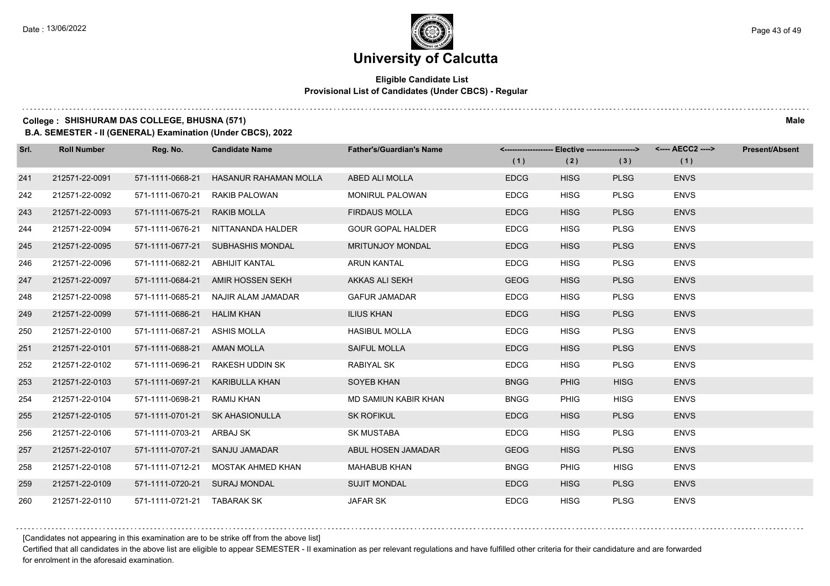### **Eligible Candidate List Provisional List of Candidates (Under CBCS) - Regular**

#### **College : SHISHURAM DAS COLLEGE, BHUSNA (571) Male**

**B.A. SEMESTER - II (GENERAL) Examination (Under CBCS), 2022**

| Srl. | <b>Roll Number</b> | Reg. No.                    | <b>Candidate Name</b> | <b>Father's/Guardian's Name</b> |             | <-------------------- Elective -------------------> |             | <---- AECC2 ----> | <b>Present/Absent</b> |
|------|--------------------|-----------------------------|-----------------------|---------------------------------|-------------|-----------------------------------------------------|-------------|-------------------|-----------------------|
|      |                    |                             |                       |                                 | (1)         | (2)                                                 | (3)         | (1)               |                       |
| 241  | 212571-22-0091     | 571-1111-0668-21            | HASANUR RAHAMAN MOLLA | ABED ALI MOLLA                  | <b>EDCG</b> | <b>HISG</b>                                         | <b>PLSG</b> | <b>ENVS</b>       |                       |
| 242  | 212571-22-0092     | 571-1111-0670-21            | RAKIB PALOWAN         | <b>MONIRUL PALOWAN</b>          | <b>EDCG</b> | <b>HISG</b>                                         | <b>PLSG</b> | <b>ENVS</b>       |                       |
| 243  | 212571-22-0093     | 571-1111-0675-21            | <b>RAKIB MOLLA</b>    | <b>FIRDAUS MOLLA</b>            | <b>EDCG</b> | <b>HISG</b>                                         | <b>PLSG</b> | <b>ENVS</b>       |                       |
| 244  | 212571-22-0094     | 571-1111-0676-21            | NITTANANDA HALDER     | <b>GOUR GOPAL HALDER</b>        | <b>EDCG</b> | <b>HISG</b>                                         | <b>PLSG</b> | <b>ENVS</b>       |                       |
| 245  | 212571-22-0095     | 571-1111-0677-21            | SUBHASHIS MONDAL      | <b>MRITUNJOY MONDAL</b>         | <b>EDCG</b> | <b>HISG</b>                                         | <b>PLSG</b> | <b>ENVS</b>       |                       |
| 246  | 212571-22-0096     | 571-1111-0682-21            | <b>ABHIJIT KANTAL</b> | <b>ARUN KANTAL</b>              | <b>EDCG</b> | <b>HISG</b>                                         | <b>PLSG</b> | <b>ENVS</b>       |                       |
| 247  | 212571-22-0097     | 571-1111-0684-21            | AMIR HOSSEN SEKH      | AKKAS ALI SEKH                  | <b>GEOG</b> | <b>HISG</b>                                         | <b>PLSG</b> | <b>ENVS</b>       |                       |
| 248  | 212571-22-0098     | 571-1111-0685-21            | NAJIR ALAM JAMADAR    | <b>GAFUR JAMADAR</b>            | <b>EDCG</b> | <b>HISG</b>                                         | <b>PLSG</b> | <b>ENVS</b>       |                       |
| 249  | 212571-22-0099     | 571-1111-0686-21            | <b>HALIM KHAN</b>     | <b>ILIUS KHAN</b>               | <b>EDCG</b> | <b>HISG</b>                                         | <b>PLSG</b> | <b>ENVS</b>       |                       |
| 250  | 212571-22-0100     | 571-1111-0687-21            | ASHIS MOLLA           | <b>HASIBUL MOLLA</b>            | <b>EDCG</b> | <b>HISG</b>                                         | <b>PLSG</b> | <b>ENVS</b>       |                       |
| 251  | 212571-22-0101     | 571-1111-0688-21            | <b>AMAN MOLLA</b>     | SAIFUL MOLLA                    | <b>EDCG</b> | <b>HISG</b>                                         | <b>PLSG</b> | <b>ENVS</b>       |                       |
| 252  | 212571-22-0102     | 571-1111-0696-21            | RAKESH UDDIN SK       | <b>RABIYAL SK</b>               | <b>EDCG</b> | <b>HISG</b>                                         | <b>PLSG</b> | <b>ENVS</b>       |                       |
| 253  | 212571-22-0103     | 571-1111-0697-21            | <b>KARIBULLA KHAN</b> | SOYEB KHAN                      | <b>BNGG</b> | <b>PHIG</b>                                         | <b>HISG</b> | <b>ENVS</b>       |                       |
| 254  | 212571-22-0104     | 571-1111-0698-21            | RAMIJ KHAN            | MD SAMIUN KABIR KHAN            | <b>BNGG</b> | <b>PHIG</b>                                         | <b>HISG</b> | <b>ENVS</b>       |                       |
| 255  | 212571-22-0105     | 571-1111-0701-21            | <b>SK AHASIONULLA</b> | <b>SK ROFIKUL</b>               | <b>EDCG</b> | <b>HISG</b>                                         | <b>PLSG</b> | <b>ENVS</b>       |                       |
| 256  | 212571-22-0106     | 571-1111-0703-21            | ARBAJ SK              | <b>SK MUSTABA</b>               | <b>EDCG</b> | <b>HISG</b>                                         | <b>PLSG</b> | <b>ENVS</b>       |                       |
| 257  | 212571-22-0107     | 571-1111-0707-21            | SANJU JAMADAR         | ABUL HOSEN JAMADAR              | <b>GEOG</b> | <b>HISG</b>                                         | <b>PLSG</b> | <b>ENVS</b>       |                       |
| 258  | 212571-22-0108     | 571-1111-0712-21            | MOSTAK AHMED KHAN     | <b>MAHABUB KHAN</b>             | <b>BNGG</b> | <b>PHIG</b>                                         | <b>HISG</b> | <b>ENVS</b>       |                       |
| 259  | 212571-22-0109     | 571-1111-0720-21            | <b>SURAJ MONDAL</b>   | <b>SUJIT MONDAL</b>             | <b>EDCG</b> | <b>HISG</b>                                         | <b>PLSG</b> | <b>ENVS</b>       |                       |
| 260  | 212571-22-0110     | 571-1111-0721-21 TABARAK SK |                       | <b>JAFAR SK</b>                 | <b>EDCG</b> | <b>HISG</b>                                         | <b>PLSG</b> | <b>ENVS</b>       |                       |

[Candidates not appearing in this examination are to be strike off from the above list]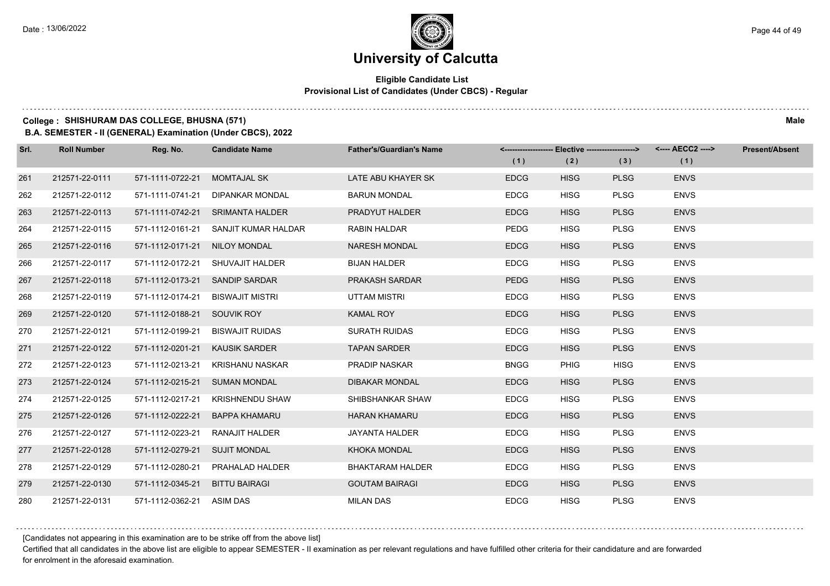### **Eligible Candidate List Provisional List of Candidates (Under CBCS) - Regular**

### **College : SHISHURAM DAS COLLEGE, BHUSNA (571) Male**

**B.A. SEMESTER - II (GENERAL) Examination (Under CBCS), 2022**

| Srl. | <b>Roll Number</b> | Reg. No.                  | <b>Candidate Name</b>            | <b>Father's/Guardian's Name</b> | <------------------- Elective ------------------><br>(1) | (2)         | (3)         | <---- AECC2 ----><br>(1) | <b>Present/Absent</b> |
|------|--------------------|---------------------------|----------------------------------|---------------------------------|----------------------------------------------------------|-------------|-------------|--------------------------|-----------------------|
|      |                    |                           |                                  |                                 |                                                          |             |             |                          |                       |
| 261  | 212571-22-0111     | 571-1111-0722-21          | <b>MOMTAJAL SK</b>               | LATE ABU KHAYER SK              | <b>EDCG</b>                                              | <b>HISG</b> | <b>PLSG</b> | <b>ENVS</b>              |                       |
| 262  | 212571-22-0112     | 571-1111-0741-21          | <b>DIPANKAR MONDAL</b>           | <b>BARUN MONDAL</b>             | <b>EDCG</b>                                              | <b>HISG</b> | <b>PLSG</b> | <b>ENVS</b>              |                       |
| 263  | 212571-22-0113     |                           | 571-1111-0742-21 SRIMANTA HALDER | PRADYUT HALDER                  | <b>EDCG</b>                                              | <b>HISG</b> | <b>PLSG</b> | <b>ENVS</b>              |                       |
| 264  | 212571-22-0115     | 571-1112-0161-21          | SANJIT KUMAR HALDAR              | <b>RABIN HALDAR</b>             | <b>PEDG</b>                                              | <b>HISG</b> | <b>PLSG</b> | <b>ENVS</b>              |                       |
| 265  | 212571-22-0116     | 571-1112-0171-21          | NILOY MONDAL                     | <b>NARESH MONDAL</b>            | <b>EDCG</b>                                              | <b>HISG</b> | <b>PLSG</b> | <b>ENVS</b>              |                       |
| 266  | 212571-22-0117     | 571-1112-0172-21          | SHUVAJIT HALDER                  | <b>BIJAN HALDER</b>             | <b>EDCG</b>                                              | <b>HISG</b> | <b>PLSG</b> | <b>ENVS</b>              |                       |
| 267  | 212571-22-0118     | 571-1112-0173-21          | <b>SANDIP SARDAR</b>             | PRAKASH SARDAR                  | <b>PEDG</b>                                              | <b>HISG</b> | <b>PLSG</b> | <b>ENVS</b>              |                       |
| 268  | 212571-22-0119     | 571-1112-0174-21          | <b>BISWAJIT MISTRI</b>           | <b>UTTAM MISTRI</b>             | <b>EDCG</b>                                              | <b>HISG</b> | <b>PLSG</b> | <b>ENVS</b>              |                       |
| 269  | 212571-22-0120     | 571-1112-0188-21          | SOUVIK ROY                       | <b>KAMAL ROY</b>                | <b>EDCG</b>                                              | <b>HISG</b> | <b>PLSG</b> | <b>ENVS</b>              |                       |
| 270  | 212571-22-0121     | 571-1112-0199-21          | <b>BISWAJIT RUIDAS</b>           | <b>SURATH RUIDAS</b>            | <b>EDCG</b>                                              | <b>HISG</b> | <b>PLSG</b> | <b>ENVS</b>              |                       |
| 271  | 212571-22-0122     | 571-1112-0201-21          | <b>KAUSIK SARDER</b>             | <b>TAPAN SARDER</b>             | <b>EDCG</b>                                              | <b>HISG</b> | <b>PLSG</b> | <b>ENVS</b>              |                       |
| 272  | 212571-22-0123     | 571-1112-0213-21          | KRISHANU NASKAR                  | <b>PRADIP NASKAR</b>            | <b>BNGG</b>                                              | <b>PHIG</b> | <b>HISG</b> | <b>ENVS</b>              |                       |
| 273  | 212571-22-0124     | 571-1112-0215-21          | <b>SUMAN MONDAL</b>              | <b>DIBAKAR MONDAL</b>           | <b>EDCG</b>                                              | <b>HISG</b> | <b>PLSG</b> | <b>ENVS</b>              |                       |
| 274  | 212571-22-0125     | 571-1112-0217-21          | <b>KRISHNENDU SHAW</b>           | SHIBSHANKAR SHAW                | <b>EDCG</b>                                              | <b>HISG</b> | <b>PLSG</b> | <b>ENVS</b>              |                       |
| 275  | 212571-22-0126     | 571-1112-0222-21          | <b>BAPPA KHAMARU</b>             | <b>HARAN KHAMARU</b>            | <b>EDCG</b>                                              | <b>HISG</b> | <b>PLSG</b> | <b>ENVS</b>              |                       |
| 276  | 212571-22-0127     | 571-1112-0223-21          | RANAJIT HALDER                   | JAYANTA HALDER                  | <b>EDCG</b>                                              | <b>HISG</b> | <b>PLSG</b> | <b>ENVS</b>              |                       |
| 277  | 212571-22-0128     | 571-1112-0279-21          | <b>SUJIT MONDAL</b>              | <b>KHOKA MONDAL</b>             | <b>EDCG</b>                                              | <b>HISG</b> | <b>PLSG</b> | <b>ENVS</b>              |                       |
| 278  | 212571-22-0129     | 571-1112-0280-21          | PRAHALAD HALDER                  | <b>BHAKTARAM HALDER</b>         | <b>EDCG</b>                                              | <b>HISG</b> | <b>PLSG</b> | <b>ENVS</b>              |                       |
| 279  | 212571-22-0130     | 571-1112-0345-21          | <b>BITTU BAIRAGI</b>             | <b>GOUTAM BAIRAGI</b>           | <b>EDCG</b>                                              | <b>HISG</b> | <b>PLSG</b> | <b>ENVS</b>              |                       |
| 280  | 212571-22-0131     | 571-1112-0362-21 ASIM DAS |                                  | <b>MILAN DAS</b>                | <b>EDCG</b>                                              | <b>HISG</b> | <b>PLSG</b> | <b>ENVS</b>              |                       |

[Candidates not appearing in this examination are to be strike off from the above list]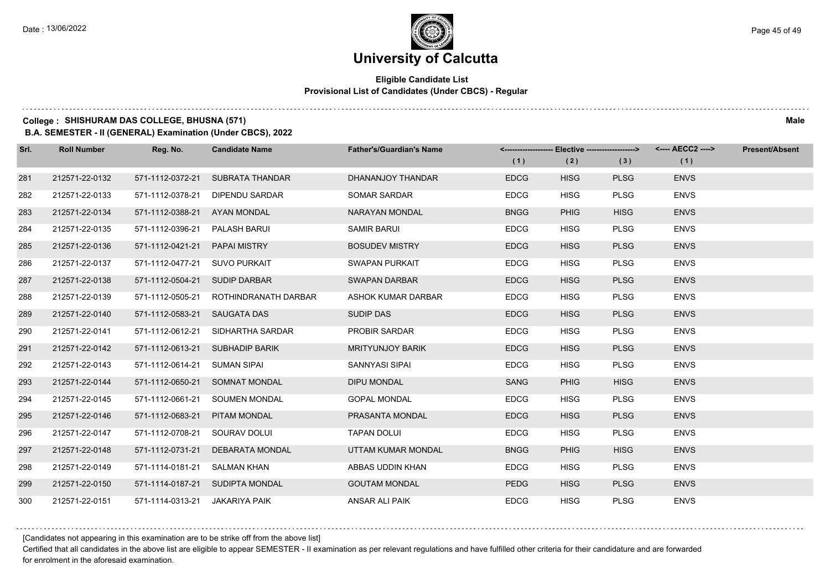### **Eligible Candidate List Provisional List of Candidates (Under CBCS) - Regular**

### **College : SHISHURAM DAS COLLEGE, BHUSNA (571) Male**

**B.A. SEMESTER - II (GENERAL) Examination (Under CBCS), 2022**

| Srl. | <b>Roll Number</b> | Reg. No.                       | <b>Candidate Name</b>                 | <b>Father's/Guardian's Name</b> |             | <------------------- Elective ------------------> |             | <---- AECC2 ----> | <b>Present/Absent</b> |
|------|--------------------|--------------------------------|---------------------------------------|---------------------------------|-------------|---------------------------------------------------|-------------|-------------------|-----------------------|
|      |                    |                                |                                       |                                 | (1)         | (2)                                               | (3)         | (1)               |                       |
| 281  | 212571-22-0132     | 571-1112-0372-21               | SUBRATA THANDAR                       | DHANANJOY THANDAR               | <b>EDCG</b> | <b>HISG</b>                                       | <b>PLSG</b> | <b>ENVS</b>       |                       |
| 282  | 212571-22-0133     | 571-1112-0378-21               | DIPENDU SARDAR                        | <b>SOMAR SARDAR</b>             | <b>EDCG</b> | <b>HISG</b>                                       | <b>PLSG</b> | <b>ENVS</b>       |                       |
| 283  | 212571-22-0134     | 571-1112-0388-21               | AYAN MONDAL                           | NARAYAN MONDAL                  | <b>BNGG</b> | <b>PHIG</b>                                       | <b>HISG</b> | <b>ENVS</b>       |                       |
| 284  | 212571-22-0135     | 571-1112-0396-21 PALASH BARUI  |                                       | SAMIR BARUI                     | <b>EDCG</b> | <b>HISG</b>                                       | <b>PLSG</b> | <b>ENVS</b>       |                       |
| 285  | 212571-22-0136     | 571-1112-0421-21               | <b>PAPAI MISTRY</b>                   | <b>BOSUDEV MISTRY</b>           | <b>EDCG</b> | <b>HISG</b>                                       | <b>PLSG</b> | <b>ENVS</b>       |                       |
| 286  | 212571-22-0137     | 571-1112-0477-21 SUVO PURKAIT  |                                       | SWAPAN PURKAIT                  | <b>EDCG</b> | <b>HISG</b>                                       | <b>PLSG</b> | <b>ENVS</b>       |                       |
| 287  | 212571-22-0138     | 571-1112-0504-21 SUDIP DARBAR  |                                       | <b>SWAPAN DARBAR</b>            | <b>EDCG</b> | <b>HISG</b>                                       | <b>PLSG</b> | <b>ENVS</b>       |                       |
| 288  | 212571-22-0139     |                                | 571-1112-0505-21 ROTHINDRANATH DARBAR | ASHOK KUMAR DARBAR              | <b>EDCG</b> | <b>HISG</b>                                       | <b>PLSG</b> | <b>ENVS</b>       |                       |
| 289  | 212571-22-0140     | 571-1112-0583-21 SAUGATA DAS   |                                       | <b>SUDIP DAS</b>                | <b>EDCG</b> | <b>HISG</b>                                       | <b>PLSG</b> | <b>ENVS</b>       |                       |
| 290  | 212571-22-0141     | 571-1112-0612-21               | SIDHARTHA SARDAR                      | <b>PROBIR SARDAR</b>            | <b>EDCG</b> | <b>HISG</b>                                       | <b>PLSG</b> | <b>ENVS</b>       |                       |
| 291  | 212571-22-0142     |                                | 571-1112-0613-21 SUBHADIP BARIK       | <b>MRITYUNJOY BARIK</b>         | <b>EDCG</b> | <b>HISG</b>                                       | <b>PLSG</b> | <b>ENVS</b>       |                       |
| 292  | 212571-22-0143     | 571-1112-0614-21 SUMAN SIPAI   |                                       | SANNYASI SIPAI                  | <b>EDCG</b> | <b>HISG</b>                                       | <b>PLSG</b> | <b>ENVS</b>       |                       |
| 293  | 212571-22-0144     |                                | 571-1112-0650-21 SOMNAT MONDAL        | <b>DIPU MONDAL</b>              | SANG        | <b>PHIG</b>                                       | <b>HISG</b> | <b>ENVS</b>       |                       |
| 294  | 212571-22-0145     | 571-1112-0661-21               | SOUMEN MONDAL                         | <b>GOPAL MONDAL</b>             | <b>EDCG</b> | <b>HISG</b>                                       | <b>PLSG</b> | <b>ENVS</b>       |                       |
| 295  | 212571-22-0146     | 571-1112-0683-21               | PITAM MONDAL                          | PRASANTA MONDAL                 | <b>EDCG</b> | <b>HISG</b>                                       | <b>PLSG</b> | <b>ENVS</b>       |                       |
| 296  | 212571-22-0147     | 571-1112-0708-21 SOURAV DOLUI  |                                       | <b>TAPAN DOLUI</b>              | <b>EDCG</b> | <b>HISG</b>                                       | <b>PLSG</b> | <b>ENVS</b>       |                       |
| 297  | 212571-22-0148     | 571-1112-0731-21               | DEBARATA MONDAL                       | UTTAM KUMAR MONDAL              | <b>BNGG</b> | <b>PHIG</b>                                       | <b>HISG</b> | <b>ENVS</b>       |                       |
| 298  | 212571-22-0149     | 571-1114-0181-21 SALMAN KHAN   |                                       | ABBAS UDDIN KHAN                | <b>EDCG</b> | <b>HISG</b>                                       | <b>PLSG</b> | <b>ENVS</b>       |                       |
| 299  | 212571-22-0150     |                                | 571-1114-0187-21 SUDIPTA MONDAL       | <b>GOUTAM MONDAL</b>            | <b>PEDG</b> | <b>HISG</b>                                       | <b>PLSG</b> | <b>ENVS</b>       |                       |
| 300  | 212571-22-0151     | 571-1114-0313-21 JAKARIYA PAIK |                                       | ANSAR ALI PAIK                  | <b>EDCG</b> | <b>HISG</b>                                       | <b>PLSG</b> | <b>ENVS</b>       |                       |

[Candidates not appearing in this examination are to be strike off from the above list]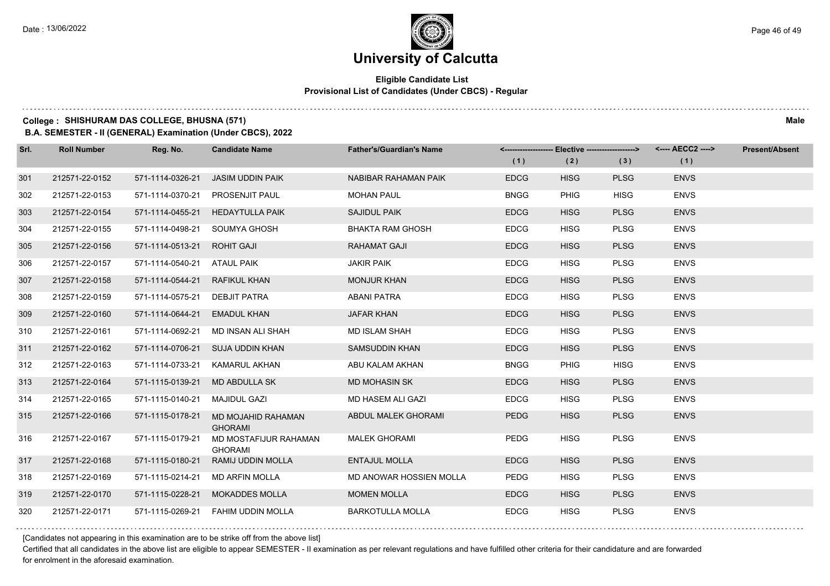### **Eligible Candidate List Provisional List of Candidates (Under CBCS) - Regular**

### **College : SHISHURAM DAS COLLEGE, BHUSNA (571) Male**

**B.A. SEMESTER - II (GENERAL) Examination (Under CBCS), 2022**

| Srl. | <b>Roll Number</b> | Reg. No.                    | <b>Candidate Name</b>                   | <b>Father's/Guardian's Name</b> | (1)         | <------------------- Elective ------------------><br>(2) | (3)         | <---- AECC2 ----><br>(1) | <b>Present/Absent</b> |
|------|--------------------|-----------------------------|-----------------------------------------|---------------------------------|-------------|----------------------------------------------------------|-------------|--------------------------|-----------------------|
| 301  | 212571-22-0152     | 571-1114-0326-21            | <b>JASIM UDDIN PAIK</b>                 | NABIBAR RAHAMAN PAIK            | <b>EDCG</b> | <b>HISG</b>                                              | <b>PLSG</b> | <b>ENVS</b>              |                       |
| 302  | 212571-22-0153     | 571-1114-0370-21            | PROSENJIT PAUL                          | <b>MOHAN PAUL</b>               | <b>BNGG</b> | <b>PHIG</b>                                              | <b>HISG</b> | <b>ENVS</b>              |                       |
| 303  | 212571-22-0154     | 571-1114-0455-21            | <b>HEDAYTULLA PAIK</b>                  | <b>SAJIDUL PAIK</b>             | <b>EDCG</b> | <b>HISG</b>                                              | <b>PLSG</b> | <b>ENVS</b>              |                       |
| 304  | 212571-22-0155     | 571-1114-0498-21            | SOUMYA GHOSH                            | <b>BHAKTA RAM GHOSH</b>         | <b>EDCG</b> | <b>HISG</b>                                              | <b>PLSG</b> | <b>ENVS</b>              |                       |
| 305  | 212571-22-0156     | 571-1114-0513-21            | <b>ROHIT GAJI</b>                       | <b>RAHAMAT GAJI</b>             | <b>EDCG</b> | <b>HISG</b>                                              | <b>PLSG</b> | <b>ENVS</b>              |                       |
| 306  | 212571-22-0157     | 571-1114-0540-21 ATAUL PAIK |                                         | <b>JAKIR PAIK</b>               | <b>EDCG</b> | <b>HISG</b>                                              | <b>PLSG</b> | <b>ENVS</b>              |                       |
| 307  | 212571-22-0158     | 571-1114-0544-21            | <b>RAFIKUL KHAN</b>                     | <b>MONJUR KHAN</b>              | <b>EDCG</b> | <b>HISG</b>                                              | <b>PLSG</b> | <b>ENVS</b>              |                       |
| 308  | 212571-22-0159     | 571-1114-0575-21            | <b>DEBJIT PATRA</b>                     | <b>ABANI PATRA</b>              | <b>EDCG</b> | <b>HISG</b>                                              | <b>PLSG</b> | <b>ENVS</b>              |                       |
| 309  | 212571-22-0160     | 571-1114-0644-21            | <b>EMADUL KHAN</b>                      | <b>JAFAR KHAN</b>               | <b>EDCG</b> | <b>HISG</b>                                              | <b>PLSG</b> | <b>ENVS</b>              |                       |
| 310  | 212571-22-0161     | 571-1114-0692-21            | MD INSAN ALI SHAH                       | <b>MD ISLAM SHAH</b>            | <b>EDCG</b> | <b>HISG</b>                                              | <b>PLSG</b> | <b>ENVS</b>              |                       |
| 311  | 212571-22-0162     | 571-1114-0706-21            | SUJA UDDIN KHAN                         | <b>SAMSUDDIN KHAN</b>           | <b>EDCG</b> | <b>HISG</b>                                              | <b>PLSG</b> | <b>ENVS</b>              |                       |
| 312  | 212571-22-0163     | 571-1114-0733-21            | <b>KAMARUL AKHAN</b>                    | ABU KALAM AKHAN                 | <b>BNGG</b> | <b>PHIG</b>                                              | <b>HISG</b> | <b>ENVS</b>              |                       |
| 313  | 212571-22-0164     | 571-1115-0139-21            | <b>MD ABDULLA SK</b>                    | <b>MD MOHASIN SK</b>            | <b>EDCG</b> | <b>HISG</b>                                              | <b>PLSG</b> | <b>ENVS</b>              |                       |
| 314  | 212571-22-0165     | 571-1115-0140-21            | MAJIDUL GAZI                            | MD HASEM ALI GAZI               | <b>EDCG</b> | <b>HISG</b>                                              | <b>PLSG</b> | <b>ENVS</b>              |                       |
| 315  | 212571-22-0166     | 571-1115-0178-21            | MD MOJAHID RAHAMAN<br><b>GHORAMI</b>    | ABDUL MALEK GHORAMI             | <b>PEDG</b> | <b>HISG</b>                                              | <b>PLSG</b> | <b>ENVS</b>              |                       |
| 316  | 212571-22-0167     | 571-1115-0179-21            | MD MOSTAFIJUR RAHAMAN<br><b>GHORAMI</b> | <b>MALEK GHORAMI</b>            | <b>PEDG</b> | <b>HISG</b>                                              | <b>PLSG</b> | <b>ENVS</b>              |                       |
| 317  | 212571-22-0168     | 571-1115-0180-21            | RAMIJ UDDIN MOLLA                       | <b>ENTAJUL MOLLA</b>            | <b>EDCG</b> | <b>HISG</b>                                              | <b>PLSG</b> | <b>ENVS</b>              |                       |
| 318  | 212571-22-0169     | 571-1115-0214-21            | MD ARFIN MOLLA                          | MD ANOWAR HOSSIEN MOLLA         | PEDG        | <b>HISG</b>                                              | <b>PLSG</b> | <b>ENVS</b>              |                       |
| 319  | 212571-22-0170     | 571-1115-0228-21            | <b>MOKADDES MOLLA</b>                   | <b>MOMEN MOLLA</b>              | <b>EDCG</b> | <b>HISG</b>                                              | <b>PLSG</b> | <b>ENVS</b>              |                       |
| 320  | 212571-22-0171     | 571-1115-0269-21            | FAHIM UDDIN MOLLA                       | <b>BARKOTULLA MOLLA</b>         | <b>EDCG</b> | <b>HISG</b>                                              | <b>PLSG</b> | <b>ENVS</b>              |                       |

[Candidates not appearing in this examination are to be strike off from the above list]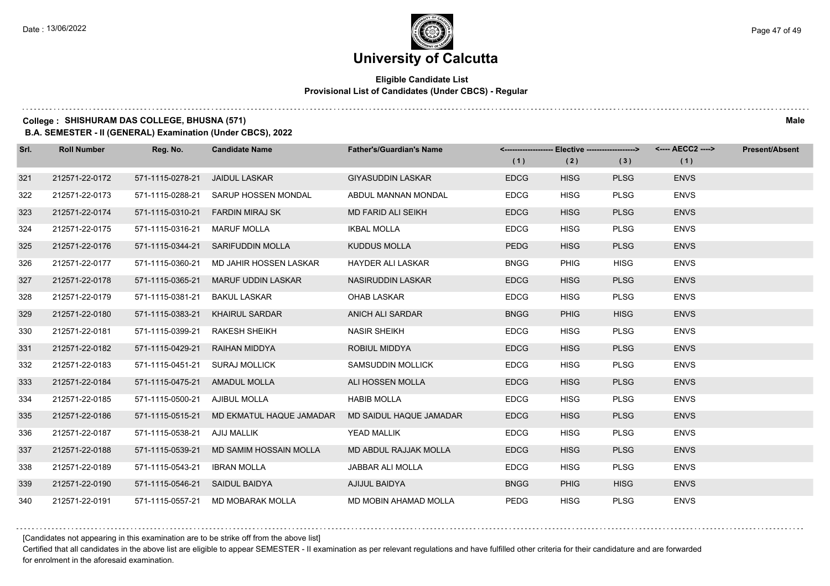### **Eligible Candidate List Provisional List of Candidates (Under CBCS) - Regular**

#### **College : SHISHURAM DAS COLLEGE, BHUSNA (571) Male**

**B.A. SEMESTER - II (GENERAL) Examination (Under CBCS), 2022**

| Srl. | <b>Roll Number</b> | Reg. No.         | <b>Candidate Name</b>             | <b>Father's/Guardian's Name</b> |             | <------------------- Elective ------------------> |             | <---- AECC2 ----> | <b>Present/Absent</b> |
|------|--------------------|------------------|-----------------------------------|---------------------------------|-------------|---------------------------------------------------|-------------|-------------------|-----------------------|
|      |                    |                  |                                   |                                 | (1)         | (2)                                               | (3)         | (1)               |                       |
| 321  | 212571-22-0172     | 571-1115-0278-21 | <b>JAIDUL LASKAR</b>              | <b>GIYASUDDIN LASKAR</b>        | <b>EDCG</b> | <b>HISG</b>                                       | <b>PLSG</b> | <b>ENVS</b>       |                       |
| 322  | 212571-22-0173     | 571-1115-0288-21 | SARUP HOSSEN MONDAL               | ABDUL MANNAN MONDAL             | <b>EDCG</b> | <b>HISG</b>                                       | <b>PLSG</b> | <b>ENVS</b>       |                       |
| 323  | 212571-22-0174     | 571-1115-0310-21 | <b>FARDIN MIRAJ SK</b>            | MD FARID ALI SEIKH              | <b>EDCG</b> | <b>HISG</b>                                       | <b>PLSG</b> | <b>ENVS</b>       |                       |
| 324  | 212571-22-0175     | 571-1115-0316-21 | <b>MARUF MOLLA</b>                | <b>IKBAL MOLLA</b>              | <b>EDCG</b> | <b>HISG</b>                                       | <b>PLSG</b> | <b>ENVS</b>       |                       |
| 325  | 212571-22-0176     | 571-1115-0344-21 | <b>SARIFUDDIN MOLLA</b>           | <b>KUDDUS MOLLA</b>             | <b>PEDG</b> | <b>HISG</b>                                       | <b>PLSG</b> | <b>ENVS</b>       |                       |
| 326  | 212571-22-0177     | 571-1115-0360-21 | MD JAHIR HOSSEN LASKAR            | <b>HAYDER ALI LASKAR</b>        | <b>BNGG</b> | <b>PHIG</b>                                       | <b>HISG</b> | <b>ENVS</b>       |                       |
| 327  | 212571-22-0178     | 571-1115-0365-21 | <b>MARUF UDDIN LASKAR</b>         | NASIRUDDIN LASKAR               | <b>EDCG</b> | <b>HISG</b>                                       | <b>PLSG</b> | <b>ENVS</b>       |                       |
| 328  | 212571-22-0179     | 571-1115-0381-21 | <b>BAKUL LASKAR</b>               | <b>OHAB LASKAR</b>              | <b>EDCG</b> | <b>HISG</b>                                       | <b>PLSG</b> | <b>ENVS</b>       |                       |
| 329  | 212571-22-0180     | 571-1115-0383-21 | <b>KHAIRUL SARDAR</b>             | <b>ANICH ALI SARDAR</b>         | <b>BNGG</b> | <b>PHIG</b>                                       | <b>HISG</b> | <b>ENVS</b>       |                       |
| 330  | 212571-22-0181     | 571-1115-0399-21 | <b>RAKESH SHEIKH</b>              | <b>NASIR SHEIKH</b>             | <b>EDCG</b> | <b>HISG</b>                                       | <b>PLSG</b> | <b>ENVS</b>       |                       |
| 331  | 212571-22-0182     | 571-1115-0429-21 | RAIHAN MIDDYA                     | ROBIUL MIDDYA                   | <b>EDCG</b> | <b>HISG</b>                                       | <b>PLSG</b> | <b>ENVS</b>       |                       |
| 332  | 212571-22-0183     | 571-1115-0451-21 | <b>SURAJ MOLLICK</b>              | <b>SAMSUDDIN MOLLICK</b>        | <b>EDCG</b> | <b>HISG</b>                                       | <b>PLSG</b> | <b>ENVS</b>       |                       |
| 333  | 212571-22-0184     | 571-1115-0475-21 | <b>AMADUL MOLLA</b>               | ALI HOSSEN MOLLA                | <b>EDCG</b> | <b>HISG</b>                                       | <b>PLSG</b> | <b>ENVS</b>       |                       |
| 334  | 212571-22-0185     | 571-1115-0500-21 | AJIBUL MOLLA                      | <b>HABIB MOLLA</b>              | <b>EDCG</b> | <b>HISG</b>                                       | <b>PLSG</b> | <b>ENVS</b>       |                       |
| 335  | 212571-22-0186     | 571-1115-0515-21 | MD EKMATUL HAQUE JAMADAR          | MD SAIDUL HAQUE JAMADAR         | <b>EDCG</b> | <b>HISG</b>                                       | <b>PLSG</b> | <b>ENVS</b>       |                       |
| 336  | 212571-22-0187     | 571-1115-0538-21 | AJIJ MALLIK                       | YEAD MALLIK                     | <b>EDCG</b> | <b>HISG</b>                                       | <b>PLSG</b> | <b>ENVS</b>       |                       |
| 337  | 212571-22-0188     | 571-1115-0539-21 | MD SAMIM HOSSAIN MOLLA            | MD ABDUL RAJJAK MOLLA           | <b>EDCG</b> | <b>HISG</b>                                       | <b>PLSG</b> | <b>ENVS</b>       |                       |
| 338  | 212571-22-0189     | 571-1115-0543-21 | <b>IBRAN MOLLA</b>                | JABBAR ALI MOLLA                | <b>EDCG</b> | <b>HISG</b>                                       | <b>PLSG</b> | <b>ENVS</b>       |                       |
| 339  | 212571-22-0190     | 571-1115-0546-21 | SAIDUL BAIDYA                     | AJIJUL BAIDYA                   | <b>BNGG</b> | <b>PHIG</b>                                       | <b>HISG</b> | <b>ENVS</b>       |                       |
| 340  | 212571-22-0191     |                  | 571-1115-0557-21 MD MOBARAK MOLLA | MD MOBIN AHAMAD MOLLA           | PEDG        | <b>HISG</b>                                       | <b>PLSG</b> | <b>ENVS</b>       |                       |

[Candidates not appearing in this examination are to be strike off from the above list]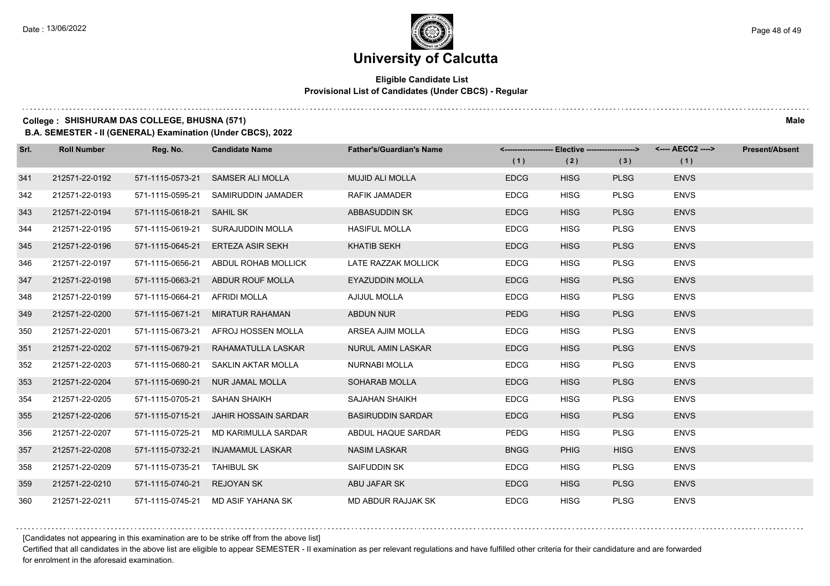### **Eligible Candidate List Provisional List of Candidates (Under CBCS) - Regular**

### **College : SHISHURAM DAS COLLEGE, BHUSNA (571) Male**

**B.A. SEMESTER - II (GENERAL) Examination (Under CBCS), 2022**

| Srl. | <b>Roll Number</b> | Reg. No.                    | <b>Candidate Name</b>              | <b>Father's/Guardian's Name</b> |             | <------------------- Elective ------------------> |             | <---- AECC2 ----> | <b>Present/Absent</b> |
|------|--------------------|-----------------------------|------------------------------------|---------------------------------|-------------|---------------------------------------------------|-------------|-------------------|-----------------------|
|      |                    |                             |                                    |                                 | (1)         | (2)                                               | (3)         | (1)               |                       |
| 341  | 212571-22-0192     | 571-1115-0573-21            | <b>SAMSER ALI MOLLA</b>            | <b>MUJID ALI MOLLA</b>          | <b>EDCG</b> | <b>HISG</b>                                       | <b>PLSG</b> | <b>ENVS</b>       |                       |
| 342  | 212571-22-0193     | 571-1115-0595-21            | SAMIRUDDIN JAMADER                 | <b>RAFIK JAMADER</b>            | <b>EDCG</b> | <b>HISG</b>                                       | <b>PLSG</b> | <b>ENVS</b>       |                       |
| 343  | 212571-22-0194     | 571-1115-0618-21 SAHIL SK   |                                    | ABBASUDDIN SK                   | <b>EDCG</b> | <b>HISG</b>                                       | <b>PLSG</b> | <b>ENVS</b>       |                       |
| 344  | 212571-22-0195     | 571-1115-0619-21            | SURAJUDDIN MOLLA                   | <b>HASIFUL MOLLA</b>            | <b>EDCG</b> | <b>HISG</b>                                       | <b>PLSG</b> | <b>ENVS</b>       |                       |
| 345  | 212571-22-0196     | 571-1115-0645-21            | ERTEZA ASIR SEKH                   | <b>KHATIB SEKH</b>              | <b>EDCG</b> | <b>HISG</b>                                       | <b>PLSG</b> | <b>ENVS</b>       |                       |
| 346  | 212571-22-0197     | 571-1115-0656-21            | ABDUL ROHAB MOLLICK                | LATE RAZZAK MOLLICK             | <b>EDCG</b> | <b>HISG</b>                                       | <b>PLSG</b> | <b>ENVS</b>       |                       |
| 347  | 212571-22-0198     | 571-1115-0663-21            | ABDUR ROUF MOLLA                   | <b>EYAZUDDIN MOLLA</b>          | <b>EDCG</b> | <b>HISG</b>                                       | <b>PLSG</b> | <b>ENVS</b>       |                       |
| 348  | 212571-22-0199     | 571-1115-0664-21            | <b>AFRIDI MOLLA</b>                | AJIJUL MOLLA                    | <b>EDCG</b> | <b>HISG</b>                                       | <b>PLSG</b> | <b>ENVS</b>       |                       |
| 349  | 212571-22-0200     | 571-1115-0671-21            | <b>MIRATUR RAHAMAN</b>             | ABDUN NUR                       | <b>PEDG</b> | <b>HISG</b>                                       | <b>PLSG</b> | <b>ENVS</b>       |                       |
| 350  | 212571-22-0201     | 571-1115-0673-21            | AFROJ HOSSEN MOLLA                 | ARSEA AJIM MOLLA                | <b>EDCG</b> | <b>HISG</b>                                       | <b>PLSG</b> | <b>ENVS</b>       |                       |
| 351  | 212571-22-0202     | 571-1115-0679-21            | RAHAMATULLA LASKAR                 | <b>NURUL AMIN LASKAR</b>        | <b>EDCG</b> | <b>HISG</b>                                       | <b>PLSG</b> | <b>ENVS</b>       |                       |
| 352  | 212571-22-0203     | 571-1115-0680-21            | SAKLIN AKTAR MOLLA                 | NURNABI MOLLA                   | <b>EDCG</b> | <b>HISG</b>                                       | <b>PLSG</b> | <b>ENVS</b>       |                       |
| 353  | 212571-22-0204     | 571-1115-0690-21            | NUR JAMAL MOLLA                    | SOHARAB MOLLA                   | <b>EDCG</b> | <b>HISG</b>                                       | <b>PLSG</b> | <b>ENVS</b>       |                       |
| 354  | 212571-22-0205     | 571-1115-0705-21            | SAHAN SHAIKH                       | <b>SAJAHAN SHAIKH</b>           | <b>EDCG</b> | <b>HISG</b>                                       | <b>PLSG</b> | <b>ENVS</b>       |                       |
| 355  | 212571-22-0206     | 571-1115-0715-21            | JAHIR HOSSAIN SARDAR               | <b>BASIRUDDIN SARDAR</b>        | <b>EDCG</b> | <b>HISG</b>                                       | <b>PLSG</b> | <b>ENVS</b>       |                       |
| 356  | 212571-22-0207     | 571-1115-0725-21            | MD KARIMULLA SARDAR                | ABDUL HAQUE SARDAR              | PEDG        | <b>HISG</b>                                       | <b>PLSG</b> | <b>ENVS</b>       |                       |
| 357  | 212571-22-0208     | 571-1115-0732-21            | INJAMAMUL LASKAR                   | <b>NASIM LASKAR</b>             | <b>BNGG</b> | <b>PHIG</b>                                       | <b>HISG</b> | <b>ENVS</b>       |                       |
| 358  | 212571-22-0209     | 571-1115-0735-21 TAHIBUL SK |                                    | SAIFUDDIN SK                    | <b>EDCG</b> | <b>HISG</b>                                       | <b>PLSG</b> | <b>ENVS</b>       |                       |
| 359  | 212571-22-0210     | 571-1115-0740-21            | <b>REJOYAN SK</b>                  | ABU JAFAR SK                    | <b>EDCG</b> | <b>HISG</b>                                       | <b>PLSG</b> | <b>ENVS</b>       |                       |
| 360  | 212571-22-0211     |                             | 571-1115-0745-21 MD ASIF YAHANA SK | MD ABDUR RAJJAK SK              | <b>EDCG</b> | <b>HISG</b>                                       | <b>PLSG</b> | <b>ENVS</b>       |                       |

[Candidates not appearing in this examination are to be strike off from the above list]